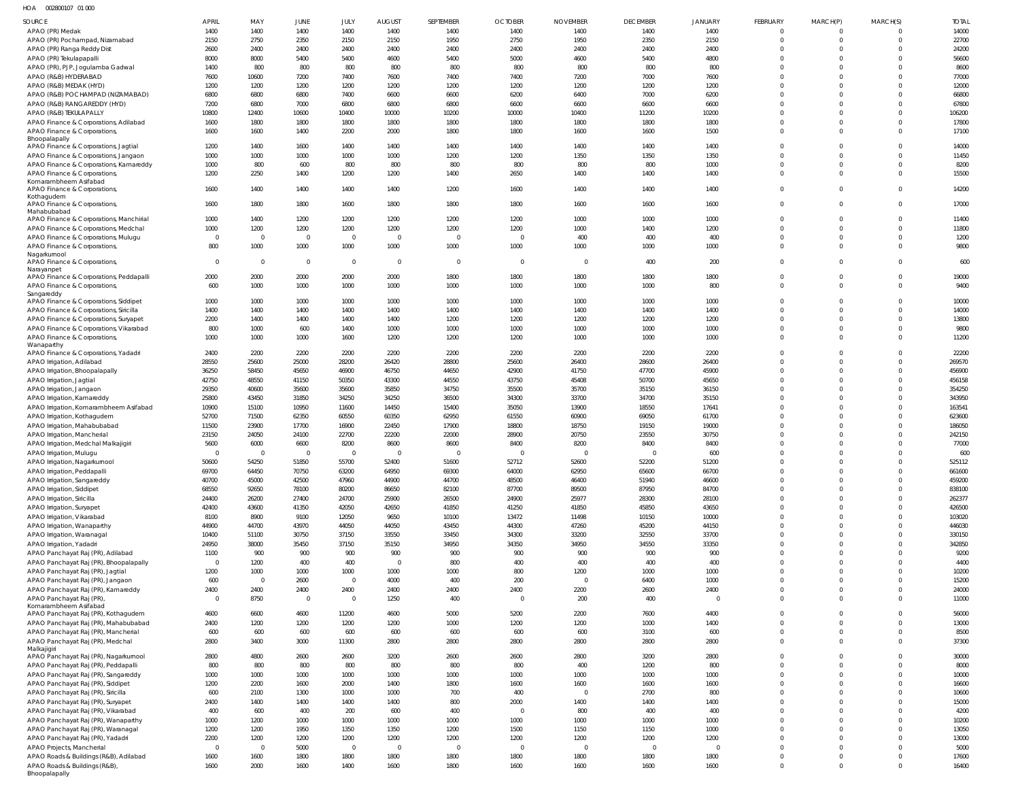HOA 002800107 01 000

| <b>SOURCE</b>                                                           | <b>APRIL</b>           | MAY            | JUNE              | JULY                   | <b>AUGUST</b>     | SEPTEMBER      | <b>OCTOBER</b>       | <b>NOVEMBER</b>        | <b>DECEMBER</b>      | <b>JANUARY</b> | <b>FEBRUARY</b>            | MARCH(P)                         | MARCH(S)                    | <b>TOTAL</b>     |
|-------------------------------------------------------------------------|------------------------|----------------|-------------------|------------------------|-------------------|----------------|----------------------|------------------------|----------------------|----------------|----------------------------|----------------------------------|-----------------------------|------------------|
| APAO (PR) Medak                                                         | 1400                   | 1400           | 1400              | 1400                   | 1400              | 1400           | 1400                 | 1400                   | 1400                 | 1400           | $\mathbf 0$                | $\overline{0}$                   | $\Omega$                    | 14000            |
| APAO (PR) Pochampad, Nizamabad                                          | 2150                   | 2750           | 2350              | 2150                   | 2150              | 1950           | 2750                 | 1950                   | 2350                 | 2150           | $\mathbf 0$                | $\overline{0}$                   | $\overline{0}$              | 22700            |
| APAO (PR) Ranga Reddy Dist                                              | 2600                   | 2400           | 2400              | 2400                   | 2400              | 2400           | 2400                 | 2400                   | 2400                 | 2400           | $\mathbf 0$                | $\overline{0}$                   | $\Omega$                    | 24200            |
| APAO (PR) Tekulapapalli                                                 | 8000<br>1400           | 8000<br>800    | 5400<br>800       | 5400<br>800            | 4600<br>800       | 5400<br>800    | 5000<br>800          | 4600<br>800            | 5400<br>800          | 4800<br>800    | $\mathbf 0$<br>$\mathbf 0$ | $\overline{0}$<br>$\Omega$       | $\Omega$<br>$\Omega$        | 56600<br>8600    |
| APAO (PR), PJP, Jogulamba Gadwal<br>APAO (R&B) HYDERABAD                | 7600                   | 10600          | 7200              | 7400                   | 7600              | 7400           | 7400                 | 7200                   | 7000                 | 7600           | $\mathbf 0$                | $\Omega$                         | $\Omega$                    | 77000            |
| APAO (R&B) MEDAK (HYD)                                                  | 1200                   | 1200           | 1200              | 1200                   | 1200              | 1200           | 1200                 | 1200                   | 1200                 | 1200           | $\mathbf 0$                | $\Omega$                         | $^{\circ}$                  | 12000            |
| APAO (R&B) POCHAMPAD (NIZAMABAD)                                        | 6800                   | 6800           | 6800              | 7400                   | 6600              | 6600           | 6200                 | 6400                   | 7000                 | 6200           | $\Omega$                   | $\Omega$                         | $\Omega$                    | 66800            |
| APAO (R&B) RANGAREDDY (HYD)                                             | 7200                   | 6800           | 7000              | 6800                   | 6800              | 6800           | 6600                 | 6600                   | 6600                 | 6600           | $\mathbf 0$                | $\Omega$                         | $^{\circ}$                  | 67800            |
| APAO (R&B) TEKULAPALLY                                                  | 10800                  | 12400          | 10600             | 10400                  | 10000             | 10200          | 10000                | 10400                  | 11200                | 10200          | $\Omega$                   | $\Omega$                         | $\Omega$                    | 106200           |
| APAO Finance & Corporations, Adilabad                                   | 1600<br>1600           | 1800<br>1600   | 1800<br>1400      | 1800<br>2200           | 1800<br>2000      | 1800<br>1800   | 1800<br>1800         | 1800<br>1600           | 1800<br>1600         | 1800<br>1500   | $\mathbf 0$<br>$\mathbf 0$ | $\overline{0}$<br>$\Omega$       | $\mathbf 0$<br>$\Omega$     | 17800<br>17100   |
| APAO Finance & Corporations<br>Bhoopalapally                            |                        |                |                   |                        |                   |                |                      |                        |                      |                |                            |                                  |                             |                  |
| APAO Finance & Corporations, Jagtial                                    | 1200                   | 1400           | 1600              | 1400                   | 1400              | 1400           | 1400                 | 1400                   | 1400                 | 1400           | $\mathbf 0$                | $\Omega$                         | $^{\circ}$                  | 14000            |
| APAO Finance & Corporations, Jangaon                                    | 1000                   | 1000           | 1000              | 1000                   | 1000              | 1200           | 1200                 | 1350                   | 1350                 | 1350           | $\Omega$                   | $\Omega$                         | $\Omega$                    | 11450            |
| APAO Finance & Corporations, Kamareddy                                  | 1000                   | 800            | 600               | 800                    | 800               | 800            | 800                  | 800                    | 800                  | 1000           | $\mathbf 0$                | $\overline{0}$                   | $\mathbf 0$                 | 8200             |
| APAO Finance & Corporations<br>Komarambheem Asifabad                    | 1200                   | 2250           | 1400              | 1200                   | 1200              | 1400           | 2650                 | 1400                   | 1400                 | 1400           | $\mathbf 0$                | $\Omega$                         | $\Omega$                    | 15500            |
| APAO Finance & Corporations,                                            | 1600                   | 1400           | 1400              | 1400                   | 1400              | 1200           | 1600                 | 1400                   | 1400                 | 1400           | $\mathbf 0$                | $\overline{0}$                   | $\Omega$                    | 14200            |
| Kothagudem                                                              |                        |                | 1800              |                        |                   |                |                      |                        |                      |                | $\mathbf 0$                | $\overline{0}$                   | $\Omega$                    | 17000            |
| APAO Finance & Corporations,<br>Mahabubabad                             | 1600                   | 1800           |                   | 1600                   | 1800              | 1800           | 1800                 | 1600                   | 1600                 | 1600           |                            |                                  |                             |                  |
| APAO Finance & Corporations, Manchirial                                 | 1000                   | 1400           | 1200              | 1200                   | 1200              | 1200           | 1200                 | 1000                   | 1000                 | 1000           | 0                          | $\mathbf 0$                      | -0                          | 11400            |
| APAO Finance & Corporations, Medchal                                    | 1000                   | 1200           | 1200              | 1200                   | 1200              | 1200           | 1200                 | 1000                   | 1400                 | 1200           | $\mathbf 0$                | $\overline{0}$                   | $\overline{0}$              | 11800            |
| APAO Finance & Corporations, Mulugu                                     | $\circ$                | $\overline{0}$ | $\overline{0}$    | $\overline{0}$         | $\mathbf 0$       | $\Omega$       | $\overline{0}$       | 400                    | 400                  | 400            | $\mathbf 0$                | $\overline{0}$                   | $\mathbf 0$                 | 1200             |
| APAO Finance & Corporations<br>Nagarkurnool                             | 800                    | 1000           | 1000              | 1000                   | 1000              | 1000           | 1000                 | 1000                   | 1000                 | 1000           | $\mathbf 0$                | $\overline{0}$                   | $\Omega$                    | 9800             |
| APAO Finance & Corporations,                                            | $\overline{0}$         | $\overline{0}$ | $\overline{0}$    | $\overline{0}$         | $\mathbf 0$       | $\overline{0}$ | $\overline{0}$       | $\Omega$               | 400                  | 200            | $\mathbf 0$                | $\overline{0}$                   | $\overline{0}$              | 600              |
| Narayanpet                                                              |                        |                |                   |                        |                   |                |                      |                        |                      |                |                            |                                  |                             |                  |
| APAO Finance & Corporations, Peddapalli                                 | 2000<br>600            | 2000<br>1000   | 2000<br>1000      | 2000<br>1000           | 2000<br>1000      | 1800<br>1000   | 1800<br>1000         | 1800<br>1000           | 1800<br>1000         | 1800<br>800    | $\mathbf 0$<br>$\Omega$    | $\overline{0}$<br>$\Omega$       | $\mathbf 0$<br>$\Omega$     | 19000<br>9400    |
| APAO Finance & Corporations,<br>Sangareddy                              |                        |                |                   |                        |                   |                |                      |                        |                      |                |                            |                                  |                             |                  |
| APAO Finance & Corporations, Siddipet                                   | 1000                   | 1000           | 1000              | 1000                   | 1000              | 1000           | 1000                 | 1000                   | 1000                 | 1000           | $\mathbf 0$                | $\Omega$                         | $\Omega$                    | 10000            |
| APAO Finance & Corporations, Siricilla                                  | 1400                   | 1400           | 1400              | 1400                   | 1400              | 1400           | 1400                 | 1400                   | 1400                 | 1400           | $\mathbf 0$                | $\Omega$                         | $\mathbf 0$                 | 14000            |
| APAO Finance & Corporations, Suryapet                                   | 2200                   | 1400           | 1400              | 1400                   | 1400              | 1200           | 1200                 | 1200                   | 1200                 | 1200           | $\mathbf 0$                | $\Omega$                         | $\mathbf 0$                 | 13800            |
| APAO Finance & Corporations, Vikarabad                                  | 800                    | 1000           | 600               | 1400                   | 1000              | 1000           | 1000                 | 1000                   | 1000                 | 1000           | $\mathbf 0$<br>$\mathbf 0$ | $\overline{0}$<br>$\overline{0}$ | $\mathbf 0$                 | 9800             |
| APAO Finance & Corporations,<br>Wanaparthy                              | 1000                   | 1000           | 1000              | 1600                   | 1200              | 1200           | 1200                 | 1000                   | 1000                 | 1000           |                            |                                  | $\mathbf 0$                 | 11200            |
| APAO Finance & Corporations, Yadadri                                    | 2400                   | 2200           | 2200              | 2200                   | 2200              | 2200           | 2200                 | 2200                   | 2200                 | 2200           | $\mathbf 0$                | $\mathbf 0$                      | $^{\circ}$                  | 22200            |
| APAO Irrigation, Adilabad                                               | 28550                  | 25600          | 25000             | 28200                  | 26420             | 28800          | 25600                | 26400                  | 28600                | 26400          | $\mathbf 0$                | $\Omega$                         | $\mathbf 0$                 | 269570           |
| APAO Irrigation, Bhoopalapally                                          | 36250                  | 58450          | 45650             | 46900                  | 46750             | 44650          | 42900                | 41750                  | 47700                | 45900          | $\mathbf 0$                | $\Omega$                         | $\mathbf 0$                 | 456900           |
| APAO Irrigation, Jagtial<br>APAO Irrigation, Jangaon                    | 42750<br>29350         | 48550<br>40600 | 41150<br>35600    | 50350<br>35600         | 43300<br>35850    | 44550<br>34750 | 43750<br>35500       | 45408<br>35700         | 50700<br>35150       | 45650<br>36150 | $\Omega$<br>$\mathbf 0$    | $\Omega$<br>$\Omega$             | $\Omega$<br>$\mathbf 0$     | 456158<br>354250 |
| APAO Irrigation, Kamareddy                                              | 25800                  | 43450          | 31850             | 34250                  | 34250             | 36500          | 34300                | 33700                  | 34700                | 35150          | $\Omega$                   | $\Omega$                         | $\Omega$                    | 343950           |
| APAO Irrigation, Komarambheem Asifabad                                  | 10900                  | 15100          | 10950             | 11600                  | 14450             | 15400          | 35050                | 13900                  | 18550                | 17641          | $\mathbf 0$                | $\Omega$                         | $\mathbf 0$                 | 163541           |
| APAO Irrigation, Kothagudem                                             | 52700                  | 71500          | 62350             | 60550                  | 60350             | 62950          | 61550                | 60900                  | 69050                | 61700          | $\Omega$                   | $\Omega$                         | $\Omega$                    | 623600           |
| APAO Irrigation, Mahabubabad                                            | 11500                  | 23900          | 17700             | 16900                  | 22450             | 17900          | 18800                | 18750                  | 19150                | 19000          | $\mathbf 0$                | $\Omega$                         | $\mathbf 0$                 | 186050           |
| APAO Irrigation, Mancherial                                             | 23150                  | 24050          | 24100             | 22700                  | 22200             | 22000          | 28900                | 20750                  | 23550                | 30750          | $\Omega$                   | $\Omega$                         | $\Omega$                    | 242150           |
| APAO Irrigation, Medchal Malkajigiri                                    | 5600                   | 6000           | 6600              | 8200                   | 8600              | 8600           | 8400                 | 8200                   | 8400                 | 8400           | $\mathbf 0$                | $\Omega$                         | $^{\circ}$                  | 77000            |
| APAO Irrigation, Mulugu<br>APAO Irrigation, Nagarkurnool                | $\Omega$<br>50600      | - 0<br>54250   | $\Omega$<br>51850 | $\Omega$<br>55700      | $\Omega$<br>52400 | 51600          | $\Omega$<br>52712    | 52600                  | $\mathbf 0$<br>52200 | 600<br>51200   | $\Omega$<br>$\Omega$       | $\Omega$<br>$\Omega$             | $\Omega$<br>$\Omega$        | 600<br>525112    |
| APAO Irrigation, Peddapalli                                             | 69700                  | 64450          | 70750             | 63200                  | 64950             | 69300          | 64000                | 62950                  | 65600                | 66700          | $\mathbf{0}$               | $\overline{0}$                   | $\mathbf{0}$                | 661600           |
| APAO Irrigation, Sangareddy                                             | 40700                  | 45000          | 42500             | 47960                  | 44900             | 44700          | 48500                | 46400                  | 51940                | 46600          | $\mathbf 0$                | $\Omega$                         | $\mathbf 0$                 | 459200           |
| APAO Irrigation, Siddipet                                               | 68550                  | 92650          | 78100             | 80200                  | 86650             | 82100          | 87700                | 89500                  | 87950                | 84700          | $\mathbf 0$                | $\overline{0}$                   | $\Omega$                    | 838100           |
| APAO Irrigation, Siricilla                                              | 24400                  | 26200          | 27400             | 24700                  | 25900             | 26500          | 24900                | 25977                  | 28300                | 28100          | $\mathbf 0$                | $\overline{0}$                   | $\mathbf 0$                 | 262377           |
| APAO Irrigation, Suryapet                                               | 42400                  | 43600          | 41350             | 42050                  | 42650             | 41850          | 41250                | 41850                  | 45850                | 43650          | $\mathbf 0$                | $\overline{0}$                   | $\Omega$                    | 426500           |
| APAO Irrigation, Vikarabad                                              | 8100                   | 8900           | 9100              | 12050                  | 9650              | 10100          | 13472                | 11498                  | 10150                | 10000          | $\mathbf 0$<br>$\Omega$    | $\overline{0}$<br>$\Omega$       | $\mathbf 0$                 | 103020           |
| APAO Irrigation, Wanaparthy<br>APAO Irrigation, Waranagal               | 44900<br>10400         | 44700<br>51100 | 43970<br>30750    | 44050<br>37150         | 44050<br>33550    | 43450<br>33450 | 44300<br>34300       | 47260<br>33200         | 45200<br>32550       | 44150<br>33700 | $\mathbf 0$                | $\overline{0}$                   | $\Omega$<br>$\mathbf 0$     | 446030<br>330150 |
| APAO Irrigation, Yadadri                                                | 24950                  | 38000          | 35450             | 37150                  | 35150             | 34950          | 34350                | 34950                  | 34550                | 33350          | $\mathbf 0$                | $\overline{0}$                   | $\mathbf 0$                 | 342850           |
| APAO Panchayat Raj (PR), Adilabad                                       | 1100                   | 900            | 900               | 900                    | 900               | 900            | 900                  | 900                    | 900                  | 900            | $\mathbf 0$                | $\overline{0}$                   | $\mathbf{0}$                | 9200             |
| APAO Panchayat Raj (PR), Bhoopalapally                                  | $\overline{0}$         | 1200           | 400               | 400                    | $\overline{0}$    | 800            | 400                  | 400                    | 400                  | 400            | $\mathbf 0$                | $\overline{0}$                   | $\mathbf 0$                 | 4400             |
| APAO Panchayat Raj (PR), Jagtial                                        | 1200                   | 1000           | 1000              | 1000                   | 1000              | 1000           | 800                  | 1200                   | 1000                 | 1000           | $\mathbf 0$                | $\overline{0}$                   | $\mathbf 0$                 | 10200            |
| APAO Panchayat Raj (PR), Jangaon                                        | 600                    | $\overline{0}$ | 2600              | $\overline{0}$         | 4000              | 400            | 200                  | $\Omega$               | 6400                 | 1000           | $\mathbf 0$                | $\overline{0}$                   | $\mathbf{0}$                | 15200            |
| APAO Panchayat Raj (PR), Kamareddy                                      | 2400<br>$\overline{0}$ | 2400           | 2400              | 2400<br>$\overline{0}$ | 2400              | 2400           | 2400<br>$\mathbf{0}$ | 2200                   | 2600                 | 2400           | $\mathbf 0$<br>$\mathbf 0$ | $\overline{0}$<br>$\overline{0}$ | $\mathbf{0}$<br>$\mathbf 0$ | 24000            |
| APAO Panchayat Raj (PR)<br>Komarambheem Asifabad                        |                        | 8750           | $\overline{0}$    |                        | 1250              | 400            |                      | 200                    | 400                  | $\mathbf 0$    |                            |                                  |                             | 11000            |
| APAO Panchayat Raj (PR), Kothagudem                                     | 4600                   | 6600           | 4600              | 11200                  | 4600              | 5000           | 5200                 | 2200                   | 7600                 | 4400           | $\mathbf 0$                | $\overline{0}$                   | $\mathbf{0}$                | 56000            |
| APAO Panchayat Raj (PR), Mahabubabad                                    | 2400                   | 1200           | 1200              | 1200                   | 1200              | 1000           | 1200                 | 1200                   | 1000                 | 1400           | $\mathbf 0$                | $\overline{0}$                   | $\mathbf{0}$                | 13000            |
| APAO Panchayat Raj (PR), Mancherial                                     | 600                    | 600            | 600               | 600                    | 600               | 600            | 600                  | 600                    | 3100                 | 600            | $\mathbf 0$                | $\overline{0}$                   | $\mathbf 0$                 | 8500             |
| APAO Panchayat Raj (PR), Medchal<br>Malkajigiri                         | 2800                   | 3400           | 3000              | 11300                  | 2800              | 2800           | 2800                 | 2800                   | 2800                 | 2800           | $\mathbf 0$                | $\overline{0}$                   | $\mathbf{0}$                | 37300            |
| APAO Panchayat Raj (PR), Nagarkurnool                                   | 2800                   | 4800           | 2600              | 2600                   | 3200              | 2600           | 2600                 | 2800                   | 3200                 | 2800           | $\mathbf 0$                | $\overline{0}$                   | $\mathbf{0}$                | 30000            |
| APAO Panchayat Raj (PR), Peddapalli                                     | 800                    | 800            | 800               | 800                    | 800               | 800            | 800                  | 400                    | 1200                 | 800            | $\mathbf 0$                | $\overline{0}$                   | $\mathbf 0$                 | 8000             |
| APAO Panchayat Raj (PR), Sangareddy                                     | 1000                   | 1000           | 1000              | 1000                   | 1000              | 1000           | 1000                 | 1000                   | 1000                 | 1000           | $\mathbf 0$                | $\overline{0}$                   | $\mathbf{0}$                | 10000            |
| APAO Panchayat Raj (PR), Siddipet                                       | 1200                   | 2200           | 1600              | 2000                   | 1400              | 1800           | 1600                 | 1600                   | 1600                 | 1600           | $\Omega$                   | $\overline{0}$                   | $\Omega$                    | 16600            |
| APAO Panchayat Raj (PR), Siricilla                                      | 600                    | 2100<br>1400   | 1300              | 1000                   | 1000              | 700            | 400                  | $\overline{0}$<br>1400 | 2700<br>1400         | 800<br>1400    | $\mathbf 0$<br>$\mathbf 0$ | $\overline{0}$<br>$\overline{0}$ | $\mathbf{0}$<br>$\mathbf 0$ | 10600            |
| APAO Panchayat Raj (PR), Suryapet<br>APAO Panchayat Raj (PR), Vikarabad | 2400<br>400            | 600            | 1400<br>400       | 1400<br>200            | 1400<br>600       | 800<br>400     | 2000<br>$\mathbf{0}$ | 800                    | 400                  | 400            | $\mathbf 0$                | $\overline{0}$                   | $\mathbf{0}$                | 15000<br>4200    |
| APAO Panchayat Raj (PR), Wanaparthy                                     | 1000                   | 1200           | 1000              | 1000                   | 1000              | 1000           | 1000                 | 1000                   | 1000                 | 1000           | $\mathbf 0$                | $\overline{0}$                   | $\mathbf 0$                 | 10200            |
| APAO Panchayat Raj (PR), Waranagal                                      | 1200                   | 1200           | 1950              | 1350                   | 1350              | 1200           | 1500                 | 1150                   | 1150                 | 1000           | $\mathbf 0$                | $\overline{0}$                   | $\mathbf 0$                 | 13050            |
| APAO Panchayat Raj (PR), Yadadri                                        | 2200                   | 1200           | 1200              | 1200                   | 1200              | 1200           | 1200                 | 1200                   | 1200                 | 1200           | $\mathbf 0$                | $\overline{0}$                   | $\mathbf 0$                 | 13000            |
| APAO Projects, Mancherial                                               | $\overline{0}$         | $\overline{0}$ | 5000              | $\overline{0}$         | $\mathbf 0$       | $\overline{0}$ | $\mathbf{0}$         | $\Omega$               | $\mathbf{0}$         | $\mathbf 0$    | $\mathbf 0$                | $\overline{0}$                   | $\mathbf{0}$                | 5000             |
| APAO Roads & Buildings (R&B), Adilabad                                  | 1600                   | 1600           | 1800              | 1800                   | 1800              | 1800           | 1800                 | 1800                   | 1800                 | 1800           | $\mathbf 0$                | $\overline{0}$                   | $\overline{0}$              | 17600            |
| APAO Roads & Buildings (R&B),<br>Bhoopalapally                          | 1600                   | 2000           | 1600              | 1400                   | 1600              | 1800           | 1600                 | 1600                   | 1600                 | 1600           | $\mathbf 0$                | $\overline{0}$                   | $\mathbf 0$                 | 16400            |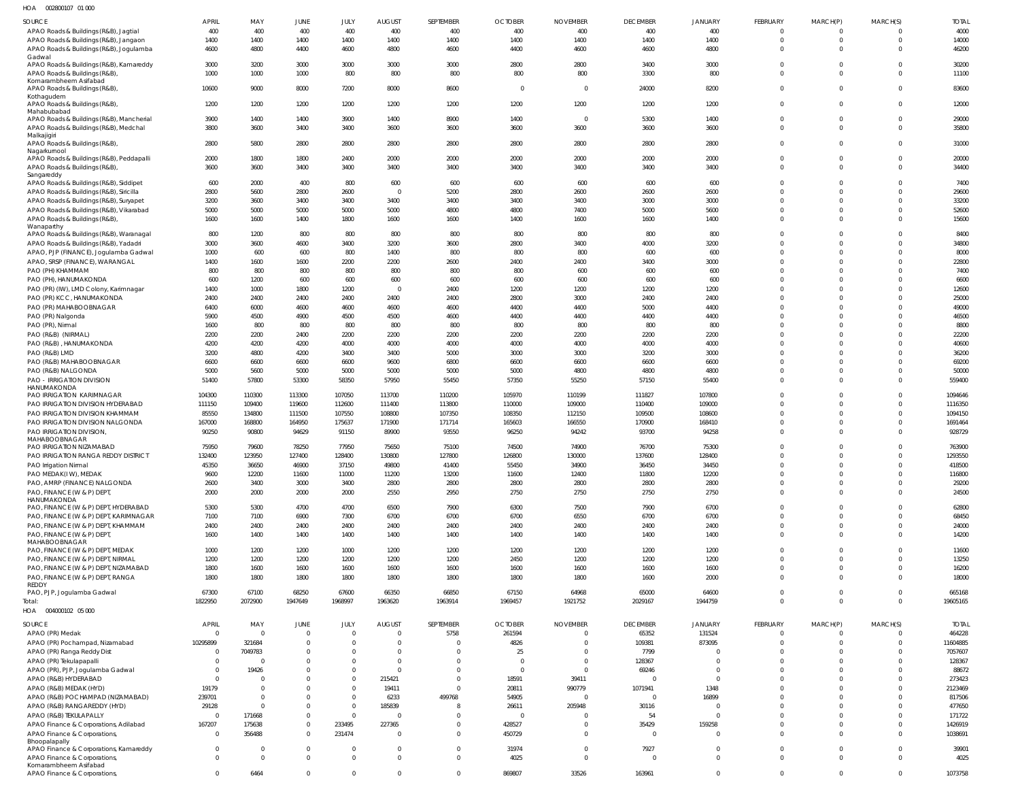002800107 01 000 HOA

| SOURCE                                                                            | <b>APRIL</b>   | MAY        | JUNE           | JULY        | <b>AUGUST</b>  | SEPTEMBER    | <b>OCTOBER</b> | <b>NOVEMBER</b> | <b>DECEMBER</b> | <b>JANUARY</b> | <b>FEBRUARY</b>      | MARCH(P)                   | MARCH(S)             | <b>TOTAL</b> |
|-----------------------------------------------------------------------------------|----------------|------------|----------------|-------------|----------------|--------------|----------------|-----------------|-----------------|----------------|----------------------|----------------------------|----------------------|--------------|
| APAO Roads & Buildings (R&B), Jagtial                                             | 400            | 400        | 400            | 400         | 400            | 400          | 400            | 400             | 400             | 400            | $\Omega$             | 0                          |                      | 4000         |
| APAO Roads & Buildings (R&B), Jangaon                                             | 1400           | 1400       | 1400           | 1400        | 1400           | 1400         | 1400           | 1400            | 1400            | 1400           | $\Omega$             | $\overline{0}$             | $\Omega$             | 14000        |
| APAO Roads & Buildings (R&B), Jogulamba                                           | 4600           | 4800       | 4400           | 4600        | 4800           | 4600         | 4400           | 4600            | 4600            | 4800           | $\Omega$             | $\overline{0}$             | $\Omega$             | 46200        |
| Gadwal                                                                            |                |            |                |             |                |              |                |                 |                 |                |                      |                            |                      |              |
| APAO Roads & Buildings (R&B), Kamareddy                                           | 3000           | 3200       | 3000           | 3000        | 3000           | 3000         | 2800           | 2800            | 3400            | 3000           | $\Omega$<br>$\Omega$ | $\overline{0}$<br>$\Omega$ | $\Omega$<br>$\Omega$ | 30200        |
| APAO Roads & Buildings (R&B)<br>Komarambheem Asifabad                             | 1000           | 1000       | 1000           | 800         | 800            | 800          | 800            | 800             | 3300            | 800            |                      |                            |                      | 11100        |
| APAO Roads & Buildings (R&B)<br>Kothagudem                                        | 10600          | 9000       | 8000           | 7200        | 8000           | 8600         | $\overline{0}$ | $\overline{0}$  | 24000           | 8200           | $\Omega$             | $\mathbf{0}$               | $\Omega$             | 83600        |
| APAO Roads & Buildings (R&B),<br>Mahabubabad                                      | 1200           | 1200       | 1200           | 1200        | 1200           | 1200         | 1200           | 1200            | 1200            | 1200           | $\Omega$             | $\mathbf{0}$               | $\Omega$             | 12000        |
| APAO Roads & Buildings (R&B), Mancherial                                          | 3900           | 1400       | 1400           | 3900        | 1400           | 8900         | 1400           | $\overline{0}$  | 5300            | 1400           | $\Omega$<br>$\Omega$ | $\overline{0}$             | $\Omega$<br>$\Omega$ | 29000        |
| APAO Roads & Buildings (R&B), Medchal<br>Malkajigiri                              | 3800           | 3600       | 3400           | 3400        | 3600           | 3600         | 3600           | 3600            | 3600            | 3600           |                      | $\mathbf{0}$               |                      | 35800        |
| APAO Roads & Buildings (R&B)                                                      | 2800           | 5800       | 2800           | 2800        | 2800           | 2800         | 2800           | 2800            | 2800            | 2800           | $\Omega$             | $\mathbf{0}$               | $\Omega$             | 31000        |
| Nagarkurnool<br>APAO Roads & Buildings (R&B), Peddapalli                          | 2000           | 1800       | 1800           | 2400        | 2000           | 2000         | 2000           | 2000            | 2000            | 2000           | $\Omega$             | $\overline{0}$             | $\Omega$             | 20000        |
| APAO Roads & Buildings (R&B)                                                      | 3600           | 3600       | 3400           | 3400        | 3400           | 3400         | 3400           | 3400            | 3400            | 3400           | $\Omega$             | $\mathbf 0$                | $\Omega$             | 34400        |
| Sangareddy                                                                        | 600            | 2000       | 400            | 800         | 600            | 600          | 600            | 600             | 600             | 600            | $\Omega$             | $\mathbf 0$                | $\Omega$             | 7400         |
| APAO Roads & Buildings (R&B), Siddipet<br>APAO Roads & Buildings (R&B), Siricilla | 2800           | 5600       | 2800           | 2600        | $\overline{0}$ | 5200         | 2800           | 2600            | 2600            | 2600           | $\Omega$             | $\mathbf 0$                | $\Omega$             | 29600        |
| APAO Roads & Buildings (R&B), Suryapet                                            | 3200           | 3600       | 3400           | 3400        | 3400           | 3400         | 3400           | 3400            | 3000            | 3000           | $\Omega$             | $\Omega$                   | $\Omega$             | 33200        |
| APAO Roads & Buildings (R&B), Vikarabad                                           | 5000           | 5000       | 5000           | 5000        | 5000           | 4800         | 4800           | 7400            | 5000            | 5600           | $\Omega$             | $\mathbf 0$                | $\Omega$             | 52600        |
| APAO Roads & Buildings (R&B)                                                      | 1600           | 1600       | 1400           | 1800        | 1600           | 1600         | 1400           | 1600            | 1600            | 1400           | $\Omega$             | $\Omega$                   | $\Omega$             | 15600        |
| Wanaparthy                                                                        |                |            |                |             |                |              |                |                 |                 |                |                      |                            |                      |              |
| APAO Roads & Buildings (R&B), Waranagal                                           | 800            | 1200       | 800            | 800         | 800            | 800          | 800            | 800             | 800             | 800            | $\Omega$             | $\Omega$                   | $\Omega$             | 8400         |
| APAO Roads & Buildings (R&B), Yadadri                                             | 3000           | 3600       | 4600           | 3400        | 3200           | 3600         | 2800           | 3400            | 4000            | 3200           | $\Omega$             | $\Omega$                   | $\Omega$             | 34800        |
| APAO, PJP (FINANCE), Jogulamba Gadwal                                             | 1000           | 600        | 600            | 800         | 1400           | 800          | 800            | 800             | 600             | 600            | $\Omega$             | $\Omega$                   | $\Omega$             | 8000         |
| APAO, SRSP (FINANCE), WARANGAL                                                    | 1400           | 1600       | 1600           | 2200        | 2200           | 2600         | 2400           | 2400            | 3400            | 3000           | $\Omega$             | $\Omega$                   | $\Omega$             | 22800        |
| PAO (PH) KHAMMAM                                                                  | 800            | 800        | 800            | 800         | 800            | 800          | 800            | 600             | 600             | 600            | $\Omega$             | $\Omega$                   | $\Omega$             | 7400         |
| PAO (PH), HANUMAKONDA                                                             | 600            | 1200       | 600            | 600         | 600            | 600          | 600            | 600             | 600             | 600            | $\Omega$             | $\Omega$                   | $\Omega$             | 6600         |
| PAO (PR) (IW), LMD Colony, Karimnagar                                             | 1400           | 1000       | 1800           | 1200        | $\overline{0}$ | 2400         | 1200           | 1200            | 1200            | 1200           | $\Omega$             | $\Omega$                   | $\Omega$             | 12600        |
| PAO (PR) KCC, HANUMAKONDA                                                         | 2400           | 2400       | 2400           | 2400        | 2400           | 2400         | 2800           | 3000            | 2400            | 2400           | $\Omega$             | $\Omega$                   | $\Omega$             | 25000        |
| PAO (PR) MAHABOOBNAGAR                                                            | 6400           | 6000       | 4600           | 4600        | 4600           | 4600         | 4400           | 4400            | 5000            | 4400           | $\Omega$             | $\Omega$                   | $\Omega$             | 49000        |
| PAO (PR) Nalgonda                                                                 | 5900           | 4500       | 4900           | 4500        | 4500           | 4600         | 4400           | 4400            | 4400            | 4400           | $\Omega$             | $\Omega$                   | $\Omega$             | 46500        |
| PAO (PR), Nirmal                                                                  | 1600           | 800        | 800            | 800         | 800            | 800          | 800            | 800             | 800             | 800            | $\Omega$             | $\Omega$                   | $\Omega$             | 8800         |
| PAO (R&B) (NIRMAL)                                                                | 2200           | 2200       | 2400           | 2200        | 2200           | 2200         | 2200           | 2200            | 2200            | 2200           | $\Omega$             | $\Omega$                   | $\Omega$             | 22200        |
| PAO (R&B), HANUMAKONDA                                                            | 4200           | 4200       | 4200           | 4000        | 4000           | 4000         | 4000           | 4000            | 4000            | 4000           | $\Omega$             | $\Omega$                   | $\Omega$             | 40600        |
| PAO (R&B) LMD                                                                     | 3200           | 4800       | 4200           | 3400        | 3400           | 5000         | 3000           | 3000            | 3200            | 3000           | $\Omega$             | $\Omega$                   | $\Omega$             | 36200        |
| PAO (R&B) MAHABOOBNAGAR                                                           | 6600           | 6600       | 6600           | 6600        | 9600           | 6800         | 6600           | 6600            | 6600            | 6600           | $\Omega$             | $\Omega$                   | $\Omega$             | 69200        |
| PAO (R&B) NALGONDA                                                                | 5000           | 5600       | 5000           | 5000        | 5000           | 5000         | 5000           | 4800            | 4800            | 4800           | $\Omega$             | $\Omega$                   | $\Omega$             | 50000        |
| <b>PAO - IRRIGATION DIVISION</b><br>HANUMAKONDA                                   | 51400          | 57800      | 53300          | 58350       | 57950          | 55450        | 57350          | 55250           | 57150           | 55400          | $\Omega$             | $\Omega$                   | $\Omega$             | 559400       |
| PAO IRRIGATION KARIMNAGAR                                                         | 104300         | 110300     | 113300         | 107050      | 113700         | 110200       | 105970         | 110199          | 111827          | 107800         | $\Omega$             | $\Omega$                   | $\Omega$             | 1094646      |
| PAO IRRIGATION DIVISION HYDERABAD                                                 | 111150         | 109400     | 119600         | 112600      | 111400         | 113800       | 110000         | 109000          | 110400          | 109000         | $\Omega$             | $\Omega$                   | $\Omega$             | 1116350      |
| PAO IRRIGATION DIVISION KHAMMAM                                                   | 85550          | 134800     | 111500         | 107550      | 108800         | 107350       | 108350         | 112150          | 109500          | 108600         | $\Omega$             | $\Omega$                   | $\Omega$             | 1094150      |
| PAO IRRIGATION DIVISION NALGONDA                                                  | 167000         | 168800     | 164950         | 175637      | 171900         | 171714       | 165603         | 166550          | 170900          | 168410         | $\Omega$             | $\Omega$                   | $\Omega$             | 1691464      |
| PAO IRRIGATION DIVISION,<br><b>MAHABOOBNAGAR</b>                                  | 90250          | 90800      | 94629          | 91150       | 89900          | 93550        | 96250          | 94242           | 93700           | 94258          | $\Omega$             | $\Omega$                   | $\Omega$             | 928729       |
| PAO IRRIGATION NIZAMABAD                                                          | 75950          | 79600      | 78250          | 77950       | 75650          | 75100        | 74500          | 74900           | 76700           | 75300          | $\Omega$             | $\Omega$                   | $\Omega$             | 763900       |
| PAO IRRIGATION RANGA REDDY DISTRICT                                               | 132400         | 123950     | 127400         | 128400      | 130800         | 127800       | 126800         | 130000          | 137600          | 128400         | $\Omega$             | $\Omega$                   | $\Omega$             | 1293550      |
| PAO Irrigation Nirmal                                                             | 45350          | 36650      | 46900          | 37150       | 49800          | 41400        | 55450          | 34900           | 36450           | 34450          | $\Omega$             | $\Omega$                   | $\cap$               | 418500       |
| PAO MEDAK(IW), MEDAK                                                              | 9600           | 12200      | 11600          | 11000       | 11200          | 13200        | 11600          | 12400           | 11800           | 12200          | $\Omega$             | $\Omega$                   | $\Omega$             | 116800       |
| PAO, AMRP (FINANCE) NALGONDA                                                      | 2600           | 3400       | 3000           | 3400        | 2800           | 2800         | 2800           | 2800            | 2800            | 2800           | $\Omega$             | $\overline{0}$             | $\Omega$             | 29200        |
| PAO, FINANCE (W & P) DEPT,                                                        | 2000           | 2000       | 2000           | 2000        | 2550           | 2950         | 2750           | 2750            | 2750            | 2750           | $\Omega$             | $\Omega$                   | $\Omega$             | 24500        |
| HANUMAKONDA                                                                       |                |            |                |             |                |              |                |                 |                 |                |                      |                            |                      |              |
| PAO, FINANCE (W & P) DEPT, HYDERABAD                                              | 5300           | 5300       | 4700           | 4700        | 6500           | 7900         | 6300           | 7500            | 7900            | 6700           | $\Omega$             | $\Omega$                   | $\Omega$             | 62800        |
| PAO, FINANCE (W & P) DEPT, KARIMNAGAR                                             | 7100           | 7100       | 6900           | 7300        | 6700           | 6700         | 6700           | 6550            | 6700            | 6700           | $\Omega$             | $\mathbf{0}$               | $\Omega$             | 68450        |
| PAO, FINANCE (W & P) DEPT, KHAMMAM                                                | 2400           | 2400       | 2400           | 2400        | 2400           | 2400         | 2400           | 2400            | 2400            | 2400           | $\Omega$             | $\overline{0}$             | $\Omega$             | 24000        |
| PAO, FINANCE (W & P) DEPT,<br>MAHABOOBNAGAR                                       | 1600           | 1400       | 1400           | 1400        | 1400           | 1400         | 1400           | 1400            | 1400            | 1400           | $\Omega$             | $\Omega$                   | $\Omega$             | 14200        |
| PAO, FINANCE (W & P) DEPT, MEDAK                                                  | 1000           | 1200       | 1200           | 1000        | 1200           | 1200         | 1200           | 1200            | 1200            | 1200           | $\Omega$             | $\Omega$                   | $\Omega$             | 11600        |
| PAO, FINANCE (W & P) DEPT, NIRMAL                                                 | 1200           | 1200       | 1200           | 1200        | 1200           | 1200         | 2450           | 1200            | 1200            | 1200           | $\Omega$             | $\Omega$                   | $\Omega$             | 13250        |
| PAO, FINANCE (W & P) DEPT, NIZAMABAD                                              | 1800           | 1600       | 1600           | 1600        | 1600           | 1600         | 1600           | 1600            | 1600            | 1600           | $\Omega$             | $\mathbf{0}$               | $\Omega$             | 16200        |
| PAO, FINANCE (W & P) DEPT, RANGA                                                  | 1800           | 1800       | 1800           | 1800        | 1800           | 1800         | 1800           | 1800            | 1600            | 2000           | $\Omega$             | $\Omega$                   | $\Omega$             | 18000        |
| REDDY                                                                             |                |            |                |             |                |              |                |                 |                 |                |                      |                            |                      |              |
| PAO, PJP, Jogulamba Gadwal                                                        | 67300          | 67100      | 68250          | 67600       | 66350          | 66850        | 67150          | 64968           | 65000           | 64600          | $\Omega$             | $\overline{0}$             | $\Omega$             | 665168       |
| Total:                                                                            | 1822950        | 2072900    | 1947649        | 1968997     | 1963620        | 1963914      | 1969457        | 1921752         | 2029167         | 1944759        | $\Omega$             | $\mathbf{0}$               | $\Omega$             | 19605165     |
| HOA   004000102   05   000                                                        |                |            |                |             |                |              |                |                 |                 |                |                      |                            |                      |              |
| SOURCE                                                                            | APRIL          | MAY        | JUNE           | JULY        | <b>AUGUST</b>  | SEPTEMBER    | <b>OCTOBER</b> | <b>NOVEMBER</b> | <b>DECEMBER</b> | <b>JANUARY</b> | FEBRUARY             | MARCH(P)                   | MARCH(S)             | <b>TOTAL</b> |
| APAO (PR) Medak                                                                   | $\overline{0}$ |            | $\overline{0}$ | $\Omega$    | $\Omega$       | 5758         | 261594         | $\mathbf 0$     | 65352           | 131524         | $\Omega$             | $\Omega$                   | $\Omega$             | 464228       |
| APAO (PR) Pochampad, Nizamabad                                                    | 10295899       | 321684     | $\overline{0}$ | $\Omega$    | $\Omega$       | $\Omega$     | 4826           | $\mathbf 0$     | 109381          | 873095         | $\Omega$             | 0                          | $\Omega$             | 11604885     |
| APAO (PR) Ranga Reddy Dist                                                        | $\mathbf{0}$   | 7049783    | $\mathbf 0$    | $\Omega$    | $\Omega$       | $\Omega$     | 25             | $\mathbf 0$     | 7799            | $\Omega$       | $\Omega$             | $\Omega$                   | <sup>0</sup>         | 7057607      |
| APAO (PR) Tekulapapalli                                                           | $\Omega$       |            | $\Omega$       | $\Omega$    | $\Omega$       | $\Omega$     | $\Omega$       | $\overline{0}$  | 128367          | $\Omega$       | $\Omega$             | $\Omega$                   | <sup>0</sup>         | 128367       |
| APAO (PR), PJP, Jogulamba Gadwal                                                  | $\overline{0}$ | 19426      | $\Omega$       | $\Omega$    | $\Omega$       | $\Omega$     | $\Omega$       | $\Omega$        | 69246           | $\Omega$       | $\Omega$             | $\Omega$                   | <sup>0</sup>         | 88672        |
| APAO (R&B) HYDERABAD                                                              | $\overline{0}$ |            | $\Omega$       | $\mathbf 0$ | 215421         | $\Omega$     | 18591          | 39411           | $\Omega$        | $\Omega$       | $\Omega$             | $\Omega$                   | <sup>0</sup>         | 273423       |
| APAO (R&B) MEDAK (HYD)                                                            | 19179          |            | $\Omega$       | $\Omega$    | 19411          | $\Omega$     | 20811          | 990779          | 1071941         | 1348           | $\Omega$             | $\Omega$                   | $\Omega$             | 2123469      |
| APAO (R&B) POCHAMPAD (NIZAMABAD)                                                  | 239701         | - 0        | $\Omega$       | $\Omega$    | 6233           | 499768       | 54905          | $\overline{0}$  | $\Omega$        | 16899          | $\Omega$             | $\Omega$                   | <sup>0</sup>         | 817506       |
| APAO (R&B) RANGAREDDY (HYD)                                                       | 29128          |            | $\Omega$       | $\Omega$    | 185839         | 8            | 26611          | 205948          | 30116           | $\Omega$       | $\Omega$             | $\Omega$                   | <sup>0</sup>         | 477650       |
| APAO (R&B) TEKULAPALLY                                                            | $\overline{0}$ | 171668     | $\mathbf 0$    | $\Omega$    | $\overline{0}$ | $\Omega$     | $\overline{0}$ | $\overline{0}$  | 54              | $\overline{0}$ | $\Omega$             | $\Omega$                   | $\Omega$             | 171722       |
| APAO Finance & Corporations, Adilabad                                             | 167207         | 175638     | $\mathbf{0}$   | 233495      | 227365         | $\mathbf{0}$ | 428527         | $\mathbf 0$     | 35429           | 159258         | $\Omega$             | $\Omega$                   | $\Omega$             | 1426919      |
| APAO Finance & Corporations,                                                      | $\overline{0}$ | 356488     | $\mathbf{0}$   | 231474      | $\Omega$       | $\mathbf{0}$ | 450729         | $\overline{0}$  | $\Omega$        | $\Omega$       | $\Omega$             | $\Omega$                   | $\Omega$             | 1038691      |
| Bhoopalapally                                                                     |                |            |                |             |                |              |                |                 |                 |                |                      |                            |                      |              |
| APAO Finance & Corporations, Kamareddy                                            | $\overline{0}$ | $\sqrt{ }$ | $\overline{0}$ | $\Omega$    | $\Omega$       | $\mathbf 0$  | 31974          | $\mathbf 0$     | 7927            | $\Omega$       | $\Omega$             | $\mathbf{0}$               | $\Omega$             | 39901        |
| APAO Finance & Corporations,                                                      | $\Omega$       | $\Omega$   | $\mathbf{0}$   | $\Omega$    | $\Omega$       | $\mathbf 0$  | 4025           | $\overline{0}$  | $\overline{0}$  | $\mathbf{0}$   | $\Omega$             | $\mathbf{0}$               | $\Omega$             | 4025         |
| Komarambheem Asifabad                                                             | $\mathbf 0$    |            | $\mathbf 0$    |             |                | $\mathbb O$  |                |                 |                 | $\mathbf{0}$   | $\overline{0}$       | $\mathbf 0$                | $\overline{0}$       |              |
| APAO Finance & Corporations                                                       |                | 6464       |                | $\mathbf 0$ | $\mathbf 0$    |              | 869807         | 33526           | 163961          |                |                      |                            |                      | 1073758      |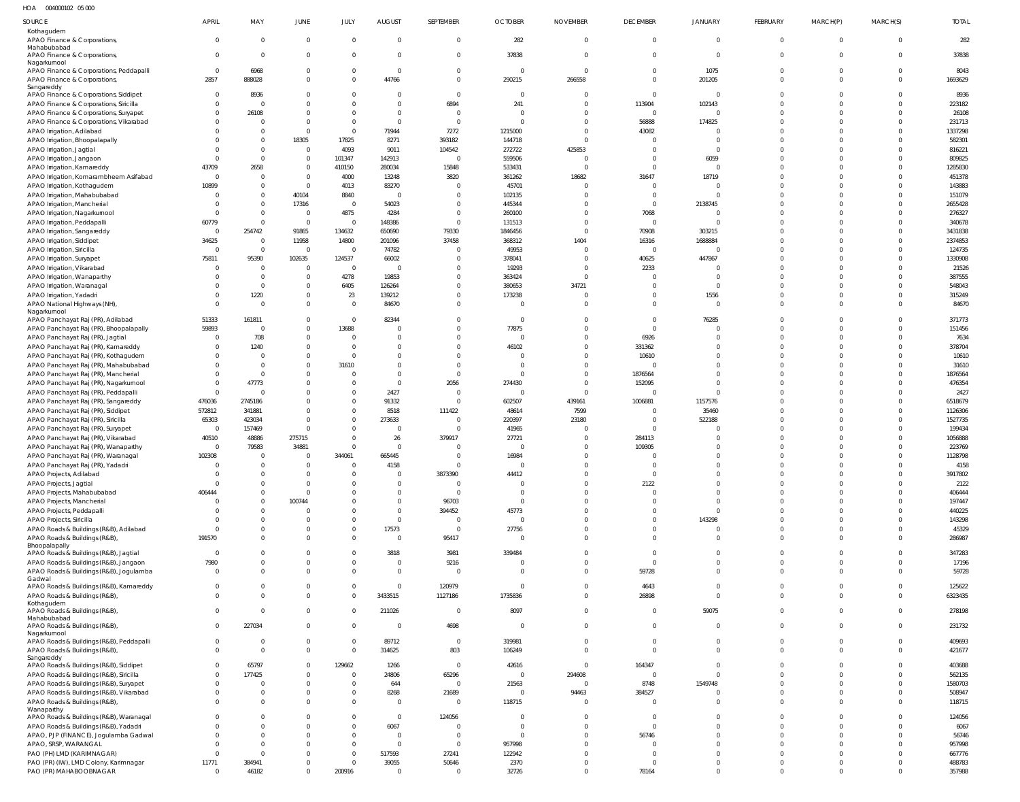HOA 004000102 05 000

| SOURCE                                                                            | APRIL                  | MAY                        | JUNE                             | JULY                             | <b>AUGUST</b>                  | SEPTEMBER                        | <b>OCTOBER</b>       | <b>NOVEMBER</b>      | <b>DECEMBER</b>         | JANUARY                        | FEBRUARY             | MARCH(P)                | MARCH(S)                   | <b>TOTAL</b>       |
|-----------------------------------------------------------------------------------|------------------------|----------------------------|----------------------------------|----------------------------------|--------------------------------|----------------------------------|----------------------|----------------------|-------------------------|--------------------------------|----------------------|-------------------------|----------------------------|--------------------|
| Kothagudem<br>APAO Finance & Corporations,                                        | $\Omega$               | $\overline{0}$             | $\overline{0}$                   | $\overline{0}$                   | $\mathbf{0}$                   | $\mathbf 0$                      | 282                  | $\Omega$             | $\mathbf{0}$            | $\mathbf{0}$                   | $\mathbf{0}$         | $\mathbf 0$             | $\overline{0}$             | 282                |
| Mahabubabad<br>APAO Finance & Corporations,                                       | $\Omega$               | $\Omega$                   | $\mathbf{0}$                     | $\Omega$                         | $\mathbf 0$                    | $\mathbf 0$                      | 37838                | $\Omega$             | $\Omega$                | $\overline{0}$                 | $\Omega$             | $\mathbf 0$             | $\overline{0}$             | 37838              |
| Nagarkurnool<br>APAO Finance & Corporations, Peddapalli                           | $\Omega$               | 6968                       | 0                                | $\overline{0}$                   | $\mathbf 0$                    | $\overline{0}$                   | $\overline{0}$       | $\Omega$             | $\Omega$                | 1075                           | $\Omega$             | $\Omega$                | $\overline{0}$             | 8043               |
| APAO Finance & Corporations,<br>Sangareddy                                        | 2857                   | 888028                     | $\Omega$                         | $\Omega$                         | 44766                          | $\overline{0}$                   | 290215               | 266558               | 0                       | 201205                         | $\Omega$             | $\Omega$                | $\Omega$                   | 1693629            |
| APAO Finance & Corporations, Siddipet<br>APAO Finance & Corporations, Siricilla   | $\Omega$               | 8936                       | $\Omega$<br>$\Omega$             | $\Omega$<br>$\Omega$             | $\Omega$<br>$\mathbf 0$        | $\overline{0}$<br>6894           | $\Omega$<br>241      | $\Omega$<br>$\Omega$ | $\Omega$<br>113904      | $\overline{0}$<br>102143       | <sup>0</sup>         | $\Omega$<br>$\Omega$    | $\Omega$<br>$\Omega$       | 8936<br>223182     |
| APAO Finance & Corporations, Suryapet                                             |                        | 26108                      | $\Omega$                         | $\Omega$                         | $\mathbf 0$                    | $\overline{0}$<br>$\Omega$       | $\Omega$             | $\Omega$             | $\overline{0}$          | 0                              | <sup>0</sup>         | $\Omega$                | $\Omega$                   | 26108              |
| APAO Finance & Corporations, Vikarabad<br>APAO Irrigation, Adilabad               |                        | $\Omega$                   | $\mathbf{0}$<br>$\overline{0}$   | $\Omega$<br>$\overline{0}$       | $\Omega$<br>71944              | 7272                             | $\Omega$<br>1215000  | $\Omega$<br>$\Omega$ | 56888<br>43082          | 174825<br>$\Omega$             |                      | $\Omega$<br>$\Omega$    | $\Omega$<br>$\Omega$       | 231713<br>1337298  |
| APAO Irrigation, Bhoopalapally<br>APAO Irrigation, Jagtial                        |                        | $\Omega$<br>$\Omega$       | 18305<br>$\mathbf 0$             | 17825<br>4093                    | 8271<br>9011                   | 393182<br>104542                 | 144718<br>272722     | $\Omega$<br>425853   |                         | $\Omega$<br>$\Omega$           |                      | $\Omega$<br>$\Omega$    | $\Omega$<br>$\Omega$       | 582301<br>816221   |
| APAO Irrigation, Jangaon                                                          |                        | $\Omega$                   | $\mathbf 0$                      | 101347                           | 142913                         | $\Omega$                         | 559506               | - 0                  |                         | 6059                           |                      | $\Omega$                | $\Omega$                   | 809825             |
| APAO Irrigation, Kamareddy<br>APAO Irrigation, Komarambheem Asifabad              | 43709<br>- 0           | 2658<br>$\Omega$           | $\mathbf 0$<br>$\mathbf 0$       | 410150<br>4000                   | 280034<br>13248                | 15848<br>3820                    | 533431<br>361262     | $\Omega$<br>18682    | 31647                   | $\Omega$<br>18719              |                      | $\Omega$<br>$\Omega$    | $\Omega$<br>$\Omega$       | 1285830<br>451378  |
| APAO Irrigation, Kothagudem<br>APAO Irrigation, Mahabubabad                       | 10899                  | $\Omega$<br>$\Omega$       | $\mathbf 0$<br>40104             | 4013<br>8840                     | 83270<br>$\overline{0}$        | $\Omega$<br>$\Omega$             | 45701<br>102135      | $\Omega$<br>$\Omega$ | 0                       | $\mathbf{0}$<br>$\Omega$       |                      | $\Omega$<br>$\Omega$    | $\Omega$<br>$\Omega$       | 143883<br>151079   |
| APAO Irrigation, Mancherial                                                       |                        | $\Omega$                   | 17316                            | $\overline{0}$                   | 54023                          | $\Omega$                         | 445344               | $\Omega$             | $\Omega$                | 2138745                        |                      | $\Omega$                | $\Omega$                   | 2655428            |
| APAO Irrigation, Nagarkurnool<br>APAO Irrigation, Peddapalli                      | - 0<br>60779           | $\Omega$<br>$\Omega$       | $\overline{0}$<br>$\overline{0}$ | 4875<br>$\overline{\mathbf{0}}$  | 4284<br>148386                 | $\overline{0}$<br>$\overline{0}$ | 260100<br>131513     | $\Omega$<br>$\Omega$ | 7068<br>0               | $\overline{0}$<br>$\Omega$     |                      | $\Omega$<br>$\Omega$    | $\Omega$<br>$\Omega$       | 276327<br>340678   |
| APAO Irrigation, Sangareddy                                                       | $\Omega$               | 254742                     | 91865                            | 134632                           | 650690                         | 79330                            | 1846456              | $\Omega$             | 70908                   | 303215                         |                      | $\Omega$                | $\Omega$                   | 3431838            |
| APAO Irrigation, Siddipet<br>APAO Irrigation, Siricilla                           | 34625<br>$\Omega$      | $\Omega$<br>$\overline{0}$ | 11958<br>$\overline{0}$          | 14800<br>$\overline{0}$          | 201096<br>74782                | 37458<br>$\overline{0}$          | 368312<br>49953      | 1404<br>$\Omega$     | 16316<br>$\overline{0}$ | 1688884<br>$\overline{0}$      |                      | $\Omega$<br>$\Omega$    | $\Omega$<br>$\Omega$       | 2374853<br>124735  |
| APAO Irrigation, Suryapet<br>APAO Irrigation, Vikarabad                           | 75811<br>- 0           | 95390<br>$\Omega$          | 102635<br>$\overline{0}$         | 124537<br>$\overline{0}$         | 66002<br>0                     | $\Omega$<br>$\overline{0}$       | 378041<br>19293      | $\Omega$<br>$\Omega$ | 40625<br>2233           | 447867<br>$\Omega$             |                      | $\Omega$<br>$\Omega$    | $\Omega$<br>$\Omega$       | 1330908<br>21526   |
| APAO Irrigation, Wanaparthy                                                       |                        | $\Omega$                   | $\mathbf 0$                      | 4278                             | 19853                          | $\Omega$                         | 363424               | $\Omega$             | $\Omega$                | $\Omega$                       |                      | $\Omega$                | $\Omega$                   | 387555             |
| APAO Irrigation, Waranagal<br>APAO Irrigation, Yadadri                            |                        | $\Omega$<br>1220           | $\mathbf 0$<br>$\mathbf 0$       | 6405<br>23                       | 126264<br>139212               | $\mathbf{0}$<br>$\Omega$         | 380653<br>173238     | 34721<br>$\Omega$    |                         | $\overline{0}$<br>1556         | <sup>0</sup>         | $\Omega$<br>$\Omega$    | $\Omega$<br>$\Omega$       | 548043<br>315249   |
| APAO National Highways (NH)<br>Nagarkurnool                                       |                        |                            | $\Omega$                         | $\Omega$                         | 84670                          | $\Omega$                         | $\Omega$             | $\Omega$             |                         | $\overline{0}$                 | $\Omega$             | $\Omega$                | $\Omega$                   | 84670              |
| APAO Panchayat Raj (PR), Adilabad                                                 | 51333                  | 161811                     | $\Omega$                         | $\Omega$                         | 82344                          | $\Omega$                         | $\Omega$             | $\Omega$             | 0                       | 76285                          |                      | $\Omega$                | $\Omega$                   | 371773             |
| APAO Panchayat Raj (PR), Bhoopalapally<br>APAO Panchayat Raj (PR), Jagtial        | 59893<br>- 0           | $\Omega$<br>708            | $\mathbf 0$<br>$\Omega$          | 13688<br>$\Omega$                | $\mathbf 0$<br>$\Omega$        | $\mathbf{0}$<br>$\Omega$         | 77875<br>$\Omega$    | $\Omega$<br>$\Omega$ | $\Omega$<br>6926        | 0<br>$\Omega$                  |                      | $\Omega$<br>$\Omega$    | $\Omega$<br>$\Omega$       | 151456<br>7634     |
| APAO Panchayat Raj (PR), Kamareddy<br>APAO Panchayat Raj (PR), Kothagudem         |                        | 1240                       | $\mathbf 0$<br>$\Omega$          | $\overline{0}$<br>$\Omega$       | $\mathbf 0$<br>$\mathbf 0$     | $\overline{0}$<br>$\Omega$       | 46102<br>$\Omega$    | $\Omega$<br>$\Omega$ | 331362<br>10610         | $\Omega$<br>$\Omega$           |                      | $\Omega$<br>$\Omega$    | $\Omega$<br>$\Omega$       | 378704<br>10610    |
| APAO Panchayat Raj (PR), Mahabubabad                                              |                        | $\Omega$                   | $\Omega$                         | 31610                            | $\mathbf 0$                    | $\Omega$                         | $\Omega$             | $\Omega$             |                         | $\Omega$                       |                      | $\Omega$                | $\Omega$                   | 31610              |
| APAO Panchayat Raj (PR), Mancherial<br>APAO Panchayat Raj (PR), Nagarkurnool      | - 0                    | $\Omega$<br>47773          | $\Omega$<br>$\mathbf 0$          | $\Omega$<br>$\Omega$             | $\overline{0}$<br>$\mathbf{0}$ | $\Omega$<br>2056                 | $\Omega$<br>274430   | $\Omega$<br>$\Omega$ | 1876564<br>152095       | $\Omega$<br>$\mathbf{0}$       |                      | $\Omega$<br>$\Omega$    | $\Omega$<br>$\Omega$       | 1876564<br>476354  |
| APAO Panchayat Raj (PR), Peddapalli                                               | $\Omega$               |                            | $\Omega$                         | $\Omega$                         | 2427                           | $\Omega$                         | $\Omega$             | $\Omega$             |                         | $\Omega$                       |                      | $\Omega$                | $\Omega$                   | 2427               |
| APAO Panchayat Raj (PR), Sangareddy<br>APAO Panchayat Raj (PR), Siddipet          | 476036<br>572812       | 2745186<br>341881          | $\Omega$<br>$\Omega$             | $\Omega$<br>$\overline{0}$       | 91332<br>8518                  | $\Omega$<br>111422               | 602507<br>48614      | 439161<br>7599       | 1006881<br>$\Omega$     | 1157576<br>35460               |                      | $\Omega$<br>$\Omega$    | $\Omega$<br>$\Omega$       | 6518679<br>1126306 |
| APAO Panchayat Raj (PR), Siricilla<br>APAO Panchayat Raj (PR), Suryapet           | 65303<br>0             | 423034<br>157469           | $\mathbf 0$<br>$\Omega$          | $\overline{0}$<br>$\Omega$       | 273633<br>$\overline{0}$       | $\Omega$<br>$\Omega$             | 220397<br>41965      | 23180                | $\Omega$                | 522188<br>$\Omega$             |                      | $\Omega$<br>$\Omega$    | $\Omega$<br>$\Omega$       | 1527735<br>199434  |
| APAO Panchayat Raj (PR), Vikarabad                                                | 40510                  | 48886                      | 275715                           | $\overline{0}$                   | 26                             | 379917                           | 27721                | $\Omega$             | 284113                  |                                |                      | $\Omega$                | $\Omega$                   | 1056888            |
| APAO Panchayat Raj (PR), Wanaparthy<br>APAO Panchayat Raj (PR), Waranagal         | $\mathsf{C}$<br>102308 | 79583<br>$\overline{0}$    | 34881<br>$\overline{0}$          | $\Omega$<br>344061               | $\Omega$<br>665445             | $\Omega$<br>$\overline{0}$       | 16984                | $\Omega$<br>$\Omega$ | 109305                  | $\Omega$<br>$\Omega$           | $\Omega$             | $\Omega$<br>$\Omega$    | $\Omega$                   | 223769<br>1128798  |
| APAO Panchayat Raj (PR), Yadadri<br>APAO Projects, Adilabad                       |                        | $\Omega$                   | $\Omega$                         | $\Omega$<br>$\Omega$             | 4158<br>$\overline{0}$         | $\Omega$<br>3873390              | 44412                | $\Omega$             | $\cap$<br>$\mathbf 0$   | $\Omega$                       |                      | C                       | $\Omega$<br>$\Omega$       | 4158<br>3917802    |
| APAO Projects, Jagtial                                                            |                        | $\Omega$                   | $\Omega$                         | $\Omega$                         | $\overline{0}$                 | $\overline{0}$                   | $\Omega$             | $\Omega$             | 2122                    | $\Omega$                       | $\Omega$             | $\Omega$                | $\Omega$                   | 2122               |
| APAO Projects, Mahabubabad<br>APAO Projects, Mancherial                           | 406444                 | $\Omega$                   | $\Omega$<br>100744               | $\Omega$<br>$\Omega$             | $\overline{0}$<br>$\mathbf 0$  | $\Omega$<br>96703                | $\Omega$<br>$\Omega$ | $\Omega$<br>$\Omega$ |                         | $\Omega$<br>$\Omega$           | $\Omega$             | $\Omega$<br>$\Omega$    | $\Omega$<br>$\Omega$       | 406444<br>197447   |
| APAO Projects, Peddapalli                                                         |                        | $\Omega$                   | $\Omega$                         | $\Omega$                         | $\overline{0}$                 | 394452                           | 45773                | $\Omega$<br>$\Omega$ |                         | $\Omega$                       |                      | $\Omega$<br>$\Omega$    | $\Omega$<br>$\Omega$       | 440225             |
| APAO Projects, Siricilla<br>APAO Roads & Buildings (R&B), Adilabad                |                        | <sup>0</sup>               | 0                                | $\Omega$<br>$\mathbf 0$          | $\overline{0}$<br>17573        | $\overline{0}$<br>$\overline{0}$ | $\Omega$<br>27756    | $\Omega$             |                         | 143298<br>$\mathbf{0}$         | <sup>0</sup>         | $\Omega$                | $\Omega$                   | 143298<br>45329    |
| APAO Roads & Buildings (R&B),<br>Bhoopalapally                                    | 191570                 |                            | $\Omega$                         | $\Omega$                         | $\mathbf{0}$                   | 95417                            | $\Omega$             | $\Omega$             |                         | $\Omega$                       | $\Omega$             | $\Omega$                | $\Omega$                   | 286987             |
| APAO Roads & Buildings (R&B), Jagtial<br>APAO Roads & Buildings (R&B), Jangaon    | - 0<br>7980            | <sup>0</sup>               | $\Omega$<br>$\mathbf 0$          | $\Omega$<br>$\overline{0}$       | 3818<br>$\overline{0}$         | 3981<br>9216                     | 339484<br>$\Omega$   | $\Omega$<br>$\Omega$ | $\Omega$<br>$\Omega$    | $\mathbf{0}$<br>$\Omega$       | 0<br>$\Omega$        | $\Omega$<br>$\Omega$    | $\Omega$<br>$\Omega$       | 347283<br>17196    |
| APAO Roads & Buildings (R&B), Jogulamba<br>Gadwal                                 | $\Omega$               | <sup>0</sup>               | $\Omega$                         | $\Omega$                         | $\overline{0}$                 | $\Omega$                         | $\Omega$             | $\Omega$             | 59728                   | $\overline{0}$                 | $\Omega$             | $\Omega$                | $\Omega$                   | 59728              |
| APAO Roads & Buildings (R&B), Kamareddy                                           |                        | $\Omega$                   | $\mathbf 0$                      | $\overline{0}$                   | $\overline{0}$                 | 120979                           | $\Omega$             | $\Omega$             | 4643                    | $\overline{0}$                 | $\Omega$             | $\Omega$                | $\Omega$                   | 125622             |
| APAO Roads & Buildings (R&B),<br>Kothagudem                                       |                        | $\Omega$                   | $\mathbf 0$                      | $\Omega$                         | 3433515                        | 1127186                          | 1735836              | $\Omega$             | 26898                   | $\Omega$                       | $\Omega$             | $\Omega$                | $\Omega$                   | 6323435            |
| APAO Roads & Buildings (R&B),<br>Mahabubabad                                      | $\Omega$               | $\Omega$                   | 0                                | $\overline{0}$                   | 211026                         | $\overline{0}$                   | 8097                 | $\Omega$             | $\mathbf{0}$            | 59075                          | $\mathbf{0}$         | $\mathbf 0$             | $\Omega$                   | 278198             |
| APAO Roads & Buildings (R&B),<br>Nagarkurnool                                     | $\Omega$               | 227034                     | $\Omega$                         | $\overline{0}$                   | $\overline{0}$                 | 4698                             | $\Omega$             | $\Omega$             | $\Omega$                | $\overline{0}$                 | $\Omega$             | $\Omega$                | $\Omega$                   | 231732             |
| APAO Roads & Buildings (R&B), Peddapalli<br>APAO Roads & Buildings (R&B),         | $\Omega$<br>$\Omega$   | $\Omega$                   | $\mathbf 0$<br>$\mathbf 0$       | $\overline{0}$<br>$\Omega$       | 89712<br>314625                | $\overline{0}$<br>803            | 319981<br>106249     | $\Omega$<br>$\Omega$ | $\Omega$<br>$\Omega$    | $\overline{0}$<br>$\mathbf{0}$ | $\Omega$<br>$\Omega$ | $\mathbf 0$<br>$\Omega$ | $\Omega$<br>$\overline{0}$ | 409693<br>421677   |
| Sangareddy<br>APAO Roads & Buildings (R&B), Siddipet                              | $\Omega$               | 65797                      | $\overline{0}$                   | 129662                           | 1266                           | $\overline{0}$                   | 42616                | $\Omega$             | 164347                  | $\overline{0}$                 | $\Omega$             | $\Omega$                | $\Omega$                   | 403688             |
| APAO Roads & Buildings (R&B), Siricilla<br>APAO Roads & Buildings (R&B), Suryapet | $\Omega$               | 177425                     | $\Omega$<br>$\Omega$             | $\Omega$<br>$\overline{0}$       | 24806<br>644                   | 65296<br>$\overline{0}$          | $\Omega$<br>21563    | 294608<br>$\Omega$   | $\Omega$<br>8748        | $\Omega$<br>1549748            | $\Omega$             | $\Omega$<br>$\Omega$    | $\Omega$<br>$\Omega$       | 562135<br>1580703  |
| APAO Roads & Buildings (R&B), Vikarabad                                           |                        |                            | $\mathbf 0$                      | $\overline{0}$                   | 8268                           | 21689                            | $\overline{0}$       | 94463                | 384527                  | $\mathbf{0}$                   | $\Omega$             | $\Omega$                | $\overline{0}$             | 508947             |
| APAO Roads & Buildings (R&B),<br>Wanaparthy                                       |                        |                            | $\Omega$                         | $\overline{0}$                   | $\overline{0}$                 | $\Omega$                         | 118715               | $\Omega$             | $\Omega$                | $\Omega$                       | $\Omega$             | $\Omega$                | $\Omega$                   | 118715             |
| APAO Roads & Buildings (R&B), Waranagal<br>APAO Roads & Buildings (R&B), Yadadri  |                        |                            |                                  | $\overline{0}$<br>$\overline{0}$ | $\overline{0}$<br>6067         | 124056<br>$\Omega$               | $\Omega$<br>$\Omega$ | $\Omega$<br>$\Omega$ | 0<br>$\Omega$           | $\Omega$                       | $\Omega$             | $\Omega$<br>$\Omega$    | $\Omega$<br>$\Omega$       | 124056<br>6067     |
| APAO, PJP (FINANCE), Jogulamba Gadwal                                             |                        |                            |                                  | $\overline{0}$                   | $\overline{0}$                 | $\overline{0}$                   | $\Omega$             | $\Omega$             | 56746                   | $\Omega$                       | $\Omega$             | $\Omega$                | $\Omega$                   | 56746              |
| APAO, SRSP, WARANGAL<br>PAO (PH) LMD (KARIMNAGAR)                                 | $\Omega$               |                            |                                  | $\overline{0}$<br>$\overline{0}$ | $\mathbf{0}$<br>517593         | $\Omega$<br>27241                | 957998<br>122942     | $\Omega$<br>$\Omega$ |                         | $\Omega$<br>$\Omega$           | $\Omega$<br>0        | $\Omega$<br>$\Omega$    | $\Omega$<br>$\Omega$       | 957998<br>667776   |
| PAO (PR) (IW), LMD Colony, Karimnagar<br>PAO (PR) MAHABOOBNAGAR                   | 11771<br>- 0           | 384941<br>46182            | $\Omega$<br>$\Omega$             | $\overline{0}$<br>200916         | 39055<br>$\overline{0}$        | 50646<br>$\Omega$                | 2370<br>32726        | $\Omega$<br>$\Omega$ | 78164                   | $\Omega$<br>$\mathbf{0}$       | 0<br>$\Omega$        | $\mathbf 0$<br>$\Omega$ | $\Omega$<br>$\Omega$       | 488783<br>357988   |
|                                                                                   |                        |                            |                                  |                                  |                                |                                  |                      |                      |                         |                                |                      |                         |                            |                    |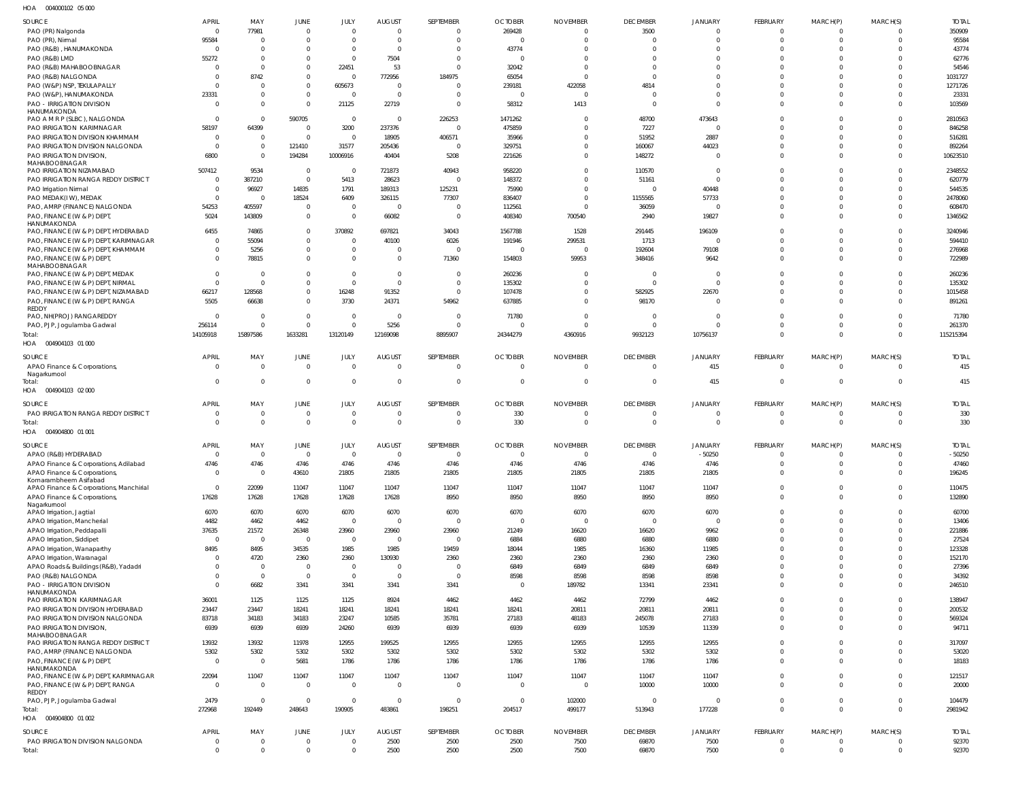004000102 05 000 HOA

| SOURCE                                                  | APRIL                            | MAY               | JUNE                          | JULY                             | <b>AUGUST</b>          | SEPTEMBER                  | <b>OCTOBER</b>        | <b>NOVEMBER</b>         | <b>DECEMBER</b>        | <b>JANUARY</b>           | FEBRUARY                    | MARCH(P)                         | MARCH(S)             | <b>TOTAL</b>    |
|---------------------------------------------------------|----------------------------------|-------------------|-------------------------------|----------------------------------|------------------------|----------------------------|-----------------------|-------------------------|------------------------|--------------------------|-----------------------------|----------------------------------|----------------------|-----------------|
| PAO (PR) Nalgonda                                       | $\overline{0}$                   | 77981<br>$\Omega$ | $\mathbf{0}$<br>$\Omega$      | $\overline{0}$<br>$\Omega$       | $\Omega$<br>$\Omega$   | $\overline{0}$<br>$\Omega$ | 269428<br>$\mathbf 0$ | $\mathbf 0$<br>$\Omega$ | 3500<br>$\overline{0}$ | $\mathbf{0}$<br>$\Omega$ | $\overline{0}$<br>$\Omega$  | $\Omega$<br>$\Omega$             | $\Omega$<br>$\Omega$ | 350909<br>95584 |
| PAO (PR), Nirmal<br>PAO (R&B), HANUMAKONDA              | 95584<br>$\overline{0}$          | $\Omega$          | $\Omega$                      | $\overline{0}$                   | $\Omega$               | $\Omega$                   | 43774                 |                         | $\mathbf 0$            | $\mathbf 0$              | $\Omega$                    | $\Omega$                         | $\Omega$             | 43774           |
| PAO (R&B) LMD                                           | 55272                            | $\Omega$          | $\Omega$                      | $\Omega$                         | 7504                   | $\Omega$                   | $\Omega$              | $\Omega$                | $\Omega$               | $\Omega$                 | $\Omega$                    | $\Omega$                         | $\Omega$             | 62776           |
| PAO (R&B) MAHABOOBNAGAR                                 | $\Omega$                         | $\Omega$          | $\mathbf 0$                   | 22451                            | 53                     | $\Omega$                   | 32042                 | $\Omega$                | $\Omega$               | $\mathbf 0$              | $\Omega$                    | $\Omega$                         | $\Omega$             | 54546           |
| PAO (R&B) NALGONDA                                      | $\Omega$                         | 8742              | $\mathbf 0$                   | $\overline{0}$                   | 772956                 | 184975                     | 65054                 | $\Omega$                | $\Omega$               | $\Omega$                 | $\Omega$                    | $\Omega$                         | $\Omega$             | 1031727         |
| PAO (W&P) NSP, TEKULAPALLY                              | $\Omega$                         | $\Omega$          | $\mathbf 0$                   | 605673                           | $\Omega$               | $\Omega$                   | 239181                | 422058                  | 4814                   | $\Omega$                 | $\Omega$                    | $\Omega$                         | $\Omega$             | 1271726         |
| PAO (W&P), HANUMAKONDA                                  | 23331                            | $\Omega$          | $\mathbf 0$                   | $\overline{0}$                   | $\Omega$               | $\Omega$                   | $\overline{0}$        | $\Omega$                | $\overline{0}$         | $\mathbf 0$              | $\Omega$                    | $\Omega$                         | -0                   | 23331           |
| <b>PAO - IRRIGATION DIVISION</b><br>HANUMAKONDA         | $\Omega$                         | $\Omega$          | $\mathbf 0$                   | 21125                            | 22719                  | $\Omega$                   | 58312                 | 1413                    | $\mathbf{0}$           | $\Omega$                 | $\Omega$                    | $\Omega$                         | $\Omega$             | 103569          |
| PAO A M R P (SLBC), NALGONDA                            | $\overline{0}$                   | $\Omega$          | 590705                        | $\overline{0}$                   | $\Omega$               | 226253                     | 1471262               | 0                       | 48700                  | 473643                   | $\Omega$                    | $\Omega$                         | $\Omega$             | 2810563         |
| PAO IRRIGATION KARIMNAGAR                               | 58197                            | 64399             | $\overline{0}$                | 3200                             | 237376                 | $\overline{0}$             | 475859                |                         | 7227                   | $\overline{0}$           | $\Omega$                    | $\Omega$                         | $\Omega$             | 846258          |
| PAO IRRIGATION DIVISION KHAMMAM                         | $\overline{0}$                   | $\Omega$          | $\overline{0}$                | $\overline{0}$                   | 18905                  | 406571                     | 35966                 | $\Omega$                | 51952                  | 2887                     | $\Omega$                    | $\Omega$                         | $\Omega$             | 516281          |
| PAO IRRIGATION DIVISION NALGONDA                        | - 0                              | $\Omega$          | 121410                        | 31577                            | 205436                 | $\overline{0}$             | 329751                | $\Omega$                | 160067                 | 44023                    | $\mathbf 0$                 | $\Omega$                         | $\overline{0}$       | 892264          |
| PAO IRRIGATION DIVISION,                                | 6800                             | $\Omega$          | 194284                        | 10006916                         | 40404                  | 5208                       | 221626                | $\Omega$                | 148272                 | $\mathbf{0}$             | $\Omega$                    | $\Omega$                         | $\mathbf 0$          | 10623510        |
| MAHABOOBNAGAR<br>PAO IRRIGATION NIZAMABAD               | 507412                           | 9534              | $\overline{0}$                | $\overline{0}$                   | 721873                 | 40943                      | 958220                | 0                       | 110570                 | $\mathbf 0$              | $\Omega$                    | $\Omega$                         | $\Omega$             | 2348552         |
| PAO IRRIGATION RANGA REDDY DISTRICT                     | $\overline{0}$                   | 387210            | $\overline{0}$                | 5413                             | 28623                  | $\overline{0}$             | 148372                | $\Omega$                | 51161                  | $\mathbf{0}$             | $\Omega$                    | $\Omega$                         | $\Omega$             | 620779          |
| PAO Irrigation Nirmal                                   | - 0                              | 96927             | 14835                         | 1791                             | 189313                 | 125231                     | 75990                 | $\Omega$                | $\overline{0}$         | 40448                    | $\Omega$                    | $\Omega$                         | $\Omega$             | 544535          |
| PAO MEDAK(IW), MEDAK                                    | $\Omega$                         | - 0               | 18524                         | 6409                             | 326115                 | 77307                      | 836407                | $\Omega$                | 1155565                | 57733                    | $\Omega$                    | $\Omega$                         | $\Omega$             | 2478060         |
| PAO, AMRP (FINANCE) NALGONDA                            | 54253                            | 405597            | $\overline{0}$                | $\overline{0}$                   | 0                      | $\Omega$                   | 112561                | $\Omega$                | 36059                  | $^{\circ}$               | $\mathbf 0$                 | $\Omega$                         | $^{\circ}$           | 608470          |
| PAO, FINANCE (W & P) DEPT<br>HANUMAKONDA                | 5024                             | 143809            | $\overline{0}$                | $\Omega$                         | 66082                  | $\overline{0}$             | 408340                | 700540                  | 2940                   | 19827                    | $\Omega$                    | $\Omega$                         | $\Omega$             | 1346562         |
| PAO, FINANCE (W & P) DEPT, HYDERABAD                    | 6455                             | 74865             | $\mathbf 0$                   | 370892                           | 697821                 | 34043                      | 1567788               | 1528                    | 291445                 | 196109                   | $\Omega$                    | $\Omega$                         | $\Omega$             | 3240946         |
| PAO, FINANCE (W & P) DEPT, KARIMNAGAR                   | $\overline{0}$                   | 55094             | $\mathbf 0$                   | $\overline{0}$                   | 40100                  | 6026                       | 191946                | 299531                  | 1713                   | $^{\circ}$               | $\Omega$                    | $\Omega$                         | $\Omega$             | 594410          |
| PAO, FINANCE (W & P) DEPT, KHAMMAM                      | $\overline{0}$                   | 5256              | $\mathbf 0$                   | $\overline{0}$                   | $\mathbf{0}$           | $\Omega$                   | $\overline{0}$        | $\mathbf 0$             | 192604                 | 79108                    | $\mathbf 0$                 | $\Omega$                         | $^{\circ}$           | 276968          |
| PAO, FINANCE (W & P) DEPT,                              | $\Omega$                         | 78815             | $\Omega$                      | $\mathbf 0$                      | $\Omega$               | 71360                      | 154803                | 59953                   | 348416                 | 9642                     | $\Omega$                    | $\Omega$                         | $\Omega$             | 722989          |
| MAHABOOBNAGAR<br>PAO, FINANCE (W & P) DEPT, MEDAK       | $\overline{0}$                   | - 0               | $\Omega$                      | $\overline{0}$                   | $\Omega$               | 0                          | 260236                | 0                       | $\overline{0}$         | $\mathbf 0$              | $\Omega$                    | $\Omega$                         | $\Omega$             | 260236          |
| PAO, FINANCE (W & P) DEPT, NIRMAL                       | $\Omega$                         | $\Omega$          | $\Omega$                      | $\Omega$                         | $\Omega$               | $\Omega$                   | 135302                | $\Omega$                | $\overline{0}$         | $\mathbf{0}$             | $\Omega$                    | $\Omega$                         | $^{\circ}$           | 135302          |
| PAO, FINANCE (W & P) DEPT, NIZAMABAD                    | 66217                            | 128568            | $\mathbf 0$                   | 16248                            | 91352                  | $\Omega$                   | 107478                | $\Omega$                | 582925                 | 22670                    | $\mathbf 0$                 | $\Omega$                         | $\overline{0}$       | 1015458         |
| PAO, FINANCE (W & P) DEPT, RANGA                        | 5505                             | 66638             | $\mathbf 0$                   | 3730                             | 24371                  | 54962                      | 637885                | $\Omega$                | 98170                  | $\mathbf{0}$             | $\Omega$                    | $\Omega$                         | $\Omega$             | 891261          |
| REDDY                                                   | $\overline{0}$                   | $\Omega$          | $\mathbf{0}$                  | $\overline{0}$                   | $\overline{0}$         | $\overline{0}$             |                       | $\Omega$                | $\overline{0}$         | $\mathbf 0$              | $\Omega$                    | $\mathbf 0$                      | - 0                  | 71780           |
| PAO, NH(PROJ) RANGAREDDY<br>PAO, PJP, Jogulamba Gadwal  | 256114                           | $\Omega$          | $\Omega$                      | $\Omega$                         | 5256                   | $\Omega$                   | 71780<br>$\Omega$     | $\Omega$                | $\overline{0}$         | $\mathbf 0$              | $\mathbf 0$                 | $\overline{0}$                   | $\overline{0}$       | 261370          |
| Total:                                                  | 14105918                         | 15897586          | 1633281                       | 13120149                         | 12169098               | 8895907                    | 24344279              | 4360916                 | 9932123                | 10756137                 | $\Omega$                    | $\Omega$                         | $\Omega$             | 115215394       |
| HOA  004904103  01  000                                 |                                  |                   |                               |                                  |                        |                            |                       |                         |                        |                          |                             |                                  |                      |                 |
| SOURCE                                                  | <b>APRIL</b>                     | MAY               | <b>JUNE</b>                   | JULY                             | <b>AUGUST</b>          | SEPTEMBER                  | <b>OCTOBER</b>        | <b>NOVEMBER</b>         | <b>DECEMBER</b>        | JANUARY                  | FEBRUARY                    | MARCH(P)                         | MARCH(S)             | <b>TOTAL</b>    |
| APAO Finance & Corporations                             | $\Omega$                         | $\Omega$          | $\Omega$                      | $\Omega$                         | $\Omega$               | $\Omega$                   | $\Omega$              | $\Omega$                | $\overline{0}$         | 415                      | $\Omega$                    | $\Omega$                         | $\Omega$             | 415             |
| Nagarkurnool                                            |                                  |                   |                               |                                  |                        |                            |                       |                         |                        |                          |                             |                                  |                      |                 |
| Total:                                                  | $\Omega$                         | $\Omega$          | $\mathbf 0$                   | $\Omega$                         | $\Omega$               | $\mathbf{0}$               | $\mathbf 0$           | $\Omega$                | $\overline{0}$         | 415                      | $\mathbf{0}$                | $\overline{0}$                   | $\overline{0}$       | 415             |
|                                                         |                                  |                   |                               |                                  |                        |                            |                       |                         |                        |                          |                             |                                  |                      |                 |
| HOA  004904103  02  000                                 |                                  |                   |                               |                                  |                        |                            |                       |                         |                        |                          |                             |                                  |                      |                 |
| SOURCE                                                  | <b>APRIL</b>                     | MAY               | <b>JUNE</b>                   | JULY                             | <b>AUGUST</b>          | SEPTEMBER                  | <b>OCTOBER</b>        | <b>NOVEMBER</b>         | <b>DECEMBER</b>        | JANUARY                  | FEBRUARY                    | MARCH(P)                         | MARCH(S)             | <b>TOTAL</b>    |
| PAO IRRIGATION RANGA REDDY DISTRICT                     | - 0                              | $\Omega$          | $\overline{0}$                | $\overline{0}$                   | $\Omega$               | $\overline{0}$             | 330                   | 0                       | $\overline{0}$         | $\mathbf{0}$             | $\mathbf{0}$                | $\overline{0}$                   | $\Omega$             | 330             |
| Total:                                                  | $\Omega$                         | $\Omega$          | $\overline{0}$                | $\mathbf{0}$                     | $\mathbf 0$            | $\overline{0}$             | 330                   | $\mathbf 0$             | $\mathbf 0$            | $\mathbf 0$              | $\mathbf{0}$                | $\overline{0}$                   | $\overline{0}$       | 330             |
| HOA  004904800  01  001                                 |                                  |                   |                               |                                  |                        |                            |                       |                         |                        |                          |                             |                                  |                      |                 |
| <b>SOURCE</b>                                           | APRIL                            | MAY               | JUNE                          | JULY                             | <b>AUGUST</b>          | SEPTEMBER                  | <b>OCTOBER</b>        | <b>NOVEMBER</b>         | <b>DECEMBER</b>        | JANUARY                  | <b>FEBRUARY</b>             | MARCH(P)                         | MARCH(S)             | <b>TOTAL</b>    |
| APAO (R&B) HYDERABAD                                    | $\Omega$                         | $\Omega$          | $\Omega$                      | $\Omega$                         | $\Omega$               | $\Omega$                   | $\mathbf 0$           |                         | $\Omega$               | $-50250$                 | $\Omega$                    | $\Omega$                         | $\Omega$             | $-50250$        |
| APAO Finance & Corporations, Adilabad                   | 4746                             | 4746              | 4746                          | 4746                             | 4746                   | 4746                       | 4746                  | 4746                    | 4746                   | 4746                     | $\Omega$                    | $\Omega$                         | $\Omega$             | 47460           |
| APAO Finance & Corporations<br>Komarambheem Asifabad    | $\mathbf 0$                      | $\Omega$          | 43610                         | 21805                            | 21805                  | 21805                      | 21805                 | 21805                   | 21805                  | 21805                    | $\mathbf 0$                 | $\overline{0}$                   | $\overline{0}$       | 196245          |
| APAO Finance & Corporations, Manchirial                 | $\overline{0}$                   | 22099             | 11047                         | 11047                            | 11047                  | 11047                      | 11047                 | 11047                   | 11047                  | 11047                    | $\mathbf{0}$                | $\overline{0}$                   | $\mathbf 0$          | 110475          |
| APAO Finance & Corporations,                            | 17628                            | 17628             | 17628                         | 17628                            | 17628                  | 8950                       | 8950                  | 8950                    | 8950                   | 8950                     | $\Omega$                    | $\Omega$                         | $\Omega$             | 132890          |
| Nagarkurnool                                            |                                  |                   |                               |                                  |                        |                            |                       |                         |                        |                          | $\Omega$                    | $\overline{0}$                   | $\Omega$             |                 |
| APAO Irrigation, Jagtial<br>APAO Irrigation, Mancherial | 6070<br>4482                     | 6070<br>4462      | 6070<br>4462                  | 6070<br>$\overline{0}$           | 6070<br>$\overline{0}$ | 6070<br>$\overline{0}$     | 6070<br>$\mathbf 0$   | 6070<br>$\Omega$        | 6070<br>$\overline{0}$ | 6070<br>$\overline{0}$   | $\Omega$                    | $\overline{0}$                   | $\mathbf 0$          | 60700<br>13406  |
| APAO Irrigation, Peddapalli                             | 37635                            | 21572             | 26348                         | 23960                            | 23960                  | 23960                      | 21249                 | 16620                   | 16620                  | 9962                     | $\Omega$                    | $\overline{0}$                   | $\Omega$             | 221886          |
| APAO Irrigation, Siddipet                               | $\overline{0}$                   | $\overline{0}$    | $\overline{0}$                | $\overline{0}$                   | $\Omega$               | $\mathbf{0}$               | 6884                  | 6880                    | 6880                   | 6880                     | $\Omega$                    | $\Omega$                         | $\Omega$             | 27524           |
| APAO Irrigation, Wanaparthy                             | 8495                             | 8495              | 34535                         | 1985                             | 1985                   | 19459                      | 18044                 | 1985                    | 16360                  | 11985                    | $\Omega$                    | $\overline{0}$                   | $\Omega$             | 123328          |
| APAO Irrigation, Waranagal                              | $\Omega$                         | 4720              | 2360                          | 2360                             | 130930                 | 2360                       | 2360                  | 2360                    | 2360                   | 2360                     | $\Omega$                    | $\Omega$                         | $\Omega$             | 152170          |
| APAO Roads & Buildings (R&B), Yadadri                   | $\Omega$                         | $\Omega$          | $\overline{0}$                | $\overline{0}$                   | $\Omega$               | $\Omega$                   | 6849                  | 6849                    | 6849                   | 6849                     | $\Omega$                    | $\overline{0}$                   | $\Omega$             | 27396           |
| PAO (R&B) NALGONDA                                      | $\Omega$                         | $\Omega$          | $\overline{0}$                | $\Omega$                         | $\Omega$               | $\Omega$                   | 8598                  | 8598                    | 8598                   | 8598                     | $\Omega$                    | $\overline{0}$                   | $\mathbf 0$          | 34392           |
| <b>PAO - IRRIGATION DIVISION</b><br>HANUMAKONDA         | $\Omega$                         | 6682              | 3341                          | 3341                             | 3341                   | 3341                       | $\mathbf 0$           | 189782                  | 13341                  | 23341                    | $\Omega$                    | $\Omega$                         | $\Omega$             | 246510          |
| PAO IRRIGATION KARIMNAGAR                               | 36001                            | 1125              | 1125                          | 1125                             | 8924                   | 4462                       | 4462                  | 4462                    | 72799                  | 4462                     | $\mathbf 0$                 | $\Omega$                         | $\overline{0}$       | 138947          |
| PAO IRRIGATION DIVISION HYDERABAD                       | 23447                            | 23447             | 18241                         | 18241                            | 18241                  | 18241                      | 18241                 | 20811                   | 20811                  | 20811                    | $\mathbf 0$                 | $\overline{0}$                   | $\mathbf 0$          | 200532          |
| PAO IRRIGATION DIVISION NALGONDA                        | 83718                            | 34183             | 34183                         | 23247                            | 10585                  | 35781                      | 27183                 | 48183                   | 245078                 | 27183                    | $\mathbf 0$                 | $\overline{0}$                   | $\mathbf 0$          | 569324          |
| PAO IRRIGATION DIVISION,<br>MAHABOOBNAGAR               | 6939                             | 6939              | 6939                          | 24260                            | 6939                   | 6939                       | 6939                  | 6939                    | 10539                  | 11339                    | $\mathbf{0}$                | $\Omega$                         | $\Omega$             | 94711           |
| PAO IRRIGATION RANGA REDDY DISTRICT                     | 13932                            | 13932             | 11978                         | 12955                            | 199525                 | 12955                      | 12955                 | 12955                   | 12955                  | 12955                    | $\mathbf 0$                 | $\overline{0}$                   | $\overline{0}$       | 317097          |
| PAO, AMRP (FINANCE) NALGONDA                            | 5302                             | 5302              | 5302                          | 5302                             | 5302                   | 5302                       | 5302                  | 5302                    | 5302                   | 5302                     | $\mathbf 0$                 | $\overline{0}$                   | $\mathbf 0$          | 53020           |
| PAO, FINANCE (W & P) DEPT,                              | $\overline{0}$                   | - 0               | 5681                          | 1786                             | 1786                   | 1786                       | 1786                  | 1786                    | 1786                   | 1786                     | $\mathbf 0$                 | $\overline{0}$                   | $\mathbf 0$          | 18183           |
| HANUMAKONDA<br>PAO, FINANCE (W & P) DEPT, KARIMNAGAR    | 22094                            | 11047             | 11047                         | 11047                            | 11047                  | 11047                      | 11047                 | 11047                   | 11047                  | 11047                    | $\mathbf 0$                 | $\overline{0}$                   | $\overline{0}$       | 121517          |
| PAO, FINANCE (W & P) DEPT, RANGA                        | $\overline{0}$                   | $\Omega$          | $\overline{0}$                | $\overline{0}$                   | $\overline{0}$         | $\overline{0}$             | $\overline{0}$        | $\Omega$                | 10000                  | 10000                    | $\mathbf 0$                 | $\overline{0}$                   | $\overline{0}$       | 20000           |
| REDDY                                                   |                                  |                   |                               |                                  |                        |                            |                       |                         |                        |                          |                             |                                  |                      |                 |
| PAO, PJP, Jogulamba Gadwal                              | 2479                             | $\overline{0}$    | $\overline{0}$                | $\overline{\mathbf{0}}$          | $\overline{0}$         | $\overline{0}$             | $\mathbf{0}$          | 102000                  | $\overline{0}$         | $\mathbf{0}$             | $\mathbf{0}$                | $\overline{0}$                   | $\overline{0}$       | 104479          |
| Total:<br>HOA  004904800  01  002                       | 272968                           | 192449            | 248643                        | 190905                           | 483861                 | 198251                     | 204517                | 499177                  | 513943                 | 177228                   | $\mathbf{0}$                | $\overline{0}$                   | $\overline{0}$       | 2981942         |
|                                                         |                                  |                   |                               |                                  |                        |                            |                       |                         |                        |                          |                             |                                  |                      |                 |
| <b>SOURCE</b>                                           | <b>APRIL</b>                     | MAY<br>$\Omega$   | <b>JUNE</b>                   | JULY                             | <b>AUGUST</b>          | SEPTEMBER                  | <b>OCTOBER</b>        | <b>NOVEMBER</b>         | <b>DECEMBER</b>        | JANUARY                  | <b>FEBRUARY</b>             | MARCH(P)                         | MARCH(S)<br>$\Omega$ | <b>TOTAL</b>    |
| PAO IRRIGATION DIVISION NALGONDA<br>Total:              | $\overline{0}$<br>$\overline{0}$ | $\Omega$          | $\overline{0}$<br>$\mathbf 0$ | $\overline{0}$<br>$\overline{0}$ | 2500<br>2500           | 2500<br>2500               | 2500<br>2500          | 7500<br>7500            | 69870<br>69870         | 7500<br>7500             | $\mathbf{0}$<br>$\mathbf 0$ | $\overline{0}$<br>$\overline{0}$ | $\overline{0}$       | 92370<br>92370  |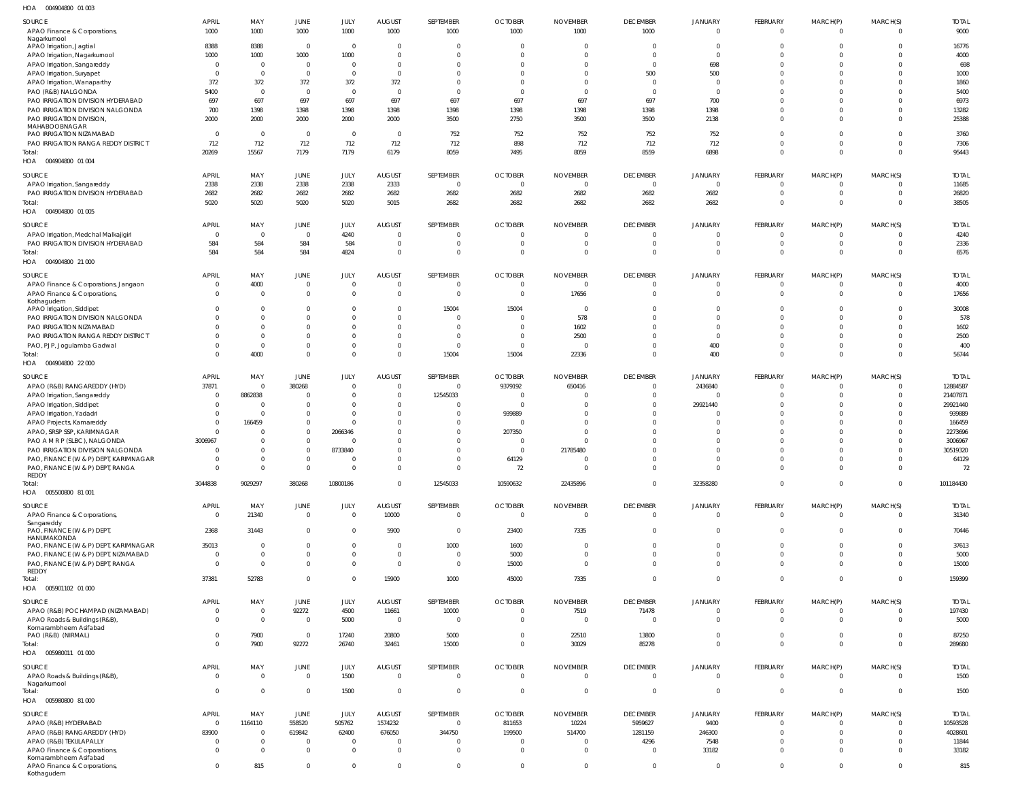004904800 01 003 HOA

| $\cdots$<br><b>OUTIVITUOU UI UUJ</b>                                      |                      |                     |                |              |                                           |                     |                                  |                                  |                         |                               |                              |                          |                      |                      |
|---------------------------------------------------------------------------|----------------------|---------------------|----------------|--------------|-------------------------------------------|---------------------|----------------------------------|----------------------------------|-------------------------|-------------------------------|------------------------------|--------------------------|----------------------|----------------------|
| SOURCE<br>APAO Finance & Corporations,                                    | <b>APRIL</b><br>1000 | MAY<br>1000         | JUNE<br>1000   | JULY<br>1000 | <b>AUGUST</b><br>1000                     | SEPTEMBER<br>1000   | <b>OCTOBER</b><br>1000           | <b>NOVEMBER</b><br>1000          | <b>DECEMBER</b><br>1000 | <b>JANUARY</b><br>$\mathbf 0$ | FEBRUARY<br>$\overline{0}$   | MARCH(P)<br>$\Omega$     | MARCH(S)<br>$\Omega$ | <b>TOTAL</b><br>9000 |
| Nagarkurnool<br>APAO Irrigation, Jagtial                                  | 8388                 | 8388                | $\overline{0}$ | - 0          | $\overline{\mathbf{0}}$                   | $\Omega$            | $\overline{0}$                   | $\Omega$                         | $\Omega$                | 0                             | $\Omega$                     | $\Omega$                 | $\Omega$             | 16776                |
| APAO Irrigation, Nagarkurnool                                             | 1000                 | 1000                | 1000           | 1000         | $\Omega$                                  | $\Omega$            | $\Omega$                         | $\Omega$                         |                         | $\Omega$                      | $\Omega$                     | $\Omega$                 | $\cup$               | 4000                 |
| APAO Irrigation, Sangareddy                                               | $\Omega$             | $\mathbf{0}$        | $\mathbf 0$    | $\Omega$     | $\Omega$                                  | $\Omega$            | $\Omega$                         | $\Omega$                         | $\Omega$                | 698                           | $\Omega$                     | $\Omega$                 | $\Omega$             | 698                  |
| APAO Irrigation, Suryapet                                                 | $\Omega$             | $\Omega$            | $\mathbf{0}$   | $\Omega$     | $\Omega$                                  | $\Omega$            | $\Omega$                         | $\Omega$                         | 500                     | 500                           | $\Omega$                     | $\Omega$                 | $\cup$               | 1000                 |
| APAO Irrigation, Wanaparthy                                               | 372                  | 372                 | 372            | 372          | 372                                       | $\Omega$            | $\Omega$                         | $\Omega$                         | $\Omega$                | $\mathbf 0$                   | $\Omega$                     |                          | $\cup$               | 1860                 |
| PAO (R&B) NALGONDA                                                        | 5400                 | $\overline{0}$      | $\overline{0}$ | $\Omega$     | $\Omega$                                  | - 0                 | $\Omega$                         | $\Omega$                         | $\Omega$                | $\Omega$                      | $\Omega$                     | <sup>0</sup>             | $\cup$               | 5400                 |
| PAO IRRIGATION DIVISION HYDERABAD                                         | 697                  | 697                 | 697            | 697          | 697                                       | 697                 | 697                              | 697                              | 697                     | 700                           | $\Omega$                     | <sup>0</sup>             | $\Omega$             | 6973                 |
| PAO IRRIGATION DIVISION NALGONDA                                          | 700                  | 1398                | 1398           | 1398         | 1398                                      | 1398                | 1398                             | 1398                             | 1398                    | 1398                          | $\Omega$                     | $\Omega$                 | $\Omega$             | 13282                |
| PAO IRRIGATION DIVISION,                                                  | 2000                 | 2000                | 2000           | 2000         | 2000                                      | 3500                | 2750                             | 3500                             | 3500                    | 2138                          | $\Omega$                     | $\Omega$                 | $\Omega$             | 25388                |
| MAHABOOBNAGAR<br>PAO IRRIGATION NIZAMABAD                                 | $\Omega$             | $\Omega$            | $\overline{0}$ | - 0          | $\overline{0}$                            | 752                 | 752                              | 752                              | 752                     | 752                           | $\Omega$                     | $\Omega$                 | $\Omega$             | 3760                 |
| PAO IRRIGATION RANGA REDDY DISTRICT                                       | 712                  | 712                 | 712            | 712          | 712                                       | 712                 | 898                              | 712                              | 712                     | 712                           | $\mathbf 0$                  | $\mathbf{0}$             | $\mathbf 0$          | 7306                 |
| Total:                                                                    | 20269                | 15567               | 7179           | 7179         | 6179                                      | 8059                | 7495                             | 8059                             | 8559                    | 6898                          | $\Omega$                     | $\Omega$                 | $\Omega$             | 95443                |
| HOA<br>004904800 01 004                                                   |                      |                     |                |              |                                           |                     |                                  |                                  |                         |                               |                              |                          |                      |                      |
| SOURCE                                                                    | <b>APRIL</b>         | MAY                 | JUNE           | JULY         | <b>AUGUST</b>                             | SEPTEMBER           | <b>OCTOBER</b>                   | <b>NOVEMBER</b>                  | <b>DECEMBER</b>         | JANUARY                       | FEBRUARY                     | MARCH(P)                 | MARCH(S)             | <b>TOTAL</b>         |
| APAO Irrigation, Sangareddy                                               | 2338                 | 2338                | 2338           | 2338         | 2333                                      | $\overline{0}$      | $\overline{0}$                   | $\overline{0}$                   | $\overline{0}$          | $\mathbf 0$                   | $\overline{0}$               | $\overline{0}$           | 0                    | 11685                |
| PAO IRRIGATION DIVISION HYDERABAD                                         | 2682                 | 2682                | 2682           | 2682         | 2682                                      | 2682                | 2682                             | 2682                             | 2682                    | 2682                          | $\mathbf 0$                  | $\mathbf{0}$             | 0                    | 26820                |
| Total:                                                                    | 5020                 | 5020                | 5020           | 5020         | 5015                                      | 2682                | 2682                             | 2682                             | 2682                    | 2682                          | $\mathbf 0$                  | $\overline{0}$           | $\mathbf 0$          | 38505                |
| HOA  004904800  01  005                                                   |                      |                     |                |              |                                           |                     |                                  |                                  |                         |                               |                              |                          |                      |                      |
| SOURCE                                                                    | <b>APRIL</b>         | MAY                 | JUNE           | JULY         | <b>AUGUST</b>                             | SEPTEMBER           | <b>OCTOBER</b>                   | <b>NOVEMBER</b>                  | <b>DECEMBER</b>         | <b>JANUARY</b>                | FEBRUARY                     | MARCH(P)                 | MARCH(S)             | <b>TOTAL</b>         |
|                                                                           |                      |                     |                |              |                                           |                     |                                  |                                  |                         |                               |                              |                          |                      |                      |
| APAO Irrigation, Medchal Malkajigiri<br>PAO IRRIGATION DIVISION HYDERABAD | $\Omega$             | $\mathbf{0}$<br>584 | $\mathbf 0$    | 4240         | $\overline{\mathbf{0}}$<br>$\overline{0}$ | 0<br>$\overline{0}$ | $\overline{0}$<br>$\overline{0}$ | $\overline{0}$<br>$\overline{0}$ | $\Omega$                | 0<br>$\mathbf 0$              | $^{\circ}$<br>$\overline{0}$ | $\Omega$<br>$\mathbf{0}$ | $\Omega$<br>$\Omega$ | 4240                 |
| Total:                                                                    | 584<br>584           | 584                 | 584<br>584     | 584<br>4824  | $\overline{0}$                            | $\overline{0}$      | $\overline{0}$                   | $\overline{0}$                   | $\Omega$                | $\mathbf 0$                   | $\overline{0}$               | $\Omega$                 | $\Omega$             | 2336<br>6576         |
| HOA  004904800  21 000                                                    |                      |                     |                |              |                                           |                     |                                  |                                  |                         |                               |                              |                          |                      |                      |
| SOURCE                                                                    | <b>APRIL</b>         | MAY                 | JUNE           | JULY         | <b>AUGUST</b>                             | SEPTEMBER           | <b>OCTOBER</b>                   | <b>NOVEMBER</b>                  | <b>DECEMBER</b>         | <b>JANUARY</b>                | FEBRUARY                     | MARCH(P)                 | MARCH(S)             | <b>TOTAL</b>         |
| APAO Finance & Corporations, Jangaon                                      | $\overline{0}$       | 4000                | $\mathbf 0$    | $\Omega$     | $\overline{0}$                            | $\overline{0}$      | $\overline{0}$                   | $\overline{0}$                   | $\Omega$                | $\mathbf 0$                   | $\mathbf 0$                  | 0                        | $\Omega$             | 4000                 |
| APAO Finance & Corporations,                                              | $\Omega$             | $\overline{0}$      | $\mathbf 0$    | $\Omega$     | $\overline{0}$                            | $\overline{0}$      | $\overline{0}$                   | 17656                            | $\mathbf{0}$            | $\mathbf 0$                   | $\mathbf 0$                  | $\overline{0}$           | $\mathbf 0$          | 17656                |
| Kothagudem                                                                |                      |                     |                |              |                                           |                     |                                  |                                  |                         |                               |                              |                          |                      |                      |
| APAO Irrigation, Siddipet                                                 | <sup>0</sup>         | 0                   | $\mathbf 0$    | $\Omega$     | $\overline{0}$                            | 15004               | 15004                            | $\overline{\phantom{0}}$         | $\Omega$                | $\mathbf 0$                   | $\mathbf 0$                  | $\mathbf{0}$             | 0                    | 30008                |
| PAO IRRIGATION DIVISION NALGONDA                                          | <sup>0</sup>         | $\Omega$            | $\mathbf{0}$   | $\Omega$     | $\overline{0}$                            | $\overline{0}$      | $\overline{0}$                   | 578                              | $\Omega$                | $\Omega$                      | $\mathbf 0$                  | $\Omega$                 | $\Omega$             | 578                  |
| PAO IRRIGATION NIZAMABAD                                                  |                      | $\Omega$            | $\overline{0}$ | $\Omega$     | $\overline{0}$                            | $\Omega$            | $\overline{0}$                   | 1602                             |                         | $\mathbf{0}$                  | $\mathbf 0$                  | $\Omega$                 | $\Omega$             | 1602                 |
| PAO IRRIGATION RANGA REDDY DISTRICT                                       |                      | $\Omega$            | $\mathbf{0}$   | $\Omega$     | $\Omega$                                  | $\Omega$            | $\overline{0}$                   | 2500                             |                         | $\mathbf{0}$                  | $\Omega$                     | $\Omega$                 | $\Omega$             | 2500                 |
| PAO, PJP, Jogulamba Gadwal                                                | <sup>0</sup>         | $\mathbf{0}$        | $\mathbf 0$    | $\Omega$     | $\overline{0}$                            | $\overline{0}$      | $\overline{0}$                   | $\overline{0}$                   | $\Omega$                | 400                           | $\mathbf 0$                  | $\mathbf{0}$             | $\Omega$             | 400                  |
| Total:                                                                    | $\Omega$             | 4000                | $\mathbf{0}$   | $\Omega$     | $\overline{0}$                            | 15004               | 15004                            | 22336                            | $\Omega$                | 400                           | $\mathbf 0$                  | $\mathbf 0$              | $\Omega$             | 56744                |
| HOA  004904800  22 000                                                    |                      |                     |                |              |                                           |                     |                                  |                                  |                         |                               |                              |                          |                      |                      |
|                                                                           |                      |                     |                |              |                                           |                     |                                  |                                  |                         |                               |                              |                          |                      |                      |
| SOURCE                                                                    | <b>APRIL</b>         | MAY                 | JUNE           | JULY         | <b>AUGUST</b>                             | SEPTEMBER           | <b>OCTOBER</b>                   | <b>NOVEMBER</b>                  | <b>DECEMBER</b>         | <b>JANUARY</b>                | FEBRUARY                     | MARCH(P)                 | MARCH(S)             | <b>TOTAL</b>         |
| APAO (R&B) RANGAREDDY (HYD)                                               | 37871                | 0                   | 380268         |              | $\Omega$                                  | $\overline{0}$      | 9379192                          | 650416                           |                         | 2436840                       | $\overline{0}$               | $\Omega$                 | $\Omega$             | 12884587             |
| APAO Irrigation, Sangareddy                                               | $\Omega$             | 8862838             | $\Omega$       | $\Omega$     | $\Omega$                                  | 12545033            | $\overline{0}$                   | $\Omega$                         |                         |                               | $\Omega$                     | $\Omega$                 | $\Omega$             | 21407871             |
| APAO Irrigation, Siddipet                                                 | $\Omega$             | 0                   | $\mathbf{0}$   | - 0          | $\Omega$                                  | - 0                 | $\overline{0}$                   | $\Omega$                         |                         | 29921440                      | $\Omega$                     | <sup>0</sup>             | $\Omega$             | 29921440             |
| APAO Irrigation, Yadadri                                                  | 0                    |                     | $\Omega$       | $\Omega$     | $\Omega$                                  | $\Omega$            | 939889                           | $\Omega$                         |                         |                               | $\Omega$                     | <sup>0</sup>             | $\Omega$             | 939889               |
| APAO Projects, Kamareddy                                                  | <sup>0</sup>         | 166459              | $\mathbf 0$    |              | $\Omega$                                  | $\Omega$            | $\overline{0}$                   | $\Omega$                         |                         |                               | $\Omega$                     |                          | $\cup$               | 166459               |
| APAO, SRSP SSP, KARIMNAGAR                                                | <sup>0</sup>         |                     | $\overline{0}$ | 2066346      | $\Omega$                                  | $\Omega$            | 207350                           | $\Omega$                         |                         |                               | $\Omega$                     |                          | -0                   | 2273696              |
| PAO A M R P (SLBC), NALGONDA                                              | 3006967              | U                   | $\mathbf{0}$   |              | $\Omega$                                  | $\Omega$            | 0                                | $\Omega$                         |                         |                               | $\Omega$                     |                          |                      | 3006967              |
| PAO IRRIGATION DIVISION NALGONDA                                          | <sup>0</sup>         | U                   | $\overline{0}$ | 8733840      | $\Omega$                                  | $\Omega$            | $\Omega$                         | 21785480                         |                         |                               | $\Omega$                     |                          | -0                   | 30519320             |
| PAO, FINANCE (W & P) DEPT, KARIMNAGAR                                     | $\Omega$             | $\Omega$            | $\Omega$       |              | $\Omega$                                  | $\Omega$            | 64129                            | $\Omega$                         |                         | $\Omega$                      | $\Omega$                     | $\Omega$                 | $\Omega$             | 64129                |
| PAO, FINANCE (W & P) DEPT, RANGA                                          | $\Omega$             | $\Omega$            | $\mathbf{0}$   | $\Omega$     | $\overline{0}$                            | $\Omega$            | 72                               | $\Omega$                         | $\Omega$                | $\Omega$                      | $\Omega$                     |                          |                      | 72                   |
| <b>REDDY</b><br>Total:                                                    | 3044838              | 9029297             | 380268         | 10800186     | $\Omega$                                  | 12545033            | 10590632                         | 22435896                         | $\Omega$                | 32358280                      | $\mathbf 0$                  | $\mathbf{0}$             | $\Omega$             | 101184430            |
| HOA   005500800   81   001                                                |                      |                     |                |              |                                           |                     |                                  |                                  |                         |                               |                              |                          |                      |                      |
|                                                                           |                      |                     |                |              |                                           |                     |                                  |                                  |                         |                               |                              |                          |                      |                      |
| SOURCE                                                                    | <b>APRIL</b>         | MAY                 | JUNE           | JULY         | <b>AUGUST</b>                             | SEPTEMBER           | <b>OCTOBER</b>                   | <b>NOVEMBER</b>                  | <b>DECEMBER</b>         | JANUARY                       | FEBRUARY                     | MARCH(P)                 | MARCH(S)             | <b>TOTAL</b>         |
| APAO Finance & Corporations,                                              | $\overline{0}$       | 21340               | $\mathbf 0$    | $\Omega$     | 10000                                     | $\overline{0}$      | 0                                | $\overline{0}$                   | $\mathbf{0}$            | $\mathbf{0}$                  | $\mathbf 0$                  | $\Omega$                 | $\Omega$             | 31340                |
| Sangareddy                                                                |                      |                     |                |              |                                           |                     |                                  |                                  |                         |                               |                              |                          |                      |                      |
| PAO, FINANCE (W & P) DEPT,<br>HANUMAKONDA                                 | 2368                 | 31443               | $\overline{0}$ | $\Omega$     | 5900                                      | $\overline{0}$      | 23400                            | 7335                             | $\Omega$                | $\mathbf{0}$                  | $\mathbf 0$                  | $\mathbf 0$              | $\overline{0}$       | 70446                |
| PAO, FINANCE (W & P) DEPT, KARIMNAGAR                                     | 35013                | $\mathbf{0}$        | $\mathbf 0$    | $\Omega$     | $\overline{0}$                            | 1000                | 1600                             | $\overline{0}$                   | $\Omega$                | $\mathbf{0}$                  | $\mathbf 0$                  | $\mathbf{0}$             | $\Omega$             | 37613                |
| PAO, FINANCE (W & P) DEPT, NIZAMABAD                                      | $\overline{0}$       | $\mathbf{0}$        | $\overline{0}$ | $\Omega$     | $\overline{0}$                            | $\overline{0}$      | 5000                             | $\overline{0}$                   | $\Omega$                | $\Omega$                      | $\mathbf 0$                  | $\mathbf{0}$             | $\Omega$             | 5000                 |
| PAO, FINANCE (W & P) DEPT, RANGA                                          | $\overline{0}$       | $\mathbf 0$         | $\mathbf{0}$   | $\Omega$     | $\overline{0}$                            | $\overline{0}$      | 15000                            | $\overline{0}$                   | $\Omega$                | $\Omega$                      | $\overline{0}$               | $\Omega$                 | $\Omega$             | 15000                |
| REDDY                                                                     |                      |                     |                |              |                                           |                     |                                  |                                  |                         |                               |                              |                          |                      |                      |
| Total:<br>HOA  005901102  01  000                                         | 37381                | 52783               | $\mathbf 0$    | $\Omega$     | 15900                                     | 1000                | 45000                            | 7335                             | $\Omega$                | $\Omega$                      | $\mathbf 0$                  | $\Omega$                 | $\Omega$             | 159399               |
|                                                                           |                      |                     |                |              |                                           |                     |                                  |                                  |                         |                               |                              |                          |                      |                      |
| SOURCE                                                                    | <b>APRIL</b>         | MAY                 | JUNE           | JULY         | <b>AUGUST</b>                             | SEPTEMBER           | <b>OCTOBER</b>                   | <b>NOVEMBER</b>                  | <b>DECEMBER</b>         | <b>JANUARY</b>                | FEBRUARY                     | MARCH(P)                 | MARCH(S)             | <b>TOTAL</b>         |
| APAO (R&B) POCHAMPAD (NIZAMABAD)                                          | $\overline{0}$       | $\mathbf 0$         | 92272          | 4500         | 11661                                     | 10000               | $\mathbf 0$                      | 7519                             | 71478                   | $\mathbf 0$                   | $\overline{0}$               | $\mathbf{0}$             | $^{\circ}$           | 197430               |
| APAO Roads & Buildings (R&B),                                             | $\Omega$             | $\mathbf 0$         | $\overline{0}$ | 5000         | $\overline{0}$                            | $\overline{0}$      | $\mathbf 0$                      | $\Omega$                         | $\Omega$                | $\mathbf 0$                   | $\Omega$                     | $\Omega$                 | $\Omega$             | 5000                 |
| Komarambheem Asifabad                                                     |                      |                     |                |              |                                           |                     |                                  |                                  |                         |                               |                              |                          |                      |                      |
| PAO (R&B) (NIRMAL)                                                        | $\Omega$             | 7900                | $\mathbf{0}$   | 17240        | 20800                                     | 5000                | $\Omega$                         | 22510                            | 13800                   | $\Omega$                      | $\mathbf 0$                  | $\Omega$                 | $\Omega$             | 87250                |
| Total:                                                                    | $\Omega$             | 7900                | 92272          | 26740        | 32461                                     | 15000               | $\Omega$                         | 30029                            | 85278                   | $\Omega$                      | $\Omega$                     | $\Omega$                 |                      | 289680               |
| HOA   005980011   01   000                                                |                      |                     |                |              |                                           |                     |                                  |                                  |                         |                               |                              |                          |                      |                      |
| SOURCE                                                                    | <b>APRIL</b>         | MAY                 | JUNE           | JULY         | <b>AUGUST</b>                             | SEPTEMBER           | <b>OCTOBER</b>                   | <b>NOVEMBER</b>                  | <b>DECEMBER</b>         | JANUARY                       | FEBRUARY                     | MARCH(P)                 | MARCH(S)             | <b>TOTAL</b>         |
| APAO Roads & Buildings (R&B),                                             | $\overline{0}$       | $\mathbf 0$         | $\mathbf 0$    | 1500         | $\overline{0}$                            | $\overline{0}$      | $\overline{0}$                   | $\overline{0}$                   | $\Omega$                | $\mathbf 0$                   | $\mathbf 0$                  | $\Omega$                 | $\Omega$             | 1500                 |
| Nagarkurnool                                                              |                      |                     |                |              |                                           |                     |                                  |                                  |                         |                               |                              |                          |                      |                      |
| Total:                                                                    | $\overline{0}$       | $\mathbf{0}$        | $\mathbf 0$    | 1500         | $\overline{0}$                            | $\overline{0}$      | $\overline{0}$                   | $\overline{0}$                   | $\overline{0}$          | $\mathbf 0$                   | $\mathbf{0}$                 | $\overline{0}$           | $\Omega$             | 1500                 |
| HOA  005980800  81  000                                                   |                      |                     |                |              |                                           |                     |                                  |                                  |                         |                               |                              |                          |                      |                      |
| SOURCE                                                                    | <b>APRIL</b>         | MAY                 | JUNE           | JULY         | <b>AUGUST</b>                             | SEPTEMBER           | <b>OCTOBER</b>                   | <b>NOVEMBER</b>                  | <b>DECEMBER</b>         | <b>JANUARY</b>                | FEBRUARY                     | MARCH(P)                 | MARCH(S)             | <b>TOTAL</b>         |
| APAO (R&B) HYDERABAD                                                      | $\Omega$             | 1164110             | 558520         | 505762       | 1574232                                   | $\overline{0}$      | 811653                           | 10224                            | 5959627                 | 9400                          | $\Omega$                     | 0                        | -0                   | 10593528             |
| APAO (R&B) RANGAREDDY (HYD)                                               | 83900                | $\Omega$            | 619842         | 62400        | 676050                                    | 344750              | 199500                           | 514700                           | 1281159                 | 246300                        | $\Omega$                     |                          | $\cup$               | 4028601              |
| APAO (R&B) TEKULAPALLY                                                    | $\Omega$             | $\mathbf{0}$        | $\overline{0}$ | $\Omega$     | $\Omega$                                  | - 0                 | $\Omega$                         | $\Omega$                         | 4296                    | 7548                          | $\Omega$                     | $\Omega$                 |                      | 11844                |
| APAO Finance & Corporations,                                              | $\Omega$             | $\Omega$            | $\mathbf{0}$   | $\Omega$     | $\overline{0}$                            | - 0                 | $\Omega$                         | $\Omega$                         | $\Omega$                | 33182                         | $\Omega$                     | $\Omega$                 | $\Omega$             | 33182                |
| Komarambheem Asifabad                                                     |                      |                     |                |              |                                           |                     |                                  |                                  |                         |                               |                              |                          |                      |                      |
| APAO Finance & Corporations,                                              | $\Omega$             | 815                 | $\mathbf{0}$   | $\Omega$     | $\overline{0}$                            | $\mathbf{0}$        | $\mathbf 0$                      | $\overline{0}$                   | $\Omega$                | $\mathbf{0}$                  | $\mathbf{0}$                 | $\Omega$                 | $\Omega$             | 815                  |
| Kothagudem                                                                |                      |                     |                |              |                                           |                     |                                  |                                  |                         |                               |                              |                          |                      |                      |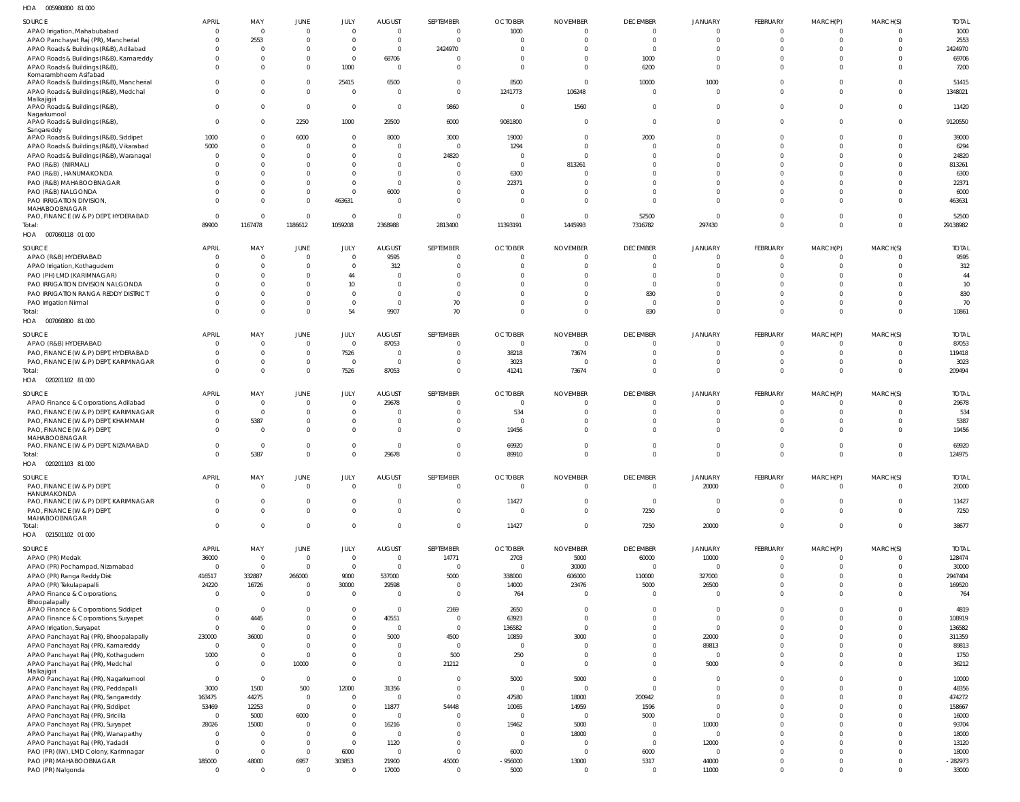005980800 81 000 HOA

| <b>SOURCE</b>                                                                 | <b>APRIL</b>                   | MAY             | JUNE                          | JULY                   | <b>AUGUST</b>                  | SEPTEMBER                        | <b>OCTOBER</b>                   | <b>NOVEMBER</b>                   | <b>DECEMBER</b>                   | <b>JANUARY</b>                 | FEBRUARY                        | MARCH(P)             | MARCH(S)                | <b>TOTAL</b>          |
|-------------------------------------------------------------------------------|--------------------------------|-----------------|-------------------------------|------------------------|--------------------------------|----------------------------------|----------------------------------|-----------------------------------|-----------------------------------|--------------------------------|---------------------------------|----------------------|-------------------------|-----------------------|
| APAO Irrigation, Mahabubabad                                                  | $\mathbf{0}$                   | - 0             | $\mathbf{0}$                  | $\Omega$               | $\overline{0}$                 | $\overline{0}$                   | 1000                             | $\mathbf 0$                       | $\Omega$                          | $\Omega$                       | $\mathbf 0$                     |                      | $\Omega$                | 1000                  |
| APAO Panchayat Raj (PR), Mancherial                                           | 0                              | 2553            | $\mathbf{0}$                  | $\Omega$               | $\mathbf{0}$                   | $\Omega$                         | $\Omega$                         | $\Omega$                          | $\overline{0}$                    | $\Omega$                       | $\Omega$                        | $\Omega$             | $\overline{0}$          | 2553                  |
| APAO Roads & Buildings (R&B), Adilabad                                        | $\Omega$                       | $\mathsf{C}$    | $\mathbf 0$                   | $\mathbf 0$            | $\mathbf{0}$                   | 2424970                          | $\Omega$                         | $\Omega$                          | $\Omega$                          |                                | $\Omega$                        | $\Omega$             | $\Omega$                | 2424970               |
| APAO Roads & Buildings (R&B), Kamareddy                                       |                                | - 0             | $\mathbf 0$                   | $\mathbf 0$            | 68706                          | $\Omega$                         | $\Omega$                         | $\Omega$                          | 1000                              |                                | $\Omega$                        |                      | $\Omega$                | 69706                 |
| APAO Roads & Buildings (R&B)<br>Komarambheem Asifabad                         | $\Omega$                       |                 | $\overline{0}$                | 1000                   | $\overline{0}$                 | $\Omega$                         | $\Omega$                         | $\Omega$                          | 6200                              | $\Omega$                       | $\Omega$                        | $\Omega$             | $\Omega$                | 7200                  |
| APAO Roads & Buildings (R&B), Mancherial                                      | $\Omega$                       |                 | $\overline{0}$                | 25415                  | 6500                           | $\Omega$                         | 8500                             | $\Omega$                          | 10000                             | 1000                           | $\Omega$                        |                      | $\Omega$                | 51415                 |
| APAO Roads & Buildings (R&B), Medchal                                         | $\Omega$                       |                 | $\mathbf{0}$                  | $\Omega$               | $\mathbf{0}$                   | $\Omega$                         | 1241773                          | 106248                            | $\Omega$                          | $\Omega$                       | $\Omega$                        | $\cap$               | $\Omega$                | 1348021               |
| Malkajigiri                                                                   |                                |                 |                               |                        |                                |                                  |                                  |                                   |                                   |                                |                                 |                      |                         |                       |
| APAO Roads & Buildings (R&B),                                                 | $\Omega$                       | $\Omega$        | $\mathbf{0}$                  | $\overline{0}$         | $\overline{0}$                 | 9860                             | $\Omega$                         | 1560                              | $\Omega$                          | $\Omega$                       | $\Omega$                        | $\Omega$             | $\overline{0}$          | 11420                 |
| Nagarkurnool<br>APAO Roads & Buildings (R&B),                                 | $\overline{0}$                 | $\Omega$        | 2250                          | 1000                   | 29500                          | 6000                             | 9081800                          | $\Omega$                          | $\Omega$                          | $\Omega$                       | $\Omega$                        | $\Omega$             | $\Omega$                | 9120550               |
| Sangareddy                                                                    |                                |                 |                               |                        |                                |                                  |                                  |                                   |                                   |                                |                                 |                      |                         |                       |
| APAO Roads & Buildings (R&B), Siddipet                                        | 1000                           | $\Omega$        | 6000                          | $\Omega$               | 8000                           | 3000                             | 19000                            | $\Omega$                          | 2000                              | $\Omega$                       | $\Omega$                        |                      | $\Omega$                | 39000                 |
| APAO Roads & Buildings (R&B), Vikarabad                                       | 5000                           | $\Omega$        | $\overline{0}$                | $\Omega$               | $\overline{0}$                 | $\Omega$                         | 1294                             | $\Omega$                          | $\Omega$                          |                                | $\Omega$                        | $\cap$               | $\Omega$                | 6294                  |
| APAO Roads & Buildings (R&B), Waranagal                                       | $\Omega$                       |                 | $\Omega$                      | $\Omega$               | $\mathbf 0$                    | 24820                            | $\Omega$                         | $\Omega$                          | $\Omega$                          |                                | $\Omega$                        |                      | $\Omega$                | 24820                 |
| PAO (R&B) (NIRMAL)                                                            |                                |                 | $\Omega$                      | $\Omega$               | $\Omega$                       | $\Omega$                         | $\Omega$                         | 813261                            |                                   |                                |                                 |                      | $\Omega$                | 813261                |
| PAO (R&B), HANUMAKONDA                                                        |                                |                 | $\Omega$                      | $\Omega$               | $\Omega$                       | $\Omega$                         | 6300                             |                                   |                                   |                                |                                 |                      | $\Omega$                | 6300                  |
| PAO (R&B) MAHABOOBNAGAR                                                       |                                |                 | $\Omega$                      | $\Omega$               | $\mathbf{0}$                   | $\Omega$                         | 22371                            |                                   | $\Omega$                          |                                | $\Omega$                        |                      | $\Omega$                | 22371                 |
| PAO (R&B) NALGONDA                                                            |                                |                 | $\mathbf{0}$                  | $\Omega$               | 6000                           | $\Omega$                         | $\Omega$                         |                                   | $\Omega$                          |                                | $\Omega$                        |                      | $\Omega$                | 6000                  |
| PAO IRRIGATION DIVISION,<br>MAHABOOBNAGAR                                     |                                | - 0             | $\Omega$                      | 463631                 | $\mathbf{0}$                   | $\Omega$                         | $\Omega$                         | $\Omega$                          | $\Omega$                          | $\Omega$                       | $\Omega$                        | $\Omega$             | $\Omega$                | 463631                |
| PAO, FINANCE (W & P) DEPT, HYDERABAD                                          | $\overline{0}$                 | - 0             | $\overline{0}$                | $\overline{0}$         | $\mathbf{0}$                   | $\Omega$                         | $\Omega$                         | $\Omega$                          | 52500                             | $\Omega$                       | $\Omega$                        | $\cap$               | $\overline{0}$          | 52500                 |
| Total:                                                                        | 89900                          | 1167478         | 1186612                       | 1059208                | 2368988                        | 2813400                          | 11393191                         | 1445993                           | 7316782                           | 297430                         | $\Omega$                        | $\Omega$             | $\Omega$                | 29138982              |
| HOA  007060118  01  000                                                       |                                |                 |                               |                        |                                |                                  |                                  |                                   |                                   |                                |                                 |                      |                         |                       |
|                                                                               |                                |                 |                               |                        |                                |                                  |                                  |                                   |                                   |                                |                                 |                      |                         |                       |
| SOURCE                                                                        | <b>APRIL</b><br>$\Omega$       | MAY<br>$\Omega$ | <b>JUNE</b><br>$\overline{0}$ | JULY<br>$\mathbf{0}$   | <b>AUGUST</b><br>9595          | SEPTEMBER<br>$\overline{0}$      | <b>OCTOBER</b><br>$\overline{0}$ | <b>NOVEMBER</b><br>$\Omega$       | <b>DECEMBER</b><br>$\overline{0}$ | <b>JANUARY</b><br>$\mathbf{0}$ | <b>FEBRUARY</b><br>$\mathbf{0}$ | MARCH(P)<br>$\Omega$ | MARCH(S)<br>$\Omega$    | <b>TOTAL</b><br>9595  |
| APAO (R&B) HYDERABAD<br>APAO Irrigation, Kothagudem                           | 0                              | $\Omega$        | $\overline{0}$                | $\Omega$               | 312                            | $\Omega$                         | $\Omega$                         | $\Omega$                          | $\Omega$                          | $\Omega$                       | $\Omega$                        | $\Omega$             | $\Omega$                | 312                   |
| PAO (PH) LMD (KARIMNAGAR)                                                     |                                | - 0             | $\mathbf 0$                   | 44                     | $\overline{0}$                 | $\Omega$                         | $\Omega$                         |                                   | $\Omega$                          | $\Omega$                       | $\Omega$                        | $\Omega$             | $\Omega$                | 44                    |
| PAO IRRIGATION DIVISION NALGONDA                                              |                                | $\Omega$        | $\mathbf 0$                   | 10                     | $\mathbf 0$                    | $\Omega$                         | $\Omega$                         |                                   | $\Omega$                          |                                |                                 | $\Omega$             | $\Omega$                | 10                    |
| PAO IRRIGATION RANGA REDDY DISTRICT                                           |                                |                 | $\mathbf 0$                   | $\Omega$               | $\mathbf 0$                    | $\Omega$                         | $\Omega$                         | $\Omega$                          | 830                               | $\Omega$                       | $\Omega$                        | $\Omega$             | $\Omega$                | 830                   |
| PAO Irrigation Nirmal                                                         |                                |                 | $\mathbf 0$                   | $\Omega$               | $\mathbf{0}$                   | 70                               | $\Omega$                         | $\Omega$                          | $\Omega$                          | $\Omega$                       | $\Omega$                        | $\Omega$             | $\Omega$                | 70                    |
| Total:                                                                        | $\Omega$                       | $\Omega$        | $\mathbf{0}$                  | 54                     | 9907                           | 70                               | $\Omega$                         | $\Omega$                          | 830                               | $\Omega$                       | $\Omega$                        | $\Omega$             | $\Omega$                | 10861                 |
| HOA  007060800  81  000                                                       |                                |                 |                               |                        |                                |                                  |                                  |                                   |                                   |                                |                                 |                      |                         |                       |
|                                                                               |                                |                 |                               |                        |                                |                                  |                                  |                                   |                                   |                                |                                 |                      |                         |                       |
| <b>SOURCE</b>                                                                 | <b>APRIL</b>                   | MAY             | <b>JUNE</b>                   | JULY                   | <b>AUGUST</b>                  | SEPTEMBER                        | <b>OCTOBER</b>                   | <b>NOVEMBER</b>                   | <b>DECEMBER</b>                   | JANUARY                        | <b>FEBRUARY</b>                 | MARCH(P)             | MARCH(S)                | <b>TOTAL</b>          |
| APAO (R&B) HYDERABAD                                                          | $\Omega$                       | $\Omega$        | $\mathbf{0}$<br>$\mathbf{0}$  | $\overline{0}$         | 87053                          | $\overline{0}$<br>$\overline{0}$ | $\overline{0}$                   | $\Omega$                          | $\Omega$<br>$\Omega$              | $\Omega$<br>$\Omega$           | $\Omega$<br>$\Omega$            | $\Omega$             | $\Omega$<br>$\Omega$    | 87053<br>119418       |
| PAO, FINANCE (W & P) DEPT, HYDERABAD<br>PAO, FINANCE (W & P) DEPT, KARIMNAGAR | $\Omega$                       | $\Omega$        | $\mathbf{0}$                  | 7526<br>$\overline{0}$ | $\overline{0}$<br>$\mathbf{0}$ | $\Omega$                         | 38218<br>3023                    | 73674                             | $\Omega$                          | $\Omega$                       | $\Omega$                        | $\Omega$<br>$\Omega$ | $\overline{0}$          | 3023                  |
| Total:                                                                        | $\Omega$                       | $\Omega$        | $\mathbf{0}$                  | 7526                   | 87053                          | $\Omega$                         | 41241                            | 73674                             | $\Omega$                          | $\Omega$                       | $\Omega$                        | $\Omega$             | $\Omega$                | 209494                |
| HOA  020201102  81  000                                                       |                                |                 |                               |                        |                                |                                  |                                  |                                   |                                   |                                |                                 |                      |                         |                       |
|                                                                               |                                |                 |                               |                        |                                |                                  |                                  |                                   |                                   |                                |                                 |                      |                         |                       |
| <b>SOURCE</b>                                                                 | <b>APRIL</b>                   | MAY             | <b>JUNE</b>                   | JULY                   | <b>AUGUST</b>                  | SEPTEMBER                        | <b>OCTOBER</b>                   | <b>NOVEMBER</b>                   | <b>DECEMBER</b>                   | <b>JANUARY</b>                 | <b>FEBRUARY</b>                 | MARCH(P)             | MARCH(S)                | <b>TOTAL</b>          |
| APAO Finance & Corporations, Adilabad                                         | $\overline{0}$                 | $\Omega$        | $\overline{0}$                | $\mathbf{0}$           | 29678                          | $\overline{0}$                   | $\overline{0}$                   | $\Omega$                          | $\Omega$                          | $\Omega$                       | $\mathbf{0}$                    | $\Omega$             | $\Omega$                | 29678                 |
| PAO, FINANCE (W & P) DEPT, KARIMNAGAR                                         | $\Omega$                       | $\Omega$        | $\mathbf{0}$                  | $\Omega$               | $\overline{0}$                 | $\Omega$                         | 534                              | $\Omega$                          | $\Omega$                          | $\Omega$                       | $\Omega$                        |                      | $\Omega$                | 534                   |
| PAO, FINANCE (W & P) DEPT, KHAMMAM                                            | $\Omega$                       | 5387            | $\overline{0}$                | $\mathbf{0}$           | $\mathbf 0$                    | $\Omega$                         | $\Omega$                         | $\Omega$                          | $\Omega$                          | $\Omega$                       | $\Omega$                        | $\Omega$             | $\Omega$                | 5387                  |
| PAO, FINANCE (W & P) DEPT<br>MAHABOOBNAGAR                                    | $\Omega$                       | $\Omega$        | $\mathbf{0}$                  | $\Omega$               | $\mathbf 0$                    | $\Omega$                         | 19456                            | $\Omega$                          | $\Omega$                          | $\Omega$                       | $\Omega$                        | $\Omega$             | $\Omega$                | 19456                 |
| PAO, FINANCE (W & P) DEPT, NIZAMABAD                                          | $\Omega$                       | - 0             | $\mathbf 0$                   | $\Omega$               | $\overline{0}$                 | $\Omega$                         | 69920                            |                                   | $\Omega$                          | $\Omega$                       | $\Omega$                        |                      | $\Omega$                | 69920                 |
| Total:                                                                        | $\Omega$                       | 5387            | $\Omega$                      | $\Omega$               | 29678                          | $\Omega$                         | 89910                            | $\Omega$                          | $\Omega$                          | $\Omega$                       | $\Omega$                        | $\Omega$             | $\Omega$                | 124975                |
| HOA  020201103  81  000                                                       |                                |                 |                               |                        |                                |                                  |                                  |                                   |                                   |                                |                                 |                      |                         |                       |
|                                                                               |                                |                 |                               |                        |                                |                                  |                                  |                                   |                                   |                                |                                 |                      | MARCH(S)                |                       |
| SOURCE<br>PAO, FINANCE (W & P) DEPT                                           | <b>APRIL</b><br>$\overline{0}$ | MAY<br>$\Omega$ | JUNE<br>$\overline{0}$        | JULY<br>$\mathbf 0$    | <b>AUGUST</b><br>$\mathbf{0}$  | SEPTEMBER<br>$\mathbf{0}$        | <b>OCTOBER</b><br>$\overline{0}$ | <b>NOVEMBER</b><br>$\overline{0}$ | <b>DECEMBER</b><br>$\overline{0}$ | <b>JANUARY</b><br>20000        | FEBRUARY<br>$\mathbf 0$         | MARCH(P)<br>$\Omega$ | $\overline{0}$          | <b>TOTAL</b><br>20000 |
| HANUMAKONDA                                                                   |                                |                 |                               |                        |                                |                                  |                                  |                                   |                                   |                                |                                 |                      |                         |                       |
| PAO, FINANCE (W & P) DEPT, KARIMNAGAR                                         | $\mathbf{0}$                   | - 0             | $\overline{0}$                | $\mathbf{0}$           | $\overline{0}$                 | $\overline{0}$                   | 11427                            | $\overline{0}$                    | $\overline{0}$                    | $\mathbf{0}$                   | $\mathbf 0$                     | $\Omega$             | $\overline{0}$          | 11427                 |
| PAO, FINANCE (W & P) DEPT                                                     | $\Omega$                       | $\Omega$        | $\mathbf 0$                   | $\mathbf 0$            | $\overline{0}$                 | $\overline{0}$                   | $\overline{0}$                   | $\overline{0}$                    | 7250                              | $\mathbf 0$                    | $\mathbf 0$                     | $\Omega$             | $\overline{0}$          | 7250                  |
| MAHABOOBNAGAR                                                                 |                                |                 |                               |                        |                                |                                  |                                  |                                   |                                   |                                |                                 |                      |                         |                       |
| Total:<br>HOA  021501102  01  000                                             | $\mathbf 0$                    | $\Omega$        | $\overline{0}$                | $\mathbf 0$            | $\overline{0}$                 | $\overline{0}$                   | 11427                            | $\overline{0}$                    | 7250                              | 20000                          | $\mathbf 0$                     | $\mathbf{0}$         | $\overline{\mathbf{0}}$ | 38677                 |
|                                                                               |                                |                 |                               |                        |                                |                                  |                                  |                                   |                                   |                                |                                 |                      |                         |                       |
| <b>SOURCE</b>                                                                 | APRIL                          | MAY             | JUNE                          | JULY                   | <b>AUGUST</b>                  | SEPTEMBER                        | <b>OCTOBER</b>                   | <b>NOVEMBER</b>                   | <b>DECEMBER</b>                   | <b>JANUARY</b>                 | FEBRUARY                        | MARCH(P)             | MARCH(S)                | <b>TOTAL</b>          |
| APAO (PR) Medak                                                               | 36000                          | $\overline{0}$  | $\overline{0}$                | $\overline{0}$         | $\mathbf 0$                    | 14771                            | 2703                             | 5000                              | 60000                             | 10000                          | $\mathbf{0}$                    | $\Omega$             | - 0                     | 128474                |
| APAO (PR) Pochampad, Nizamabad                                                | $\overline{0}$                 | $\Omega$        | $\overline{0}$                | $\overline{0}$         | $\mathbf{0}$                   | $\overline{0}$                   | $\overline{0}$                   | 30000                             | $\overline{0}$                    | $\mathbf 0$                    | $\mathbf 0$                     | $\Omega$             | $\overline{0}$          | 30000                 |
| APAO (PR) Ranga Reddy Dist                                                    | 416517                         | 332887          | 266000                        | 9000                   | 537000                         | 5000                             | 338000                           | 606000                            | 110000                            | 327000                         | $\Omega$                        | $\Omega$             | $\overline{0}$          | 2947404               |
| APAO (PR) Tekulapapalli                                                       | 24220                          | 16726           | $\overline{0}$                | 30000                  | 29598                          | $\overline{0}$                   | 14000                            | 23476                             | 5000                              | 26500                          | $\Omega$                        | $\Omega$             | $\overline{0}$          | 169520                |
| APAO Finance & Corporations,<br>Bhoopalapally                                 | $\overline{0}$                 | - 0             | $\mathbf{0}$                  | $\overline{0}$         | $\overline{0}$                 | $\overline{0}$                   | 764                              | $\Omega$                          | $\overline{0}$                    | $\mathbf 0$                    | $\Omega$                        | $\Omega$             | $\overline{0}$          | 764                   |
| APAO Finance & Corporations, Siddipet                                         | $\overline{0}$                 | $\overline{0}$  | $\overline{0}$                | $\mathbf{0}$           | $\mathbf 0$                    | 2169                             | 2650                             | $\overline{0}$                    | $\overline{0}$                    | $\mathbf{0}$                   | $\Omega$                        | $\Omega$             | $\overline{0}$          | 4819                  |
| APAO Finance & Corporations, Suryapet                                         | $\overline{0}$                 | 4445            | $\mathbf 0$                   | $\mathbf 0$            | 40551                          | $\overline{0}$                   | 63923                            | $\overline{0}$                    | $\overline{0}$                    | $\mathbf 0$                    | $\Omega$                        | $\Omega$             | $\overline{0}$          | 108919                |
| APAO Irrigation, Suryapet                                                     | $\mathbf{0}$                   | $\Omega$        | $\mathbf 0$                   | $\mathbf{0}$           | $\overline{0}$                 | $\overline{0}$                   | 136582                           | $\Omega$                          | $\Omega$                          | $\mathbf 0$                    | $\Omega$                        | $\Omega$             | $\overline{0}$          | 136582                |
| APAO Panchayat Raj (PR), Bhoopalapally                                        | 230000                         | 36000           | $\mathbf 0$                   | $\mathbf{0}$           | 5000                           | 4500                             | 10859                            | 3000                              | $\overline{0}$                    | 22000                          | $\Omega$                        | $\Omega$             | $\overline{0}$          | 311359                |
| APAO Panchayat Raj (PR), Kamareddy                                            | $\overline{0}$                 | $\Omega$        | $\mathbf{0}$                  | $\mathbf{0}$           | $\overline{0}$                 | $\overline{0}$                   | $\overline{0}$                   | $\Omega$                          | $\Omega$                          | 89813                          | $\Omega$                        | $\Omega$             | $\Omega$                | 89813                 |
| APAO Panchayat Raj (PR), Kothagudem                                           | 1000                           | $\Omega$        | $\overline{0}$                | $\mathbf{0}$           | $\overline{0}$                 | 500                              | 250                              | $\overline{0}$                    | $\overline{0}$                    | $\overline{0}$                 | $\mathbf 0$                     | $\Omega$             | $\overline{0}$          | 1750                  |
| APAO Panchayat Raj (PR), Medchal                                              | $\overline{0}$                 | $\Omega$        | 10000                         | $\mathbf 0$            | $\overline{0}$                 | 21212                            | $\overline{0}$                   | $\overline{0}$                    | $\overline{0}$                    | 5000                           | $\mathbf 0$                     | $\Omega$             | $\overline{0}$          | 36212                 |
| Malkajigiri<br>APAO Panchayat Raj (PR), Nagarkurnool                          | $\overline{0}$                 | $\overline{0}$  | $\overline{0}$                | $\mathbf 0$            | $\mathbf{0}$                   | $\overline{0}$                   | 5000                             | 5000                              | $\overline{0}$                    | $\mathbf{0}$                   | $\Omega$                        | $\Omega$             | $\overline{0}$          | 10000                 |
| APAO Panchayat Raj (PR), Peddapalli                                           | 3000                           | 1500            | 500                           | 12000                  | 31356                          | $\overline{0}$                   | $\overline{0}$                   | $\Omega$                          | $\Omega$                          | $\Omega$                       | $\Omega$                        | $\Omega$             | $\overline{0}$          | 48356                 |
| APAO Panchayat Raj (PR), Sangareddy                                           | 163475                         | 44275           | $\overline{0}$                | $\mathbf{0}$           | $\overline{0}$                 | $\overline{0}$                   | 47580                            | 18000                             | 200942                            | $\mathbf{0}$                   | $\Omega$                        | $\Omega$             | $\overline{0}$          | 474272                |
| APAO Panchayat Raj (PR), Siddipet                                             | 53469                          | 12253           | $\overline{0}$                | $\mathbf{0}$           | 11877                          | 54448                            | 10065                            | 14959                             | 1596                              | $\Omega$                       | $\Omega$                        | $\Omega$             | $\Omega$                | 158667                |
| APAO Panchayat Raj (PR), Siricilla                                            | $\mathbf 0$                    | 5000            | 6000                          | $\mathbf{0}$           | $\overline{0}$                 | $\overline{0}$                   | $\overline{0}$                   | $\Omega$                          | 5000                              | $\mathbf 0$                    | $\Omega$                        | $\Omega$             | $\overline{0}$          | 16000                 |
| APAO Panchayat Raj (PR), Suryapet                                             | 28026                          | 15000           | $\mathbf{0}$                  | $\mathbf{0}$           | 16216                          | $\overline{0}$                   | 19462                            | 5000                              | $\overline{0}$                    | 10000                          | $\Omega$                        | $\Omega$             | $\Omega$                | 93704                 |
| APAO Panchayat Raj (PR), Wanaparthy                                           | $\overline{0}$                 | $\Omega$        | $\overline{0}$                | $\mathbf{0}$           | $\overline{0}$                 | $\overline{0}$                   | $\overline{0}$                   | 18000                             | $\overline{0}$                    | $\overline{0}$                 | $\Omega$                        | $\Omega$             | $\overline{0}$          | 18000                 |
| APAO Panchayat Raj (PR), Yadadri                                              | $\overline{0}$                 | $\Omega$        | $\mathbf{0}$                  | $\overline{0}$         | 1120                           | $\overline{0}$                   | $\overline{0}$                   | $\Omega$                          | $\overline{0}$                    | 12000                          | $\Omega$                        | $\Omega$             | $\Omega$                | 13120                 |
| PAO (PR) (IW), LMD Colony, Karimnagar                                         | $\overline{0}$                 | $\Omega$        | $\mathbf{0}$                  | 6000                   | $\overline{0}$                 | $\overline{0}$                   | 6000                             | $\Omega$                          | 6000                              | $\overline{0}$                 | $\Omega$                        | $\Omega$             | $\overline{0}$          | 18000                 |
| PAO (PR) MAHABOOBNAGAR                                                        | 185000                         | 48000           | 6957                          | 303853                 | 21900                          | 45000                            | -956000                          | 13000                             | 5317                              | 44000                          | $\mathbf{0}$                    | $\Omega$             | $\overline{0}$          | $-282973$             |
| PAO (PR) Nalgonda                                                             | $\overline{0}$                 | $\Omega$        | $\mathbf{0}$                  | $\mathbf{0}$           | 17000                          | $\overline{0}$                   | 5000                             | $\overline{0}$                    | $\overline{0}$                    | 11000                          | $\mathbf 0$                     | $\Omega$             | $\overline{0}$          | 33000                 |
|                                                                               |                                |                 |                               |                        |                                |                                  |                                  |                                   |                                   |                                |                                 |                      |                         |                       |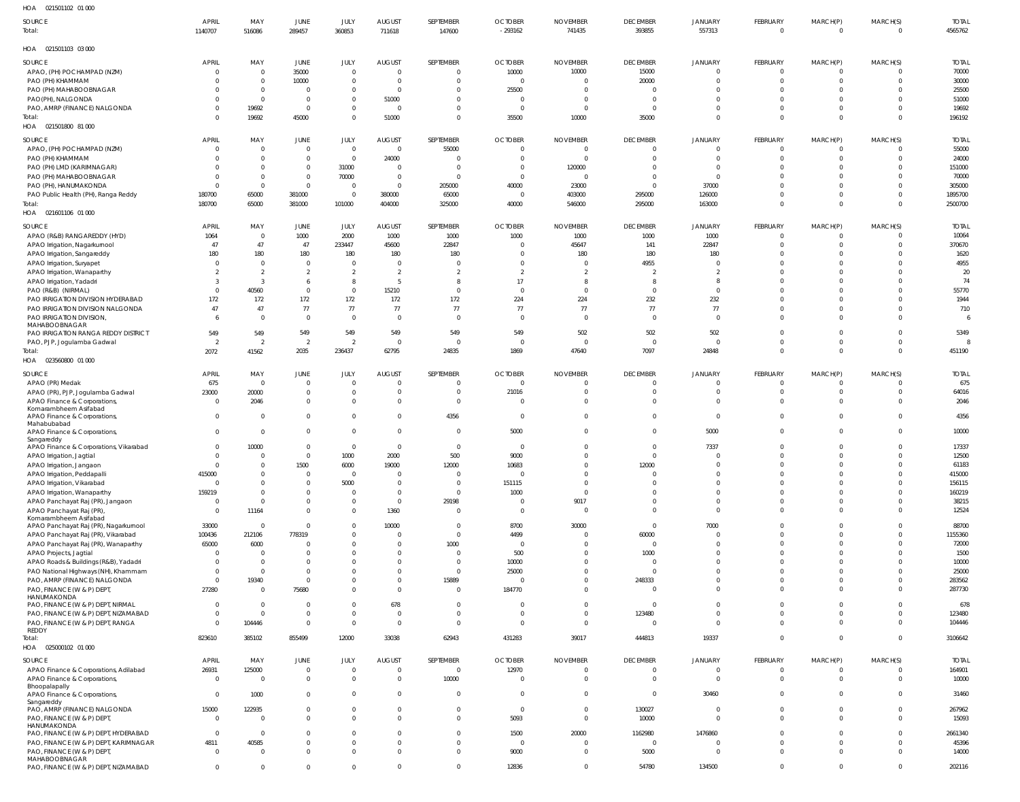| HOA 021501102 01 000                                         |                         |                          |                             |                                  |                                  |                         |                               |                        |                         |                            |                                  |                      |                               |                  |
|--------------------------------------------------------------|-------------------------|--------------------------|-----------------------------|----------------------------------|----------------------------------|-------------------------|-------------------------------|------------------------|-------------------------|----------------------------|----------------------------------|----------------------|-------------------------------|------------------|
| SOURCE                                                       | <b>APRIL</b>            | MAY                      | JUNE                        | JULY                             | <b>AUGUST</b>                    | SEPTEMBER               | <b>OCTOBER</b>                | <b>NOVEMBER</b>        | <b>DECEMBER</b>         | JANUARY                    | FEBRUARY                         | MARCH(P)             | MARCH(S)                      | <b>TOTAI</b>     |
| Total:                                                       | 1140707                 | 516086                   | 289457                      | 360853                           | 711618                           | 147600                  | $-293162$                     | 741435                 | 393855                  | 557313                     | $\overline{0}$                   | $\overline{0}$       | $\overline{0}$                | 4565762          |
| HOA 021501103 03 000                                         |                         |                          |                             |                                  |                                  |                         |                               |                        |                         |                            |                                  |                      |                               |                  |
| SOURCE                                                       | <b>APRIL</b>            | MAY                      | <b>JUNE</b>                 | JULY                             | <b>AUGUST</b>                    | SEPTEMBER               | <b>OCTOBER</b>                | <b>NOVEMBER</b>        | <b>DECEMBER</b>         | JANUARY                    | FEBRUARY                         | MARCH(P)             | MARCH(S)                      | <b>TOTAL</b>     |
| APAO, (PH) POCHAMPAD (NZM)                                   | 0                       | $\overline{0}$           | 35000                       | $\overline{0}$                   | $\overline{0}$                   | $\overline{0}$          | 10000                         | 10000                  | 15000                   | $\mathbf 0$                | $\overline{0}$                   | 0                    | $\mathbf 0$                   | 70000            |
| PAO (PH) KHAMMAM                                             | $\Omega$<br>$\Omega$    | $\Omega$<br>$\Omega$     | 10000<br>$\overline{0}$     | $\overline{0}$<br>$\overline{0}$ | $\overline{0}$<br>$\overline{0}$ | 0<br>$\overline{0}$     | $\overline{0}$<br>25500       | - 0<br>- 0             | 20000<br>$\Omega$       | $\mathbf 0$<br>$\mathbf 0$ | $\overline{0}$<br>$\overline{0}$ | $\Omega$<br>$\Omega$ | $\mathbf 0$<br>$\overline{0}$ | 30000            |
| PAO (PH) MAHABOOBNAGAR<br>PAO(PH), NALGONDA                  | $\Omega$                | $\Omega$                 | $\overline{0}$              | $\overline{0}$                   | 51000                            | 0                       | $\overline{0}$                | $\overline{0}$         | $\Omega$                | $\Omega$                   | $\Omega$                         | $\Omega$             | $\mathbf 0$                   | 25500<br>51000   |
| PAO, AMRP (FINANCE) NALGONDA                                 | $\Omega$                | 19692                    | $\overline{0}$              | $\overline{0}$                   | $\overline{0}$                   | $\overline{0}$          | $\overline{0}$                | $\overline{0}$         | $\overline{0}$          | $\mathbf 0$                | $\overline{0}$                   | $\Omega$             | $\overline{0}$                | 19692            |
| Total:                                                       | $\Omega$                | 19692                    | 45000                       | $\mathbf{0}$                     | 51000                            | $\mathbf{0}$            | 35500                         | 10000                  | 35000                   | $\Omega$                   | $\overline{0}$                   | $\mathbf{0}$         | $\overline{0}$                | 196192           |
| HOA  021501800  81 000                                       |                         |                          |                             |                                  |                                  |                         |                               |                        |                         |                            |                                  |                      |                               |                  |
| SOURCE                                                       | <b>APRIL</b>            | MAY                      | <b>JUNE</b>                 | JULY                             | <b>AUGUST</b>                    | SEPTEMBER               | <b>OCTOBER</b>                | <b>NOVEMBER</b>        | <b>DECEMBER</b>         | JANUARY                    | FEBRUARY                         | MARCH(P)             | MARCH(S)                      | <b>TOTAL</b>     |
| APAO, (PH) POCHAMPAD (NZM)                                   | $\overline{0}$          | $\Omega$                 | $\overline{0}$              | $\overline{0}$                   | $\overline{0}$                   | 55000                   | $\overline{0}$                | - 0                    | $\Omega$                | $\Omega$                   | $\Omega$                         | $\Omega$             | $^{\circ}$                    | 55000            |
| PAO (PH) KHAMMAM                                             | $\Omega$                | $\Omega$                 | $\mathbf 0$<br>$\mathbf 0$  | $\overline{0}$<br>31000          | 24000<br>$\Omega$                | 0<br>$\Omega$           | - 0<br>$\Omega$               | $\circ$                | $\Omega$                | $\mathbf 0$<br>$\Omega$    | $\overline{0}$<br>$\Omega$       | $\Omega$<br>$\Omega$ | $\mathbf 0$<br>$\Omega$       | 24000<br>151000  |
| PAO (PH) LMD (KARIMNAGAR)<br>PAO (PH) MAHABOOBNAGAR          | $\Omega$<br>$\Omega$    | $\Omega$<br>$\Omega$     | $\mathbf 0$                 | 70000                            | $\overline{0}$                   | $\Omega$                | $\overline{0}$                | 120000<br>$\circ$      | $\Omega$                | $\mathbf 0$                | $\Omega$                         | $\Omega$             | $\Omega$                      | 70000            |
| PAO (PH), HANUMAKONDA                                        | 0                       | $\Omega$                 | $\mathbf 0$                 | $\overline{0}$                   | $\Omega$                         | 205000                  | 40000                         | 23000                  | $\Omega$                | 37000                      | $\Omega$                         | $\Omega$             | $\Omega$                      | 305000           |
| PAO Public Health (PH), Ranga Reddy                          | 180700                  | 65000                    | 381000                      | $\overline{0}$                   | 380000                           | 65000                   | $\mathbf 0$                   | 403000                 | 295000                  | 126000                     | $\overline{0}$                   | $\Omega$             | $\mathbf 0$                   | 1895700          |
| Total:                                                       | 180700                  | 65000                    | 381000                      | 101000                           | 404000                           | 325000                  | 40000                         | 546000                 | 295000                  | 163000                     | $\Omega$                         | $\Omega$             | $\mathbf{0}$                  | 2500700          |
| HOA 021601106 01 000                                         |                         |                          |                             |                                  |                                  |                         |                               |                        |                         |                            |                                  |                      |                               |                  |
| SOURCE                                                       | <b>APRIL</b>            | MAY                      | <b>JUNE</b>                 | JULY                             | <b>AUGUST</b>                    | SEPTEMBER               | <b>OCTOBER</b>                | <b>NOVEMBER</b>        | <b>DECEMBER</b>         | JANUARY                    | FEBRUARY                         | MARCH(P)             | MARCH(S)                      | <b>TOTAL</b>     |
| APAO (R&B) RANGAREDDY (HYD)                                  | 1064                    | $\overline{0}$           | 1000                        | 2000                             | 1000                             | 1000                    | 1000                          | 1000                   | 1000                    | 1000                       | $\overline{0}$                   | $^{\circ}$           | $\mathbf 0$                   | 10064            |
| APAO Irrigation, Nagarkurnool                                | 47                      | 47                       | 47                          | 233447                           | 45600                            | 22847                   | $\overline{0}$                | 45647                  | 141                     | 22847                      | $\overline{0}$                   | $^{\circ}$           | $\overline{0}$                | 370670           |
| APAO Irrigation, Sangareddy                                  | 180                     | 180                      | 180                         | 180                              | 180                              | 180                     | $\Omega$                      | 180                    | 180                     | 180                        | $\Omega$                         |                      | $\overline{0}$                | 1620             |
| APAO Irrigation, Suryapet                                    | $\Omega$                | $\Omega$                 | $\overline{0}$              | 0                                | $\overline{0}$                   | C                       | $\Omega$                      | - 0                    | 4955                    | $\overline{0}$             | $\Omega$                         | $\Omega$             | $\mathbf 0$                   | 4955             |
| APAO Irrigation, Wanaparthy                                  | $\overline{2}$          | $\overline{\phantom{a}}$ | $\overline{2}$              | $\overline{2}$                   | 2                                | $\overline{2}$          | $\overline{2}$                | $\overline{2}$         | $\overline{2}$          | $\overline{2}$             | $\Omega$                         |                      | $\mathbf 0$                   | 20               |
| APAO Irrigation, Yadadri                                     | -3                      | $\mathbf{3}$             | 6                           | 8                                | 5                                | -8                      | 17                            | -8                     | -8                      | 8                          | $\Omega$                         | $\Omega$             | $\mathbf 0$                   | 74               |
| PAO (R&B) (NIRMAL)                                           | 0                       | 40560                    | $\mathbf 0$                 | $\mathbf 0$                      | 15210                            | $\overline{0}$          | $\overline{0}$                | $\overline{0}$         | $\overline{0}$          | $\mathbf{0}$               | $\Omega$                         | $\Omega$             | $\mathbf 0$                   | 55770            |
| PAO IRRIGATION DIVISION HYDERABAD                            | 172                     | 172                      | 172                         | 172                              | 172                              | 172                     | 224                           | 224                    | 232                     | 232                        | $\Omega$                         | $\Omega$             | $\mathbf 0$                   | 1944             |
| PAO IRRIGATION DIVISION NALGONDA                             | 47                      | 47                       | 77                          | 77                               | 77                               | 77                      | 77                            | 77                     | 77                      | 77                         | $\overline{0}$                   | $\Omega$             | $\overline{0}$                | 710              |
| PAO IRRIGATION DIVISION,                                     | 6                       | $\Omega$                 | $\overline{0}$              | $\mathbf 0$                      | $\overline{0}$                   | $\overline{0}$          | $\overline{0}$                | $\overline{0}$         | $\overline{\mathbf{0}}$ | $\overline{0}$             | $\Omega$                         | $\Omega$             | $\Omega$                      |                  |
| MAHABOOBNAGAR<br>PAO IRRIGATION RANGA REDDY DISTRICT         | 549                     | 549                      | 549                         | 549                              | 549                              | 549                     | 549                           | 502                    | 502                     | 502                        | $\Omega$                         | $\Omega$             | $\mathbf 0$                   | 5349             |
| PAO, PJP, Jogulamba Gadwal                                   | $\overline{2}$          | $\overline{2}$           | $\overline{2}$              | $\overline{2}$                   | $\overline{0}$                   | $\overline{0}$          | $\overline{0}$                | $\overline{0}$         | $\overline{\mathbf{0}}$ | $\overline{0}$             | $\Omega$                         | $\Omega$             | $\overline{0}$                |                  |
| Total:                                                       | 2072                    | 41562                    | 2035                        | 236437                           | 62795                            | 24835                   | 1869                          | 47640                  | 7097                    | 24848                      | $\overline{0}$                   | $\mathbf{0}$         | $\overline{0}$                | 451190           |
| HOA 023560800 01 000                                         |                         |                          |                             |                                  |                                  |                         |                               |                        |                         |                            |                                  |                      |                               |                  |
|                                                              | <b>APRIL</b>            | MAY                      | <b>JUNE</b>                 |                                  |                                  | SEPTEMBER               |                               | <b>NOVEMBER</b>        | <b>DECEMBER</b>         |                            | FEBRUARY                         |                      |                               | <b>TOTAI</b>     |
| SOURCE<br>APAO (PR) Medak                                    | 675                     | $\Omega$                 | $\overline{0}$              | JULY<br>$\Omega$                 | <b>AUGUST</b><br>$\Omega$        | $\overline{0}$          | <b>OCTOBER</b><br>$\mathbf 0$ | $\circ$                | $\overline{0}$          | JANUARY<br>$\mathbf 0$     | $\overline{0}$                   | MARCH(P)<br>$\Omega$ | MARCH(S)<br>$\mathbf 0$       | 675              |
| APAO (PR), PJP, Jogulamba Gadwal                             | 23000                   | 20000                    | $\mathbf 0$                 | $\overline{0}$                   | $\Omega$                         | $\overline{0}$          | 21016                         | $\overline{0}$         | $\Omega$                | $\mathbf 0$                | $\Omega$                         | $\Omega$             | $\mathbf 0$                   | 64016            |
| APAO Finance & Corporations,                                 | $\overline{0}$          | 2046                     | $\mathbf 0$                 | $\Omega$                         | $\Omega$                         | $\overline{0}$          | $\overline{0}$                | $\Omega$               | $\Omega$                | $\mathbf{0}$               | $\overline{0}$                   | $\Omega$             | $\Omega$                      | 2046             |
| Komarambheem Asifabad                                        |                         |                          |                             |                                  |                                  |                         |                               |                        |                         |                            |                                  |                      |                               |                  |
| APAO Finance & Corporations,                                 | $\mathbf{0}$            | $\Omega$                 | $\mathbf 0$                 | $\overline{0}$                   | $\Omega$                         | 4356                    | $\overline{0}$                | $\mathbf 0$            | $\Omega$                | $\mathbf{0}$               | $\mathbf{0}$                     | $\overline{0}$       | $\mathbf 0$                   | 4356             |
| Mahabubabad<br>APAO Finance & Corporations,                  | $\Omega$                | $\Omega$                 | $\mathbf 0$                 | $\Omega$                         | $\Omega$                         | $\overline{0}$          | 5000                          | $\Omega$               | $\Omega$                | 5000                       | $\Omega$                         | $\Omega$             | $\mathbf 0$                   | 10000            |
| Sangareddy                                                   |                         |                          |                             |                                  |                                  |                         |                               |                        |                         |                            |                                  |                      |                               |                  |
| APAO Finance & Corporations, Vikarabad                       | $\Omega$                | 10000                    | $\mathbf 0$                 | $\Omega$                         | $\overline{0}$                   | $\overline{0}$          | 0                             | $\Omega$               | $\mathbf{0}$            | 7337                       | $\Omega$                         | $\Omega$             | $\mathbf 0$                   | 17337            |
| APAO Irrigation, Jagtial                                     | $\Omega$                | $\Omega$                 | $\Omega$                    | 1000                             | 2000                             | 500                     | 9000                          | $\Omega$               | $\Omega$                | $\mathbf 0$                | $\Omega$                         | $\Omega$             | $\Omega$                      | 12500            |
| APAO Irrigation, Jangaon                                     | $\Omega$                | $\Omega$                 | 1500                        | 6000                             | 19000                            | 12000                   | 10683                         | $\mathbf{0}$           | 12000                   | U                          | $\Omega$                         | $\Omega$             | $\Omega$                      | 61183            |
| APAO Irrigation, Peddapalli                                  | 415000                  |                          | $\mathbf{0}$                | $\Omega$                         | $\Omega$                         | $\Omega$                | $\overline{0}$                | $\Omega$               | $\overline{0}$          | $\Omega$                   | $\Omega$                         | $\Omega$             | $\Omega$                      | 415000           |
| APAO Irrigation, Vikarabad                                   | $\Omega$                | $\Omega$                 | $\Omega$                    | 5000                             | $\Omega$                         | $\overline{0}$          | 151115                        | $\Omega$               | $\Omega$                | $\Omega$<br>$\Omega$       | $\Omega$<br>$\Omega$             | $\Omega$<br>$\Omega$ | $\Omega$                      | 156115           |
| APAO Irrigation, Wanaparthy                                  | 159219<br>0             | - 0<br>$\Omega$          | $\mathbf{0}$<br>$\mathbf 0$ | $\Omega$<br>$\Omega$             | $\Omega$<br>$\overline{0}$       | $\overline{0}$<br>29198 | 1000<br>- 0                   | $\overline{0}$<br>9017 | $\Omega$<br>$\Omega$    | $\Omega$                   | $\Omega$                         | $\Omega$             | $\Omega$<br>$\Omega$          | 160219<br>38215  |
| APAO Panchayat Raj (PR), Jangaon<br>APAO Panchayat Raj (PR), | $\overline{0}$          | 11164                    | $\mathbf 0$                 | $\Omega$                         | 1360                             | $\overline{0}$          | 0                             | $\overline{0}$         | $\Omega$                | $\mathbf{0}$               | $\Omega$                         | $\Omega$             | $\Omega$                      | 12524            |
| Komarambheem Asifabad                                        |                         |                          |                             |                                  |                                  |                         |                               |                        |                         |                            |                                  |                      |                               |                  |
| APAO Panchayat Raj (PR), Nagarkurnool                        | 33000                   | $\sqrt{ }$               | $\Omega$                    | $\overline{0}$                   | 10000                            | $\overline{0}$          | 8700                          | 30000                  | $\Omega$                | 7000                       | $\Omega$                         | $\Omega$             | $\Omega$                      | 88700            |
| APAO Panchayat Raj (PR), Vikarabad                           | 100436                  | 212106                   | 778319                      | $\Omega$                         | $\Omega$                         | $\overline{0}$          | 4499                          | $\Omega$               | 60000                   | $\Omega$                   | $\Omega$                         | $\Omega$             | $\Omega$                      | 1155360          |
| APAO Panchayat Raj (PR), Wanaparthy                          | 65000                   | 6000                     | $\Omega$                    | $\Omega$                         | $\Omega$                         | 1000                    | $\overline{0}$                | $\Omega$               | $\Omega$                | $\Omega$                   | $\Omega$                         | $\Omega$             | $\Omega$                      | 72000            |
| APAO Projects, Jagtial                                       | $\Omega$                | - 0                      | $\Omega$                    | $\Omega$                         | $\Omega$                         | $\overline{0}$          | 500                           | $\Omega$               | 1000                    | $\Omega$                   | $\Omega$                         | $\Omega$             | $\Omega$                      | 1500             |
| APAO Roads & Buildings (R&B), Yadadri                        | $\overline{0}$          | $\Omega$                 | $\Omega$                    | $\Omega$                         | $\Omega$                         | $\Omega$                | 10000                         | $\Omega$               | $\Omega$                |                            | $\Omega$                         | $\Omega$             | $\Omega$                      | 10000            |
| PAO National Highways (NH), Khammam                          | $\Omega$                | $\Omega$                 | $\Omega$                    | $\Omega$                         | $\Omega$                         | $\overline{0}$          | 25000                         | $\Omega$               | $\Omega$                | $\Omega$                   | $\Omega$                         | $\Omega$             | $\Omega$                      | 25000            |
| PAO, AMRP (FINANCE) NALGONDA<br>PAO, FINANCE (W & P) DEPT,   | $\overline{0}$<br>27280 | 19340<br>$\Omega$        | $\Omega$<br>75680           | $\Omega$<br>$\Omega$             | $\Omega$<br>$\Omega$             | 15889<br>$\mathbf{0}$   | $\Omega$<br>184770            | $\Omega$<br>$\Omega$   | 248333<br>$\Omega$      | U<br>$\Omega$              | $\Omega$<br>$\Omega$             | $\Omega$<br>$\Omega$ | $\Omega$<br>$\Omega$          | 283562<br>287730 |
| HANUMAKONDA                                                  |                         |                          |                             |                                  |                                  |                         |                               |                        |                         |                            |                                  |                      |                               |                  |
| PAO, FINANCE (W & P) DEPT, NIRMAL                            | $\mathbf{0}$            | $\Omega$                 | $\Omega$                    | $\Omega$                         | 678                              | $\mathbf{0}$            | - 0                           | $\mathbf 0$            | $\Omega$                | $\Omega$                   | $\Omega$                         | $\Omega$             | $\Omega$                      | 678              |
| PAO, FINANCE (W & P) DEPT, NIZAMABAD                         | $\overline{0}$          | $\Omega$                 | $\mathbf{0}$                | $\Omega$                         | $\overline{0}$                   | $\overline{0}$          | $\Omega$                      | $\overline{0}$         | 123480                  | $\mathbf 0$                | $\Omega$                         | $\Omega$             | $\Omega$                      | 123480           |
| PAO, FINANCE (W & P) DEPT, RANGA                             | $\Omega$                | 104446                   | $\mathbf 0$                 | $\Omega$                         | $\overline{0}$                   | $\mathbf{0}$            | $\Omega$                      | $\overline{0}$         | $\Omega$                | $\Omega$                   | $\Omega$                         | $\Omega$             | $\Omega$                      | 104446           |
| <b>REDDY</b><br>Total:                                       | 823610                  | 385102                   | 855499                      | 12000                            | 33038                            | 62943                   | 431283                        | 39017                  | 444813                  | 19337                      | $\Omega$                         | $\Omega$             | $\overline{0}$                | 3106642          |
| HOA  025000102  01 000                                       |                         |                          |                             |                                  |                                  |                         |                               |                        |                         |                            |                                  |                      |                               |                  |
|                                                              |                         |                          |                             |                                  |                                  |                         |                               |                        |                         |                            |                                  |                      |                               |                  |
| SOURCE                                                       | <b>APRIL</b>            | MAY                      | <b>JUNE</b>                 | JULY                             | <b>AUGUST</b>                    | SEPTEMBER               | <b>OCTOBER</b>                | <b>NOVEMBER</b>        | <b>DECEMBER</b>         | JANUARY                    | FEBRUARY                         | MARCH(P)             | MARCH(S)                      | <b>TOTAL</b>     |
| APAO Finance & Corporations, Adilabad                        | 26931                   | 125000                   | 0                           | $\overline{0}$                   | $\Omega$                         | 0                       | 12970                         | 0                      | $\overline{0}$          | $\mathbf 0$                | $\mathbf 0$                      | $^{\circ}$           | $^{\circ}$                    | 164901           |
| APAO Finance & Corporations,<br>Bhoopalapally                | $\overline{0}$          | - 0                      | $\overline{0}$              | $\mathbf{0}$                     | $\overline{0}$                   | 10000                   | $\overline{0}$                | $\overline{0}$         | $\overline{0}$          | $\overline{0}$             | $\overline{0}$                   | $\overline{0}$       | $\overline{0}$                | 10000            |
| APAO Finance & Corporations,                                 | $\overline{0}$          | 1000                     | $\mathbf 0$                 | $\overline{0}$                   | $\Omega$                         | $\overline{0}$          | $\overline{0}$                | $\overline{0}$         | $\Omega$                | 30460                      | $\overline{0}$                   | $\Omega$             | $\mathbf{0}$                  | 31460            |
| Sangareddy                                                   |                         |                          |                             |                                  |                                  |                         |                               |                        |                         |                            |                                  |                      |                               |                  |
| PAO, AMRP (FINANCE) NALGONDA                                 | 15000                   | 122935                   | $\mathbf 0$                 | $\overline{0}$                   | $\Omega$                         | $\mathbf{0}$            | $\mathbf 0$                   | $\overline{0}$         | 130027                  | $\overline{0}$             | $\overline{0}$                   | $\Omega$             | $\overline{0}$                | 267962           |
| PAO, FINANCE (W & P) DEPT,<br>HANUMAKONDA                    | $\overline{0}$          | $\Omega$                 | $\mathbf 0$                 | $\overline{0}$                   | $\Omega$                         | $\mathbf{0}$            | 5093                          | $\overline{0}$         | 10000                   | $\overline{0}$             | $\overline{0}$                   | $\mathbf{0}$         | $\overline{0}$                | 15093            |
| PAO, FINANCE (W & P) DEPT, HYDERABAD                         | $\mathbf 0$             | $\overline{0}$           | $\mathbf 0$                 | $\overline{0}$                   | $\Omega$                         | $\mathbf 0$             | 1500                          | 20000                  | 1162980                 | 1476860                    | $\overline{0}$                   | $\Omega$             | $\overline{0}$                | 2661340          |
| PAO, FINANCE (W & P) DEPT, KARIMNAGAR                        | 4811                    | 40585                    | $\mathbf 0$                 | $\overline{0}$                   | $\overline{0}$                   | $\mathbf{0}$            | $\overline{0}$                | $\circ$                | $\overline{\mathbf{0}}$ | $\mathbf 0$                | $\overline{0}$                   | $\Omega$             | $\overline{0}$                | 45396            |
| PAO, FINANCE (W & P) DEPT,                                   | $\overline{0}$          | $\Omega$                 | $\mathbf 0$                 | $\mathbf{0}$                     | $\mathbf{0}$                     | $\mathbf{0}$            | 9000                          | $\overline{0}$         | 5000                    | $\mathbf 0$                | $\overline{0}$                   | $\mathbf{0}$         | $\overline{0}$                | 14000            |
| MAHABOOBNAGAR                                                |                         |                          |                             |                                  |                                  |                         |                               |                        |                         |                            |                                  |                      |                               |                  |
| PAO, FINANCE (W & P) DEPT, NIZAMABAD                         | $\Omega$                | $\Omega$                 | $\Omega$                    | $\Omega$                         | $\Omega$                         | $\mathbf 0$             | 12836                         | $\mathbf 0$            | 54780                   | 134500                     | $\Omega$                         | $\Omega$             | $\mathbf 0$                   | 202116           |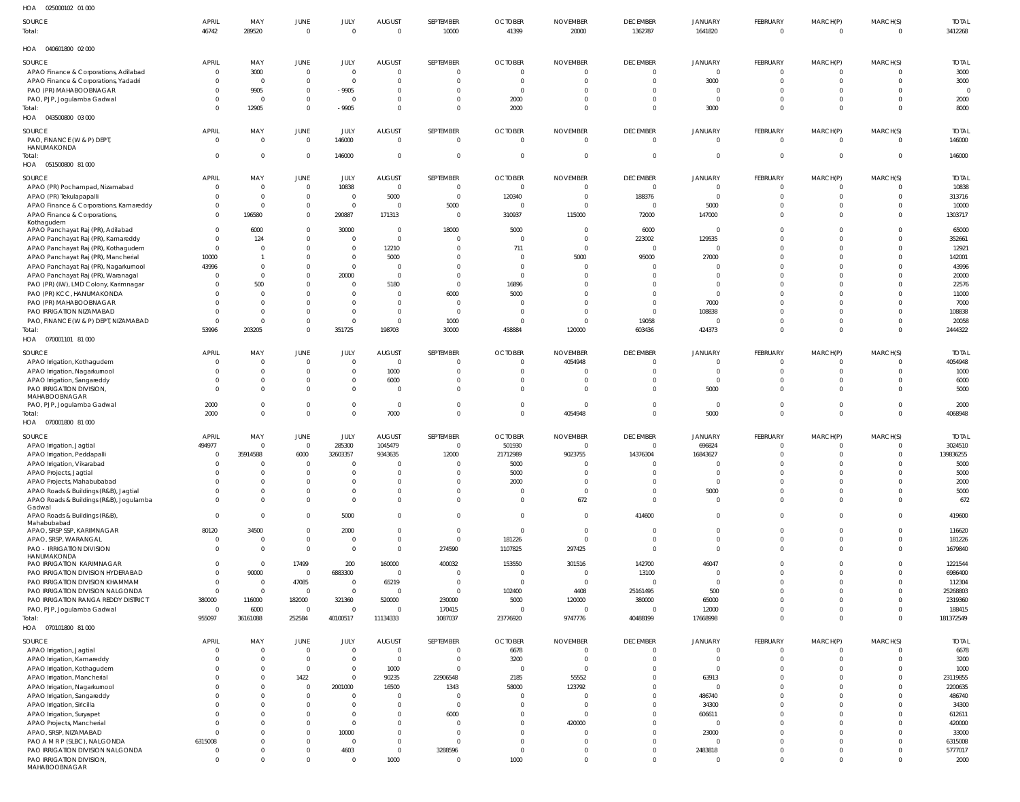| HOA<br>025000102 01 000                                                            |                       |                  |                            |                         |                                 |                         |                            |                           |                            |                           |                                |                            |                         |                         |
|------------------------------------------------------------------------------------|-----------------------|------------------|----------------------------|-------------------------|---------------------------------|-------------------------|----------------------------|---------------------------|----------------------------|---------------------------|--------------------------------|----------------------------|-------------------------|-------------------------|
| <b>SOURCE</b><br>Total:                                                            | <b>APRIL</b><br>46742 | MAY<br>289520    | JUNE<br>$\mathbf{0}$       | JULY<br>$\overline{0}$  | <b>AUGUST</b><br>$\overline{0}$ | SEPTEMBER<br>10000      | <b>OCTOBER</b><br>41399    | <b>NOVEMBER</b><br>20000  | <b>DECEMBER</b><br>1362787 | <b>JANUARY</b><br>1641820 | <b>FEBRUARY</b><br>$\mathbf 0$ | MARCH(P)<br>$\overline{0}$ | MARCH(S)<br>$\mathbf 0$ | <b>TOTAL</b><br>3412268 |
| HOA<br>040601800 02 000                                                            |                       |                  |                            |                         |                                 |                         |                            |                           |                            |                           |                                |                            |                         |                         |
| <b>SOURCE</b>                                                                      | <b>APRIL</b>          | MAY              | <b>JUNE</b>                | JULY                    | <b>AUGUST</b>                   | SEPTEMBER               | <b>OCTOBER</b>             | <b>NOVEMBER</b>           | <b>DECEMBER</b>            | <b>JANUARY</b>            | <b>FEBRUARY</b>                | MARCH(P)                   | MARCH(S)                | <b>TOTAL</b>            |
| APAO Finance & Corporations, Adilabad                                              | $\Omega$              | 3000             | $\mathbf 0$                | $\overline{0}$          | $\overline{0}$                  | 0                       | $\mathbf 0$                | $\mathbf 0$               | $\Omega$                   | $\mathbf{0}$              | $\mathbf 0$                    | $\overline{0}$             |                         | 3000                    |
| APAO Finance & Corporations, Yadadri                                               |                       | $\mathbf 0$      | $\mathbf 0$                | $\overline{0}$          | $\mathbf 0$                     | $\Omega$                | $\mathbf 0$                | $\overline{0}$            | $\Omega$                   | 3000                      | $\Omega$                       | $\Omega$                   |                         | 3000                    |
| PAO (PR) MAHABOOBNAGAR                                                             |                       | 9905             | $\overline{0}$             | $-9905$                 | $\mathbf 0$                     | $\mathbf 0$             | $\mathbf 0$                | $\mathbf 0$               | $\Omega$                   | $\Omega$                  | $\Omega$                       | $\Omega$                   |                         | $\mathcal{C}$           |
| PAO, PJP, Jogulamba Gadwal                                                         |                       | $\mathbf 0$      | $\mathbf 0$                | $\overline{0}$          | $\mathbf 0$                     | $\mathbf 0$             | 2000                       | $\mathbf 0$               | $\Omega$                   | $\overline{0}$            | $\Omega$                       | $\Omega$                   |                         | 2000                    |
| Total:<br>HOA  043500800  03  000                                                  |                       | 12905            | $\mathbf 0$                | $-9905$                 | $\mathbf 0$                     | $\mathbf 0$             | 2000                       | $\mathbf 0$               | $\Omega$                   | 3000                      | $\Omega$                       | $\overline{0}$             | $\Omega$                | 8000                    |
| <b>SOURCE</b>                                                                      | <b>APRIL</b>          | MAY              | JUNE                       | JULY                    | <b>AUGUST</b>                   | SEPTEMBER               | <b>OCTOBER</b>             | <b>NOVEMBER</b>           | <b>DECEMBER</b>            | JANUARY                   | <b>FEBRUARY</b>                | MARCH(P)                   | MARCH(S)                | <b>TOTAL</b>            |
| PAO, FINANCE (W & P) DEPT                                                          | $\Omega$              | $\mathbf 0$      | $\mathbf{0}$               | 146000                  | $\overline{0}$                  | $\mathbf 0$             | $\mathbf 0$                | $\overline{0}$            | $\Omega$                   | $\overline{0}$            | $\mathbf 0$                    | $\overline{0}$             | $\Omega$                | 146000                  |
| HANUMAKONDA                                                                        |                       |                  |                            |                         |                                 |                         |                            |                           |                            |                           |                                |                            |                         |                         |
| Total:<br>HOA  051500800  81 000                                                   | $\Omega$              | $\mathbf{0}$     | $\mathbf{0}$               | 146000                  | $\overline{0}$                  | $\mathbf 0$             | $\mathbf 0$                | $\overline{0}$            | $\Omega$                   | $\Omega$                  |                                | $\Omega$                   | $\Omega$                | 146000                  |
| SOURCE                                                                             | <b>APRIL</b>          | MAY              | <b>JUNE</b>                | JULY                    | <b>AUGUST</b>                   | SEPTEMBER               | <b>OCTOBER</b>             | <b>NOVEMBER</b>           | <b>DECEMBER</b>            | <b>JANUARY</b>            | <b>FEBRUARY</b>                | MARCH(P)                   | MARCH(S)                | <b>TOTAL</b>            |
| APAO (PR) Pochampad, Nizamabad                                                     | $\Omega$              | $\mathbf 0$      | $\mathbf 0$                | 10838                   | $\overline{\phantom{0}}$        | $\mathbf 0$             | $\mathbf 0$                | $\mathbf 0$               | $\Omega$                   | $\mathbf 0$               | $\mathbf 0$                    | $\overline{0}$             | $\Omega$                | 10838                   |
| APAO (PR) Tekulapapalli                                                            |                       | $\mathbf 0$      | $\mathbf 0$                | $\overline{0}$          | 5000                            | $\mathbf{0}$            | 120340                     | $\mathbf 0$               | 188376                     | $\mathbf 0$               | $\Omega$                       | $\overline{0}$             |                         | 313716                  |
| APAO Finance & Corporations, Kamareddy                                             |                       | $\Omega$         | $\mathbf 0$                | $\overline{0}$          | $\overline{\phantom{0}}$        | 5000                    | $\mathbf 0$                | $\mathbf 0$               | $\Omega$                   | 5000                      | $\Omega$                       | $\overline{0}$             |                         | 10000                   |
| APAO Finance & Corporations,                                                       | $\Omega$              | 196580           | $\mathbf 0$                | 290887                  | 171313                          | $\overline{0}$          | 310937                     | 115000                    | 72000                      | 147000                    | $\Omega$                       | $\Omega$                   |                         | 1303717                 |
| Kothagudem                                                                         | $\Omega$              | 6000             | $\mathbf 0$                | 30000                   | $\overline{\phantom{0}}$        | 18000                   | 5000                       | $\mathbf 0$               | 6000                       | $\Omega$                  | $\Omega$                       | $\Omega$                   | $\Omega$                | 65000                   |
| APAO Panchayat Raj (PR), Adilabad                                                  |                       | 124              | $\mathbf 0$                | $\overline{0}$          | $\overline{0}$                  | $\mathbf 0$             | $\mathbf 0$                | $\overline{0}$            | 223002                     | 129535                    | $\Omega$                       | $\Omega$                   | $\Omega$                | 352661                  |
| APAO Panchayat Raj (PR), Kamareddy                                                 | $\Omega$              | $\Omega$         | $\mathbf 0$                | $\overline{0}$          | 12210                           | $\Omega$                | 711                        | $\overline{0}$            | $\Omega$                   |                           | $\Omega$                       | $\Omega$                   |                         | 12921                   |
| APAO Panchayat Raj (PR), Kothagudem                                                | 10000                 |                  | $\mathbf{0}$               | $\overline{0}$          | 5000                            | $\Omega$                | $\mathbf 0$                | 5000                      | 95000                      | 27000                     | $\Omega$                       | $\Omega$                   |                         | 142001                  |
| APAO Panchayat Raj (PR), Mancherial                                                | 43996                 | $\Omega$         | $\mathbf 0$                | $\overline{0}$          | $\overline{\phantom{0}}$        | 0                       | $\mathbf 0$                | $\mathbf 0$               |                            |                           |                                | $\Omega$                   |                         | 43996                   |
| APAO Panchayat Raj (PR), Nagarkurnool                                              |                       | $\mathbf 0$      | $\mathbf{0}$               |                         | $\overline{0}$                  | $\Omega$                | $\Omega$                   | $\Omega$                  |                            |                           | $\Omega$                       | $\Omega$                   |                         |                         |
| APAO Panchayat Raj (PR), Waranagal                                                 |                       |                  | $\mathbf{0}$               | 20000<br>$\overline{0}$ |                                 | $\mathbf 0$             |                            | $\Omega$                  |                            | $\Omega$                  | $\Omega$                       | $\Omega$                   |                         | 20000                   |
| PAO (PR) (IW), LMD Colony, Karimnagar                                              |                       | 500<br>0         | $\mathbf{0}$               | $\overline{0}$          | 5180<br>$\overline{0}$          | 6000                    | 16896<br>5000              | $\Omega$                  |                            | $\Omega$                  | $\Omega$                       | $\Omega$                   |                         | 22576<br>11000          |
| PAO (PR) KCC, HANUMAKONDA<br>PAO (PR) MAHABOOBNAGAR                                |                       | $\Omega$         | $\mathbf{0}$               | $\overline{0}$          | $\mathbf 0$                     | $\overline{0}$          | $\mathbf 0$                | $\Omega$                  | $\Omega$                   | 7000                      | $\Omega$                       | $\Omega$                   |                         | 7000                    |
| PAO IRRIGATION NIZAMABAD                                                           |                       | 0                | $\mathbf 0$                | $\overline{0}$          | $\overline{0}$                  | $\overline{0}$          | $\Omega$                   | $\mathbf 0$               | $\Omega$                   | 108838                    | $\Omega$                       | $\Omega$                   |                         | 108838                  |
| PAO, FINANCE (W & P) DEPT, NIZAMABAD                                               | - 0                   | $\Omega$         | $\mathbf 0$                | $\overline{0}$          | $\overline{0}$                  | 1000                    | $\mathbf 0$                | $\mathbf 0$               | 19058                      |                           | $\Omega$                       | $\Omega$                   |                         | 20058                   |
| Total:                                                                             | 53996                 | 203205           | $\mathbf 0$                | 351725                  | 198703                          | 30000                   | 458884                     | 120000                    | 603436                     | 424373                    | $\Omega$                       | $\Omega$                   | $\Omega$                | 2444322                 |
|                                                                                    |                       |                  |                            |                         |                                 |                         |                            |                           |                            |                           |                                |                            |                         |                         |
| SOURCE                                                                             | <b>APRIL</b>          | MAY              | JUNE                       | JULY                    | <b>AUGUST</b>                   | SEPTEMBER               | <b>OCTOBER</b>             | <b>NOVEMBER</b>           | <b>DECEMBER</b>            | <b>JANUARY</b>            | <b>FEBRUARY</b>                | MARCH(P)                   | MARCH(S)                | <b>TOTAL</b>            |
| APAO Irrigation, Kothagudem                                                        | - 0                   | $\mathbf 0$      | $\overline{0}$             | $\overline{0}$          | $\overline{\phantom{0}}$        | $\Omega$                | 0                          | 4054948                   | $\Omega$                   |                           | $\Omega$                       | $\Omega$                   | -0                      | 4054948                 |
| APAO Irrigation, Nagarkurnool                                                      |                       | $\mathbf 0$      | $\mathbf 0$                | $\overline{0}$          | 1000                            |                         | $\Omega$                   | $\mathbf 0$               |                            | $\Omega$                  |                                | $\overline{0}$             | $\Omega$                | 1000                    |
| APAO Irrigation, Sangareddy                                                        |                       | $\Omega$         | $\mathbf 0$                | $\overline{0}$          | 6000                            | $\Omega$                | $\Omega$                   | $\mathbf 0$               | <sup>0</sup>               | $\Omega$                  | $\Omega$                       | $\Omega$                   | $\Omega$                | 6000                    |
| PAO IRRIGATION DIVISION,<br>MAHABOOBNAGAR                                          |                       | $\Omega$         | $\mathbf 0$                | $\overline{0}$          | $\overline{0}$                  | $\Omega$                | $\Omega$                   | $\overline{0}$            | $\Omega$                   | 5000                      | $\Omega$                       | $\Omega$                   | $\Omega$                | 5000                    |
| PAO, PJP, Jogulamba Gadwal                                                         | 2000                  | 0                | $\mathbf 0$                | $\overline{0}$          | $\overline{0}$                  | $\mathbf 0$             | 0                          | $\Omega$                  | $\Omega$                   | $\Omega$                  | $\Omega$                       | $\overline{0}$             | $\Omega$                | 2000                    |
| Total:                                                                             | 2000                  | $\mathbf{0}$     | $\mathbf 0$                | $\overline{0}$          | 7000                            | $\mathbf 0$             | $\mathbf 0$                | 4054948                   | $\Omega$                   | 5000                      | $\Omega$                       | $\overline{0}$             | $\Omega$                | 4068948                 |
| HOA  070001800  81 000                                                             |                       |                  |                            |                         |                                 |                         |                            |                           |                            |                           |                                |                            |                         |                         |
| SOURCE                                                                             | <b>APRIL</b>          | MAY              | <b>JUNE</b>                | JULY                    | <b>AUGUST</b>                   | SEPTEMBER               | <b>OCTOBER</b>             | <b>NOVEMBER</b>           | <b>DECEMBER</b>            | <b>JANUARY</b>            | <b>FEBRUARY</b>                | MARCH(P)                   | MARCH(S)                | <b>TOTAL</b>            |
| APAO Irrigation, Jagtial                                                           | 494977                | $\mathbf 0$      | $\mathbf 0$                | 285300                  | 1045479                         | $\overline{0}$          | 501930                     | $\mathbf 0$               |                            | 696824                    | 0                              | $\Omega$                   |                         | 3024510                 |
| APAO Irrigation, Peddapalli                                                        | - 0                   | 35914588         | 6000                       | 32603357                | 9343635                         | 12000                   | 21712989                   | 9023755                   | 14376304                   | 16843627                  | $\Omega$                       | $\Omega$                   |                         | 139836255               |
| APAO Irrigation, Vikarabad                                                         |                       |                  |                            | $\Omega$                |                                 |                         | 5000                       | 0                         |                            |                           |                                |                            |                         | 5000                    |
| APAO Projects, Jagtial                                                             |                       | $\Omega$         | $\Omega$                   | $\Omega$                | $\Omega$                        | $\Omega$                | 5000                       | $\Omega$                  |                            | $\Omega$                  |                                | $\Omega$                   |                         | 5000                    |
| APAO Projects, Mahabubabad                                                         |                       | $\Omega$         | $\mathbf 0$                | $\overline{0}$          | $\overline{0}$                  | $\mathbf 0$             | 2000                       | $\mathbf 0$               | $\Omega$                   | $\Omega$                  | $\Omega$                       | $\Omega$                   |                         | 2000                    |
| APAO Roads & Buildings (R&B), Jagtial                                              |                       | $\Omega$         | $\mathbf 0$                | $\overline{0}$          | $\overline{0}$                  | $\Omega$                | $\mathbf 0$                | $\mathbf 0$               | $\Omega$                   | 5000                      | $\Omega$                       | $\Omega$                   |                         | 5000                    |
| APAO Roads & Buildings (R&B), Jogulamba<br>Gadwal<br>APAO Roads & Buildings (R&B), | $\Omega$              | $\Omega$<br>0    | $\mathbf 0$<br>$\mathbf 0$ | $\Omega$<br>5000        | $\Omega$<br>$\mathbf 0$         | $\Omega$<br>$\mathbf 0$ | $\mathbf 0$<br>$\mathbf 0$ | 672<br>$\mathbf 0$        | $\Omega$<br>414600         | $\Omega$<br>$\Omega$      | $\Omega$<br>$\mathbf 0$        | $\Omega$<br>$\Omega$       | $\Omega$                | 672<br>419600           |
| Mahabubabad                                                                        |                       |                  |                            |                         |                                 |                         |                            |                           |                            |                           |                                |                            |                         |                         |
| APAO, SRSP SSP, KARIMNAGAR                                                         | 80120                 | 34500            | $\mathbf 0$                | 2000                    | $\mathbf 0$                     | $\mathbf{0}$            | $\mathbf 0$                | $\mathbf 0$               | $\Omega$                   | $\Omega$                  | $\Omega$                       | $\Omega$                   | $\Omega$                | 116620                  |
| APAO, SRSP, WARANGAL                                                               | $\Omega$              | $\mathbf 0$      | $\mathbf 0$                | $\overline{0}$          | $\overline{0}$                  | $\mathbf 0$             | 181226                     | $\overline{0}$            | $\Omega$                   | $\Omega$                  | $\mathbf 0$                    | $\overline{0}$             | $\Omega$                | 181226                  |
| PAO - IRRIGATION DIVISION                                                          | $\Omega$              | $\mathbf 0$      | $\mathbf 0$                | $\overline{0}$          | $\Omega$                        | 274590                  | 1107825                    | 297425                    | $\Omega$                   | $\Omega$                  | $\Omega$                       | $\Omega$                   |                         | 1679840                 |
| HANUMAKONDA                                                                        |                       |                  |                            |                         |                                 |                         |                            |                           |                            |                           |                                |                            |                         |                         |
| PAO IRRIGATION KARIMNAGAR                                                          | $\cap$                | $\mathbf 0$      | 17499                      | 200                     | 160000                          | 400032                  | 153550                     | 301516                    | 142700                     | 46047                     | $\Omega$                       | $\Omega$                   |                         | 1221544                 |
| PAO IRRIGATION DIVISION HYDERABAD                                                  | $\Omega$              | 90000            | $\overline{0}$             | 6883300                 | $\overline{0}$                  | $\Omega$                | $\mathbf 0$                | $\mathbf 0$               | 13100                      | $\mathbf 0$               | $\Omega$                       | $\Omega$                   |                         | 6986400                 |
| PAO IRRIGATION DIVISION KHAMMAM                                                    | $\cap$                | $\mathbf 0$      | 47085                      | $\overline{0}$          | 65219                           | $\mathbf 0$             | $\mathbf 0$                | $\overline{0}$            | $\Omega$                   | $\Omega$                  | $\Omega$                       | $\Omega$                   |                         | 112304                  |
| PAO IRRIGATION DIVISION NALGONDA                                                   | $\Omega$              | $\mathbf 0$      | $\mathbf{0}$               | $\overline{0}$          | $\overline{0}$                  | $\mathbf 0$             | 102400                     | 4408                      | 25161495                   | 500                       | $\Omega$                       | $\Omega$                   |                         | 25268803                |
| PAO IRRIGATION RANGA REDDY DISTRICT                                                | 380000                | 116000           | 182000                     | 321360<br>$\Omega$      | 520000                          | 230000                  | 5000                       | 120000                    | 380000                     | 65000                     | $\Omega$                       | $\Omega$                   |                         | 2319360                 |
| PAO, PJP, Jogulamba Gadwal<br>Total:                                               | $\Omega$<br>955097    | 6000<br>36161088 | $\mathbf{0}$<br>252584     | 40100517                | $\overline{0}$<br>11134333      | 170415<br>1087037       | $\mathbf 0$<br>23776920    | $\overline{0}$<br>9747776 | $\Omega$<br>40488199       | 12000<br>17668998         | $\Omega$<br>$\mathbf 0$        | $\Omega$<br>$\Omega$       | $\Omega$                | 188415<br>181372549     |
| HOA   070101800   81   000                                                         |                       |                  |                            |                         |                                 |                         |                            |                           |                            |                           |                                |                            |                         |                         |
| SOURCE                                                                             | <b>APRIL</b>          | MAY              | JUNE                       | JULY                    | <b>AUGUST</b>                   | SEPTEMBER               | <b>OCTOBER</b>             | <b>NOVEMBER</b>           | <b>DECEMBER</b>            | <b>JANUARY</b>            | FEBRUARY                       | MARCH(P)                   | MARCH(S)                | <b>TOTAL</b>            |
| APAO Irrigation, Jagtial                                                           | $\Omega$              | $\Omega$         | $\mathbf{0}$               | $\overline{0}$          | $\overline{0}$                  | $\mathbf 0$             | 6678                       | $\overline{0}$            | $\Omega$                   | $\overline{0}$            | $\Omega$                       | $\overline{0}$             | $\Omega$                | 6678                    |
| APAO Irrigation, Kamareddy                                                         |                       | $\Omega$         | $\mathbf 0$                | $\overline{0}$          | $\overline{0}$                  | $\Omega$                | 3200                       | $\overline{0}$            | $\Omega$                   | $\Omega$                  | $\Omega$                       | $\Omega$                   | $\Omega$                | 3200                    |
| APAO Irrigation, Kothagudem                                                        |                       | $\Omega$         | $\mathbf{0}$               | $\overline{0}$          | 1000                            | $\Omega$                | $\mathbf 0$                | $\overline{0}$            | $\Omega$                   | $\Omega$                  | $\Omega$                       | $\Omega$                   |                         | 1000                    |
| APAO Irrigation, Mancherial                                                        |                       | $\Omega$         | 1422                       | $\overline{0}$          | 90235                           | 22906548                | 2185                       | 55552                     | $\Omega$                   | 63913                     | $\Omega$                       | $\Omega$                   | $\Omega$                | 23119855                |
| APAO Irrigation, Nagarkurnool                                                      |                       | $\Omega$         | $\mathbf{0}$               | 2001000                 | 16500                           | 1343                    | 58000                      | 123792                    | $\Omega$                   | $\Omega$                  | $\Omega$                       | $\Omega$                   |                         | 2200635                 |
| APAO Irrigation, Sangareddy                                                        |                       | $\Omega$         | $\mathbf{0}$               | $\overline{0}$          | $\overline{0}$                  | $\Omega$                | $\mathbf 0$                | $\mathbf 0$               | $\Omega$                   | 486740                    | $\Omega$                       | $\Omega$                   |                         | 486740                  |
| APAO Irrigation, Siricilla                                                         |                       |                  | $\mathbf 0$                | $\Omega$                | $\overline{0}$                  | $\Omega$                | $\Omega$                   | $\overline{0}$            | $\Omega$                   | 34300                     | $\Omega$                       | $\Omega$                   |                         | 34300                   |
| APAO Irrigation, Suryapet                                                          |                       | $\Omega$         | $\mathbf 0$                | $\overline{0}$          | $\Omega$                        | 6000                    | $\Omega$                   | $\Omega$                  | $\Omega$                   | 606611                    | $\Omega$                       | $\Omega$                   | $\Omega$                | 612611                  |
| APAO Projects, Mancherial                                                          |                       |                  | $\mathbf 0$                | $\overline{0}$          | $\Omega$                        | $\Omega$                | $\Omega$                   | 420000                    | $\Omega$                   | $\Omega$                  | $\Omega$                       | $\Omega$                   |                         | 420000                  |
| APAO, SRSP, NIZAMABAD                                                              |                       |                  | $\mathbf 0$                | 10000                   | $\mathbf 0$                     | $\Omega$                | $\Omega$                   | $\mathbf 0$               | $\Omega$                   | 23000                     | $\Omega$                       | $\Omega$                   | $\Omega$                | 33000                   |
| PAO A M R P (SLBC), NALGONDA                                                       | 6315008               |                  | $\mathbf{0}$               | $\overline{0}$          | $\overline{0}$                  | $\Omega$                | $\Omega$                   | $\Omega$                  | $\Omega$                   | $\Omega$                  | $\Omega$                       | $\Omega$                   |                         | 6315008                 |
| PAO IRRIGATION DIVISION NALGONDA                                                   |                       | $\Omega$         | $\mathbf 0$                | 4603                    | $\overline{0}$                  | 3288596                 | $\Omega$                   | $\Omega$                  | $\Omega$                   | 2483818                   | $\Omega$                       | $\Omega$                   | $\Omega$                | 5777017                 |
| PAO IRRIGATION DIVISION,<br>MAHABOOBNAGAR                                          | $\Omega$              | $\Omega$         | $\mathbf 0$                | $\overline{0}$          | 1000                            | $\mathbf{0}$            | 1000                       | $\mathbf 0$               | $\Omega$                   | $\Omega$                  | $\Omega$                       | $\Omega$                   | $\Omega$                | 2000                    |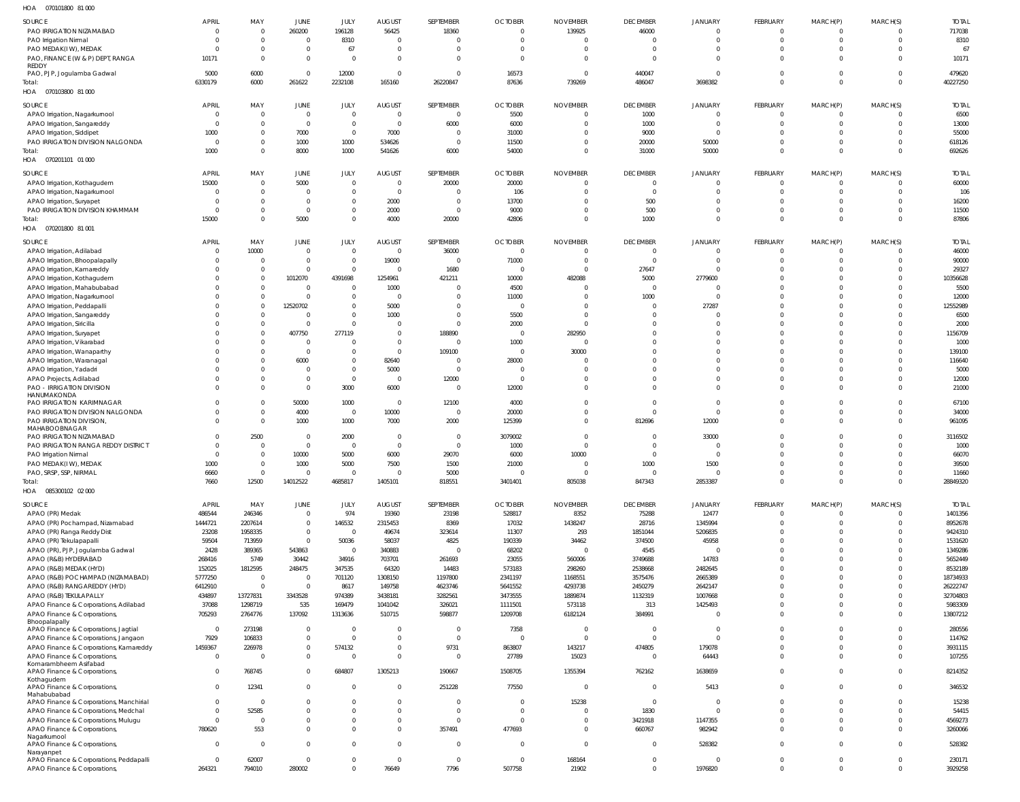| Н∩∆ | 070101800 81.000 |  |
|-----|------------------|--|

| HOA<br>070101800 81 000                                       |                        |                                  |                                  |                        |                                 |                         |                         |                  |                      |                         |                         |                         |                      |                    |
|---------------------------------------------------------------|------------------------|----------------------------------|----------------------------------|------------------------|---------------------------------|-------------------------|-------------------------|------------------|----------------------|-------------------------|-------------------------|-------------------------|----------------------|--------------------|
| SOURCE                                                        | <b>APRIL</b>           | MAY                              | JUNE                             | JULY                   | <b>AUGUST</b>                   | SEPTEMBER               | <b>OCTOBER</b>          | <b>NOVEMBER</b>  | <b>DECEMBER</b>      | <b>JANUARY</b>          | FEBRUARY                | MARCH(P)                | MARCH(S)             | <b>TOTAL</b>       |
| PAO IRRIGATION NIZAMABAD                                      | 0                      | $\overline{0}$                   | 260200                           | 196128                 | 56425                           | 18360                   | $\mathbf 0$             | 139925           | 46000                | $\Omega$                | 0                       | $\mathbf 0$             | $\Omega$             | 717038             |
| PAO Irrigation Nirmal                                         | $\Omega$               | $\overline{0}$                   | $\overline{0}$                   | 8310                   | $\overline{\mathbf{0}}$         | - 0                     | $\mathbf{0}$            | $\mathbf 0$      | $\Omega$             | $\Omega$                | $\mathbf 0$             | $\mathbf 0$             | 0                    | 8310               |
| PAO MEDAK(IW), MEDAK                                          |                        | $\overline{0}$                   | $\overline{0}$                   | 67                     | $\overline{0}$                  | - 0                     | 0                       | $\Omega$         | $\Omega$             | $\Omega$                | $\Omega$                | $\mathbf 0$             | $\Omega$             | 67                 |
| PAO, FINANCE (W & P) DEPT, RANGA                              | 10171                  | $\overline{0}$                   | $\mathbf 0$                      | $\Omega$               | - 0                             | $\Omega$                | $\Omega$                | $\Omega$         | $\Omega$             | $\Omega$                | $\Omega$                | $\Omega$                | $\Omega$             | 10171              |
| REDDY<br>PAO, PJP, Jogulamba Gadwal                           | 5000                   | 6000                             | $\overline{0}$                   | 12000                  | $\overline{0}$                  | $\overline{0}$          | 16573                   | $\overline{0}$   | 440047               | $\Omega$                | $\Omega$                | $\mathbf 0$             | 0                    | 479620             |
| Total:                                                        | 6330179                | 6000                             | 261622                           | 2232108                | 165160                          | 26220847                | 87636                   | 739269           | 486047               | 3698382                 | $\Omega$                | $\Omega$                | $\Omega$             | 40227250           |
| 070103800 81 000<br>HOA                                       |                        |                                  |                                  |                        |                                 |                         |                         |                  |                      |                         |                         |                         |                      |                    |
|                                                               |                        |                                  |                                  |                        |                                 |                         |                         |                  |                      |                         |                         |                         |                      |                    |
| SOURCE                                                        | <b>APRIL</b>           | MAY                              | JUNE                             | JULY                   | <b>AUGUST</b>                   | SEPTEMBER               | <b>OCTOBER</b>          | <b>NOVEMBER</b>  | <b>DECEMBER</b>      | JANUARY                 | FEBRUARY                | MARCH(P)                | MARCH(S)             | <b>TOTAL</b>       |
| APAO Irrigation, Nagarkurnool                                 | $\mathbf{0}$           | $\overline{0}$                   | $\mathbf 0$                      | $\Omega$               | $\overline{0}$                  | $\circ$                 | 5500                    | $\overline{0}$   | 1000                 | $\mathbf{0}$            | $\mathbf 0$             | $\mathbf 0$             | $\Omega$             | 6500               |
| APAO Irrigation, Sangareddy                                   | $\Omega$               | $\overline{0}$                   | $\mathbf 0$                      | $\Omega$               | $\overline{0}$                  | 6000                    | 6000                    | $\mathbf 0$      | 1000                 | $\mathbf{0}$            | $\mathbf 0$             | $\mathbf 0$             |                      | 13000              |
| APAO Irrigation, Siddipet                                     | 1000                   | $\mathbf 0$                      | 7000                             | $\overline{0}$         | 7000                            | $\overline{0}$          | 31000                   | 0                | 9000                 | $\Omega$                | $\Omega$                | $\Omega$                | -0                   | 55000              |
| PAO IRRIGATION DIVISION NALGONDA                              | 0<br>1000              | $\overline{0}$<br>$\overline{0}$ | 1000<br>8000                     | 1000<br>1000           | 534626<br>541626                | $\overline{0}$<br>6000  | 11500<br>54000          | 0<br>$\mathbf 0$ | 20000<br>31000       | 50000<br>50000          | $\Omega$<br>$\Omega$    | $\mathbf 0$<br>$\Omega$ |                      | 618126<br>692626   |
| Total:<br>HOA  070201101  01  000                             |                        |                                  |                                  |                        |                                 |                         |                         |                  |                      |                         |                         |                         |                      |                    |
|                                                               |                        |                                  |                                  |                        |                                 |                         |                         |                  |                      |                         |                         |                         |                      |                    |
| SOURCE                                                        | <b>APRIL</b>           | MAY                              | <b>JUNE</b>                      | JULY                   | <b>AUGUST</b>                   | SEPTEMBER               | <b>OCTOBER</b>          | <b>NOVEMBER</b>  | <b>DECEMBER</b>      | <b>JANUARY</b>          | FEBRUARY                | MARCH(P)                | MARCH(S)             | <b>TOTAL</b>       |
| APAO Irrigation, Kothagudem                                   | 15000                  | $\overline{0}$                   | 5000                             | $\Omega$               | $\overline{0}$                  | 20000                   | 20000                   | $\overline{0}$   | $^{\circ}$           | $\Omega$                | $\mathbf 0$             | $\Omega$                | $\Omega$             | 60000              |
| APAO Irrigation, Nagarkurnool                                 |                        | $\overline{0}$                   | $\circ$                          | $\Omega$               | $\overline{0}$                  | - 0                     | 106                     | $\mathbf 0$      | $\Omega$             | $\Omega$                | 0                       | $\Omega$                | -0                   | 106                |
| APAO Irrigation, Suryapet                                     |                        | $\mathbf{0}$                     | $\overline{0}$                   | $\Omega$               | 2000                            | $\overline{0}$          | 13700                   | 0                | 500                  | $\Omega$                | $\Omega$                | $\Omega$                | $\Omega$             | 16200              |
| PAO IRRIGATION DIVISION KHAMMAM                               |                        | $\mathbf{0}$                     | $\overline{0}$                   | $\Omega$<br>$\Omega$   | 2000                            | $\circ$                 | 9000                    | $\Omega$         | 500                  | $\Omega$                | $\Omega$                | $\Omega$                | $\Omega$             | 11500              |
| Total:<br>HOA<br>070201800 81 001                             | 15000                  | $\overline{0}$                   | 5000                             |                        | 4000                            | 20000                   | 42806                   | $\mathbf 0$      | 1000                 | $\Omega$                | $\Omega$                | $\Omega$                | $\Omega$             | 87806              |
|                                                               |                        |                                  |                                  |                        |                                 |                         |                         |                  |                      |                         |                         |                         |                      |                    |
| SOURCE                                                        | <b>APRIL</b>           | MAY                              | JUNE                             | JULY                   | <b>AUGUST</b>                   | SEPTEMBER               | <b>OCTOBER</b>          | <b>NOVEMBER</b>  | <b>DECEMBER</b>      | <b>JANUARY</b>          | FEBRUARY                | MARCH(P)                | MARCH(S)             | <b>TOTAL</b>       |
| APAO Irrigation, Adilabad                                     |                        | 10000                            | $\overline{0}$                   | $\Omega$               | $\overline{\mathbf{0}}$         | 36000                   | $\overline{0}$          | 0                | $\Omega$             | $\Omega$                | $\mathbf 0$             | 0                       |                      | 46000              |
| APAO Irrigation, Bhoopalapally                                |                        | $\overline{0}$                   | $\mathbf 0$                      | $\Omega$               | 19000                           | $\circ$                 | 71000                   | $\overline{0}$   | $\Omega$             | $\Omega$                | $\mathbf 0$             | $\Omega$                |                      | 90000              |
| APAO Irrigation, Kamareddy                                    |                        | $\overline{0}$                   | $\overline{0}$                   | $\overline{0}$         | $\overline{\mathbf{0}}$         | 1680                    | $\overline{0}$          | 0                | 27647                | $\Omega$                | $\Omega$                | 0                       |                      | 29327              |
| APAO Irrigation, Kothagudem                                   |                        | $\mathbf{0}$                     | 1012070                          | 4391698                | 1254961                         | 421211                  | 10000                   | 482088           | 5000                 | 2779600                 | $\Omega$                | $\Omega$                | $\Omega$             | 10356628           |
| APAO Irrigation, Mahabubabad                                  |                        | $\overline{0}$<br>$\overline{0}$ | $\overline{0}$<br>$\overline{0}$ | $\Omega$<br>$\Omega$   | 1000<br>$\overline{\mathbf{0}}$ | -0                      | 4500                    | 0                | $\overline{0}$       | $\Omega$<br>$\Omega$    | $\Omega$<br>$\Omega$    | $\Omega$                |                      | 5500               |
| APAO Irrigation, Nagarkurnool                                 |                        | $\overline{0}$                   | 12520702                         | $\Omega$               | 5000                            | - 0<br>- 0              | 11000<br>$\overline{0}$ | 0<br>$\Omega$    | 1000<br>$\Omega$     | 27287                   | $\Omega$                | $\Omega$                |                      | 12000<br>12552989  |
| APAO Irrigation, Peddapalli<br>APAO Irrigation, Sangareddy    |                        | $\overline{0}$                   | $\overline{0}$                   | $\Omega$               | 1000                            | - 0                     | 5500                    | $\overline{0}$   | $\Omega$             | $\overline{0}$          | $\Omega$                |                         |                      | 6500               |
| APAO Irrigation, Siricilla                                    |                        | $\overline{0}$                   | $\overline{0}$                   | $\Omega$               | $\overline{\mathbf{0}}$         | - 0                     | 2000                    | $\Omega$         | $\Omega$             | $\Omega$                | $\Omega$                | $\Omega$                |                      | 2000               |
| APAO Irrigation, Suryapet                                     |                        | $\overline{0}$                   | 407750                           | 277119                 | $\overline{0}$                  | 188890                  | $\overline{0}$          | 282950           | $\Omega$             | $\Omega$                | $\Omega$                |                         |                      | 1156709            |
| APAO Irrigation, Vikarabad                                    |                        | $\overline{0}$                   | $\overline{0}$                   | $\Omega$               | $\overline{\mathbf{0}}$         | $\circ$                 | 1000                    | $\overline{0}$   | $\Omega$             | $\Omega$                | $\Omega$                | $\Omega$                |                      | 1000               |
| APAO Irrigation, Wanaparthy                                   |                        | $\mathbf{0}$                     | $\mathbf 0$                      | $\Omega$               | $\overline{0}$                  | 109100                  | $\overline{0}$          | 30000            | $\Omega$             | $\Omega$                | $\Omega$                | $\Omega$                |                      | 139100             |
| APAO Irrigation, Waranagal                                    |                        | $\mathbf{0}$                     | 6000                             | $\overline{0}$         | 82640                           | - 0                     | 28000                   | 0                | $\Omega$             | $\Omega$                | $\Omega$                | $\Omega$                |                      | 116640             |
| APAO Irrigation, Yadadri                                      |                        | $\Omega$                         | $\mathbf 0$                      | $\Omega$               | 5000                            | $\circ$                 | $\overline{0}$          | $\Omega$         | $\Omega$             | $\Omega$                | $\Omega$                | $\Omega$                |                      | 5000               |
| APAO Projects, Adilabad                                       |                        | $\mathbf 0$                      | $\mathbf 0$                      | $\Omega$               | $\overline{\mathbf{0}}$         | 12000                   | $\overline{0}$          | 0                | $\Omega$             | $\Omega$                | $\Omega$                | $\Omega$                |                      | 12000              |
| PAO - IRRIGATION DIVISION                                     |                        | $\mathbf 0$                      | $\mathbf 0$                      | 3000                   | 6000                            | $\overline{0}$          | 12000                   | $\mathbf 0$      | $\Omega$             | $\Omega$                | $\Omega$                | $\Omega$                | $\Omega$             | 21000              |
| HANUMAKONDA                                                   |                        |                                  |                                  |                        |                                 |                         |                         |                  |                      |                         |                         |                         |                      |                    |
| PAO IRRIGATION KARIMNAGAR<br>PAO IRRIGATION DIVISION NALGONDA |                        | $\overline{0}$<br>$\overline{0}$ | 50000<br>4000                    | 1000<br>$\overline{0}$ | $\overline{0}$<br>10000         | 12100<br>$\overline{0}$ | 4000<br>20000           | 0<br>0           | $\Omega$<br>$\Omega$ | $\Omega$<br>$\mathbf 0$ | $\mathbf 0$<br>$\Omega$ | $\Omega$<br>$\Omega$    | -0<br>$\Omega$       | 67100<br>34000     |
| PAO IRRIGATION DIVISION,                                      |                        | $\mathbf 0$                      | 1000                             | 1000                   | 7000                            | 2000                    | 125399                  | $\mathbf 0$      | 812696               | 12000                   | $\Omega$                | $\Omega$                | $\Omega$             | 961095             |
| MAHABOOBNAGAR                                                 |                        |                                  |                                  |                        |                                 |                         |                         |                  |                      |                         |                         |                         |                      |                    |
| PAO IRRIGATION NIZAMABAD                                      |                        | 2500                             | $\overline{0}$                   | 2000                   | $\overline{\mathbf{0}}$         | $\overline{0}$          | 3079002                 | $\overline{0}$   | $\Omega$             | 33000                   | $\Omega$                | $\Omega$                | $\Omega$             | 3116502            |
| PAO IRRIGATION RANGA REDDY DISTRICT                           |                        | $\overline{0}$                   | $\mathbf 0$                      | $\Omega$               | $\overline{0}$                  | - 0                     | 1000                    | $\Omega$         | $\Omega$             | $\Omega$                | $\Omega$                | $\Omega$                |                      | 1000               |
| PAO Irrigation Nirmal                                         | $\Omega$               | $\overline{0}$                   | 10000                            | 5000                   | 6000                            | 29070                   | 6000                    | 10000            | $\Omega$             | $\Omega$                | $\Omega$                | $\Omega$                | $\Omega$             | 66070              |
| PAO MEDAK(IW), MEDAK                                          | 1000                   | $\overline{0}$                   | 1000                             | 5000                   | 7500                            | 1500                    | 21000                   | - 0              | 1000                 | 1500                    |                         |                         |                      | 39500              |
| PAO, SRSP, SSP, NIRMAL                                        | 6660                   | $\overline{0}$                   | $\mathbf 0$                      | $\Omega$               | $\overline{0}$                  | 5000                    | $\overline{0}$          | $\overline{0}$   | $\overline{0}$       | $\mathbf 0$             | $\mathbf 0$             | $\Omega$                | $\Omega$             | 11660              |
| Total:                                                        | 7660                   | 12500                            | 14012522                         | 4685817                | 1405101                         | 818551                  | 3401401                 | 805038           | 847343               | 2853387                 | $\mathbf 0$             | $\Omega$                | $\Omega$             | 28849320           |
| HOA<br>085300102 02 000                                       |                        |                                  |                                  |                        |                                 |                         |                         |                  |                      |                         |                         |                         |                      |                    |
| SOURCE                                                        | <b>APRIL</b>           | MAY                              | JUNE                             | JULY                   | <b>AUGUST</b>                   | SEPTEMBER               | <b>OCTOBER</b>          | <b>NOVEMBER</b>  | <b>DECEMBER</b>      | <b>JANUARY</b>          | FEBRUARY                | MARCH(P)                | MARCH(S)             | <b>TOTAL</b>       |
| APAO (PR) Medak                                               | 486544                 | 246346                           | $\mathbf 0$                      | 974                    | 19360                           | 23198                   | 528817                  | 8352             | 75288                | 12477                   | $\mathbf 0$             | $\Omega$                | $\Omega$             | 1401356            |
| APAO (PR) Pochampad, Nizamabad                                | 1444721                | 2207614                          | $\mathbf 0$                      | 146532                 | 2315453                         | 8369                    | 17032                   | 1438247          | 28716                | 1345994                 | $\mathbf 0$             | $\Omega$                | $\mathbf 0$          | 8952678            |
| APAO (PR) Ranga Reddy Dist                                    | 23208                  | 1958335                          | $\mathbf 0$                      | $\overline{0}$         | 49674                           | 323614                  | 11307                   | 293              | 1851044              | 5206835                 | $\Omega$                | $\Omega$                | $\Omega$             | 9424310            |
| APAO (PR) Tekulapapalli                                       | 59504                  | 713959                           | $\mathbf 0$                      | 50036                  | 58037                           | 4825                    | 190339                  | 34462            | 374500               | 45958                   | $\mathbf 0$             | $\Omega$                | $\Omega$             | 1531620            |
| APAO (PR), PJP, Jogulamba Gadwal                              | 2428                   | 389365                           | 543863                           | $\Omega$               | 340883                          | $\Omega$                | 68202                   | $\Omega$         | 4545                 |                         | $\Omega$                | $\Omega$<br>$\Omega$    | $\Omega$             | 1349286            |
| APAO (R&B) HYDERABAD                                          | 268416<br>152025       | 5749<br>1812595                  | 30442<br>248475                  | 34916<br>347535        | 703701<br>64320                 | 261693<br>14483         | 23055<br>573183         | 560006<br>298260 | 3749688<br>2538668   | 14783<br>2482645        | $\Omega$<br>$\Omega$    | $\Omega$                | $\Omega$<br>$\Omega$ | 5652449<br>8532189 |
| APAO (R&B) MEDAK (HYD)<br>APAO (R&B) POCHAMPAD (NIZAMABAD)    | 5777250                | $\overline{0}$                   | $\overline{0}$                   | 701120                 | 1308150                         | 1197800                 | 2341197                 | 1168551          | 3575476              | 2665389                 | $\Omega$                | $\Omega$                | $\Omega$             | 18734933           |
| APAO (R&B) RANGAREDDY (HYD)                                   | 6412910                | $\overline{0}$                   | $\overline{0}$                   | 8617                   | 149758                          | 4623746                 | 5641552                 | 4293738          | 2450279              | 2642147                 | $\Omega$                | $\Omega$                | $\Omega$             | 26222747           |
| APAO (R&B) TEKULAPALLY                                        | 434897                 | 13727831                         | 3343528                          | 974389                 | 3438181                         | 3282561                 | 3473555                 | 1889874          | 1132319              | 1007668                 | $\Omega$                | $\Omega$                | $\Omega$             | 32704803           |
| APAO Finance & Corporations, Adilabad                         | 37088                  | 1298719                          | 535                              | 169479                 | 1041042                         | 326021                  | 1111501                 | 573118           | 313                  | 1425493                 | $\Omega$                | $\Omega$                | $\Omega$             | 5983309            |
| APAO Finance & Corporations,                                  | 705293                 | 2764776                          | 137092                           | 1313636                | 510715                          | 598877                  | 1209708                 | 6182124          | 384991               | $\Omega$                | $\Omega$                | $\Omega$                | $\Omega$             | 13807212           |
| Bhoopalapally                                                 |                        |                                  |                                  |                        |                                 |                         |                         |                  |                      |                         |                         |                         |                      |                    |
| APAO Finance & Corporations, Jagtial                          | $\overline{0}$         | 273198                           | $\overline{0}$                   | $\Omega$               | $\overline{\mathbf{0}}$         | $\overline{0}$          | 7358                    | $\overline{0}$   | $\mathbf{0}$         | $\mathbf{0}$            | $\Omega$                | $\Omega$                | $\Omega$             | 280556             |
| APAO Finance & Corporations, Jangaon                          | 7929                   | 106833                           | $\mathbf 0$                      | $\Omega$               | $\overline{0}$                  | $\overline{0}$          | $\overline{0}$          | $\overline{0}$   | $\overline{0}$       | $\Omega$                | $\Omega$                | $\Omega$                | $\Omega$             | 114762             |
| APAO Finance & Corporations, Kamareddy                        | 1459367<br>$\mathbf 0$ | 226978<br>$\overline{0}$         | $\mathbf 0$                      | 574132<br>$\Omega$     | $\overline{0}$                  | 9731<br>$\overline{0}$  | 863807                  | 143217           | 474805               | 179078                  | $\Omega$<br>$\mathbf 0$ | $\Omega$<br>$\Omega$    | $\Omega$<br>$\Omega$ | 3931115            |
| APAO Finance & Corporations,<br>Komarambheem Asifabad         |                        |                                  | $\mathbf 0$                      |                        | $\overline{0}$                  |                         | 27789                   | 15023            | $\overline{0}$       | 64443                   |                         |                         |                      | 107255             |
| APAO Finance & Corporations,                                  | $\mathbf 0$            | 768745                           | $\mathbf 0$                      | 684807                 | 1305213                         | 190667                  | 1508705                 | 1355394          | 762162               | 1638659                 | $\mathbf 0$             | $\Omega$                | $\Omega$             | 8214352            |
| Kothagudem                                                    |                        |                                  |                                  |                        |                                 |                         |                         |                  |                      |                         |                         |                         |                      |                    |
| APAO Finance & Corporations,<br>Mahabubabad                   | $\Omega$               | 12341                            | $\mathbf 0$                      | $\Omega$               | $\overline{\mathbf{0}}$         | 251228                  | 77550                   | $\overline{0}$   | $\mathbf{0}$         | 5413                    | $\mathbf 0$             | $\Omega$                | $\Omega$             | 346532             |
| APAO Finance & Corporations, Manchirial                       | $\Omega$               | $\overline{0}$                   | $\mathbf 0$                      | $\Omega$               | $\overline{0}$                  | $\overline{0}$          | $\overline{0}$          | 15238            | $\overline{0}$       | $\overline{0}$          | $\Omega$                | $\Omega$                | $\Omega$             | 15238              |
| APAO Finance & Corporations, Medchal                          |                        | 52585                            | $\mathbf 0$                      | $\Omega$               | $\overline{0}$                  | $\overline{0}$          | $\overline{0}$          | $\overline{0}$   | 1830                 | $\Omega$                | $\Omega$                | $\Omega$                | $\Omega$             | 54415              |
|                                                               |                        |                                  |                                  |                        |                                 |                         |                         |                  |                      |                         |                         |                         |                      |                    |
| APAO Finance & Corporations, Mulugu                           |                        | $\overline{0}$                   | $\mathbf{0}$                     | $\overline{0}$         | $\overline{0}$                  | $\overline{0}$          | $\overline{0}$          | $\overline{0}$   | 3421918              | 1147355                 | $\mathbf 0$             | $\Omega$                | $\Omega$             | 4569273            |
| APAO Finance & Corporations,                                  | 780620                 | 553                              | $\mathbf 0$                      | $\Omega$               | $\overline{0}$                  | 357491                  | 477693                  | $\overline{0}$   | 660767               | 982942                  | $\mathbf 0$             | $\Omega$                | $\Omega$             | 3260066            |
| Nagarkurnool                                                  |                        |                                  |                                  |                        |                                 |                         |                         |                  |                      |                         |                         |                         |                      |                    |
| APAO Finance & Corporations,                                  | $\Omega$               | $\overline{0}$                   | $\overline{0}$                   | $\Omega$               | $\overline{0}$                  | $\Omega$                | $\Omega$                | $\overline{0}$   | $\Omega$             | 528382                  | $\Omega$                | $\Omega$                | $\Omega$             | 528382             |
| Narayanpet<br>APAO Finance & Corporations, Peddapalli         | $\mathbf 0$            | 62007                            | $\overline{0}$                   | $\overline{0}$         | $\overline{0}$                  | $\overline{0}$          | $\overline{0}$          | 168164           | $\mathbf{0}$         | $\overline{0}$          | $\mathbf 0$             | $\mathbf 0$             | $\Omega$             | 230171             |
| APAO Finance & Corporations,                                  | 264321                 | 794010                           | 280002                           | $\mathbf 0$            | 76649                           | 7796                    | 507758                  | 21902            | $\mathbf 0$          | 1976820                 | $\mathbf 0$             | $\mathbf 0$             | $\Omega$             | 3929258            |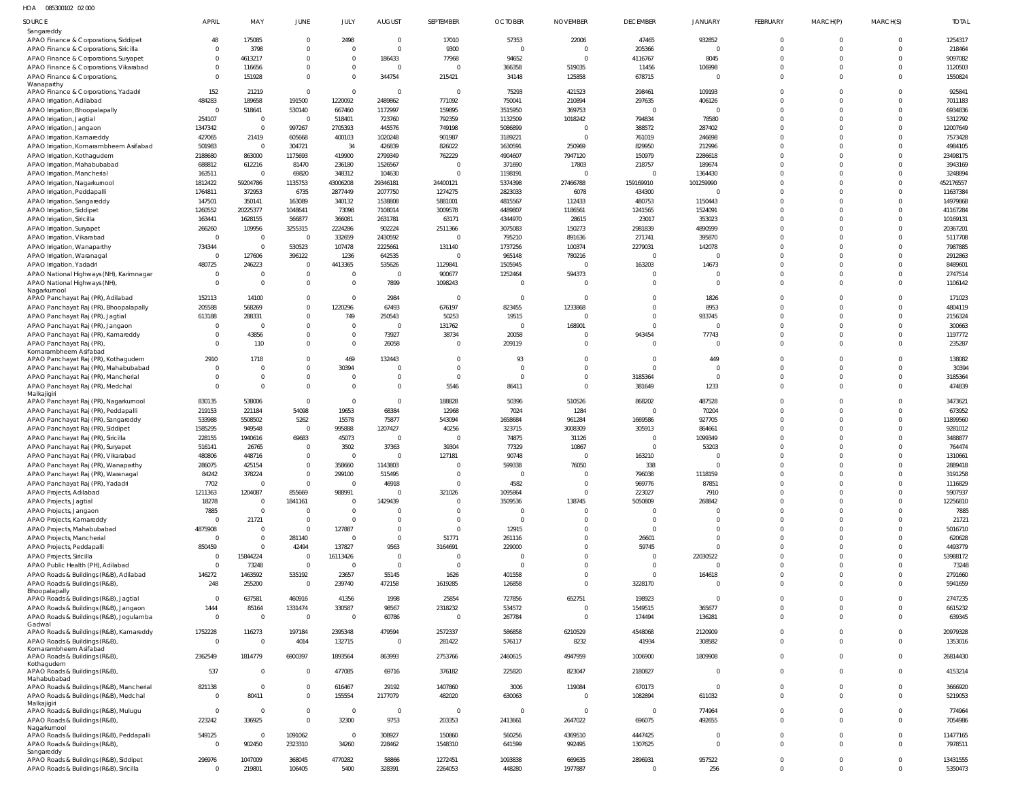| SOURCE                                                                            | APRIL                   | MAY               | <b>JUNE</b>                | JULY                       | <b>AUGUST</b>        | <b>SEPTEMBER</b>     | <b>OCTOBER</b>          | <b>NOVEMBER</b>      | <b>DECEMBER</b>            | <b>JANUARY</b>             | FEBRUARY                   | MARCH(P)                   | MARCH(S)                | <b>TOTAL</b>         |
|-----------------------------------------------------------------------------------|-------------------------|-------------------|----------------------------|----------------------------|----------------------|----------------------|-------------------------|----------------------|----------------------------|----------------------------|----------------------------|----------------------------|-------------------------|----------------------|
| Sangareddy                                                                        |                         |                   |                            |                            |                      |                      |                         |                      |                            |                            |                            |                            |                         |                      |
| APAO Finance & Corporations, Siddipet                                             | 48                      | 175085            | $\mathbf 0$                | 2498                       | $\Omega$             | 17010                | 57353                   | 22006                | 47465                      | 932852                     | $\mathbf{0}$               | $\overline{0}$             | $\mathbf 0$             | 1254317              |
| APAO Finance & Corporations, Siricilla<br>APAO Finance & Corporations, Suryapet   |                         | 3798<br>4613217   | $\mathbf 0$<br>$\mathbf 0$ | $\Omega$<br>$\mathbf 0$    | $\Omega$<br>186433   | 9300<br>77968        | $\Omega$<br>94652       | $\Omega$<br>$\Omega$ | 205366<br>4116767          | $\overline{0}$<br>8045     | $\Omega$<br>$\Omega$       | $\Omega$<br>$\Omega$       | $\mathbf 0$<br>$\Omega$ | 218464<br>9097082    |
| APAO Finance & Corporations, Vikarabad                                            |                         | 116656            | $\mathbf 0$                | $\mathbf 0$                | $\Omega$             | $\Omega$             | 366358                  | 519035               | 11456                      | 106998                     | $\Omega$                   | $\Omega$                   | $\mathbf 0$             | 1120503              |
| APAO Finance & Corporations,                                                      | $\Omega$                | 151928            | $\Omega$                   | $\Omega$                   | 344754               | 215421               | 34148                   | 125858               | 678715                     | $\mathbf 0$                | $\Omega$                   | $\Omega$                   | $\Omega$                | 1550824              |
| Wanaparthy<br>APAO Finance & Corporations, Yadadri                                | 152                     | 21219             | $\mathbf 0$                | $\mathbf 0$                | $\Omega$             | $\Omega$             | 75293                   | 421523               | 298461                     | 109193                     | $\Omega$                   | $\Omega$                   | $\Omega$                | 925841               |
| APAO Irrigation, Adilabad                                                         | 484283                  | 189658            | 191500                     | 1220092                    | 2489862              | 771092               | 750041                  | 210894               | 297635                     | 406126                     | $\Omega$                   | $\Omega$                   | $\Omega$                | 7011183              |
| APAO Irrigation, Bhoopalapally                                                    | $\mathbf{C}$            | 518641            | 530140                     | 667460                     | 1172997              | 159895               | 3515950                 | 369753               | $\mathbf{0}$               | $\overline{0}$             | $\Omega$                   | $\Omega$                   | $\Omega$                | 6934836              |
| APAO Irrigation, Jagtial                                                          | 254107                  | $\overline{0}$    | $\overline{0}$             | 518401                     | 723760               | 792359               | 1132509                 | 1018242              | 794834                     | 78580                      | $\Omega$                   | $\Omega$                   | $\Omega$                | 5312792              |
| APAO Irrigation, Jangaon                                                          | 1347342                 | $\Omega$          | 997267                     | 2705393                    | 445576               | 749198               | 5086899                 |                      | 388572                     | 287402                     | $\Omega$                   | $\Omega$                   | $\Omega$                | 12007649             |
| APAO Irrigation, Kamareddy<br>APAO Irrigation, Komarambheem Asifabad              | 427065<br>501983        | 21419<br>$\Omega$ | 605668<br>304721           | 400103<br>34               | 1020248<br>426839    | 901987<br>826022     | 3189221<br>1630591      | 250969               | 761019<br>829950           | 246698<br>212996           | $\Omega$<br>$\Omega$       | $\Omega$<br>$\Omega$       | $\Omega$<br>$\Omega$    | 7573428<br>4984105   |
| APAO Irrigation, Kothagudem                                                       | 2188680                 | 863000            | 1175693                    | 419900                     | 2799349              | 762229               | 4904607                 | 7947120              | 150979                     | 2286618                    | $\Omega$                   | $\Omega$                   | $\Omega$                | 23498175             |
| APAO Irrigation, Mahabubabad                                                      | 688812                  | 612216            | 81470                      | 236180                     | 1526567              | $\Omega$             | 371690                  | 17803                | 218757                     | 189674                     | $\Omega$                   | $\Omega$                   | $\Omega$                | 3943169              |
| APAO Irrigation, Mancherial                                                       | 163511                  |                   | 69820                      | 348312                     | 104630               | $\Omega$             | 1198191                 | $\Omega$             | $\mathbf 0$                | 1364430                    | $\Omega$                   | $\Omega$                   | $\Omega$                | 3248894              |
| APAO Irrigation, Nagarkurnool                                                     | 1812422                 | 59204786          | 1135753                    | 43006208                   | 29346181             | 24400121             | 5374398                 | 27466788             | 159169910                  | 101259990                  | $\Omega$<br>$\Omega$       | $\Omega$<br>$\Omega$       | $\Omega$                | 452176557            |
| APAO Irrigation, Peddapalli<br>APAO Irrigation, Sangareddy                        | 1764811<br>147501       | 372953<br>350141  | 6735<br>163089             | 2877449<br>340132          | 2077750<br>1538808   | 1274275<br>5881001   | 2823033<br>4815567      | 6078<br>112433       | 434300<br>480753           | $\mathbf 0$<br>1150443     | $\Omega$                   | $\Omega$                   | $\Omega$<br>$\Omega$    | 11637384<br>14979868 |
| APAO Irrigation, Siddipet                                                         | 1260552                 | 20225377          | 1048641                    | 73098                      | 7108014              | 3009578              | 4489807                 | 1186561              | 1241565                    | 1524091                    | $\Omega$                   | $\Omega$                   | $\Omega$                | 41167284             |
| APAO Irrigation, Siricilla                                                        | 163441                  | 1628155           | 566877                     | 366081                     | 2631781              | 63171                | 4344970                 | 28615                | 23017                      | 353023                     | $\Omega$                   | $\Omega$                   | $\Omega$                | 10169131             |
| APAO Irrigation, Suryapet                                                         | 266260                  | 109956            | 3255315                    | 2224286                    | 902224               | 2511366              | 3075083                 | 150273               | 2981839                    | 4890599                    | $\Omega$                   | $\Omega$                   | $\Omega$                | 20367201             |
| APAO Irrigation, Vikarabad                                                        | $\mathbf{C}$            | $\overline{0}$    | $\overline{0}$             | 332659                     | 2430592              | $\overline{0}$       | 795210                  | 891636               | 271741                     | 395870                     | $\Omega$<br>$\Omega$       | $\Omega$<br>$\Omega$       | $\Omega$                | 5117708              |
| APAO Irrigation, Wanaparthy<br>APAO Irrigation, Waranagal                         | 734344<br>$\mathsf{C}$  | 127606            | 530523<br>396122           | 107478<br>1236             | 2225661<br>642535    | 131140<br>$\Omega$   | 1737256<br>965148       | 100374<br>780216     | 2279031<br>$\mathbf 0$     | 142078<br>$\mathbf 0$      | $\Omega$                   | $\Omega$                   | $\Omega$<br>$\Omega$    | 7987885<br>2912863   |
| APAO Irrigation, Yadadri                                                          | 480725                  | 246223            | $\mathbf 0$                | 4413365                    | 535626               | 1129841              | 1505945                 | $\Omega$             | 163203                     | 14673                      | $\Omega$                   | $\Omega$                   | $\Omega$                | 8489601              |
| APAO National Highways (NH), Karimnagar                                           | $\mathsf{C}$            |                   | $\mathbf 0$                | $\mathbf 0$                | $\Omega$             | 900677               | 1252464                 | 594373               | $\mathbf 0$                | $\mathbf 0$                | $\mathbf 0$                | $\Omega$                   | $\Omega$                | 2747514              |
| APAO National Highways (NH)                                                       | $\mathsf{C}$            | $\Omega$          | $\mathbf 0$                | $\overline{0}$             | 7899                 | 1098243              | $\Omega$                |                      | $\Omega$                   | $\mathbf 0$                | $\Omega$                   | $\Omega$                   | $\Omega$                | 1106142              |
| Nagarkurnool<br>APAO Panchayat Raj (PR), Adilabad                                 | 152113                  | 14100             | $\mathbf 0$                | $\mathbf 0$                | 2984                 | $\Omega$             | $\Omega$                | $\Omega$             | $\Omega$                   | 1826                       | $\Omega$                   | $\Omega$                   | $\Omega$                | 171023               |
| APAO Panchayat Raj (PR), Bhoopalapally                                            | 205588                  | 568269            | $\mathbf 0$                | 1220296                    | 67493                | 676197               | 823455                  | 1233868              | $\Omega$                   | 8953                       | $\Omega$                   | $\Omega$                   | $\Omega$                | 4804119              |
| APAO Panchayat Raj (PR), Jagtial                                                  | 613188                  | 288331            | $\mathbf 0$                | 749                        | 250543               | 50253                | 19515                   |                      | $\Omega$                   | 933745                     | $\Omega$                   | $\Omega$                   | $\Omega$                | 2156324              |
| APAO Panchayat Raj (PR), Jangaon                                                  |                         |                   | $\mathbf 0$                | $\overline{0}$             | $\Omega$             | 131762               | $\Omega$                | 168901               | $\Omega$                   | $\mathbf 0$                | $\Omega$                   | $\Omega$                   | $\Omega$                | 300663               |
| APAO Panchayat Raj (PR), Kamareddy                                                |                         | 43856<br>110      | 0<br>$\mathbf 0$           | $\mathbf 0$<br>$\mathbf 0$ | 73927<br>26058       | 38734<br>$\Omega$    | 20058<br>209119         |                      | 943454<br>$\Omega$         | 77743<br>$\mathbf 0$       | $\mathbf 0$<br>$\Omega$    | $\Omega$<br>$\Omega$       | $\Omega$<br>$\Omega$    | 1197772<br>235287    |
| APAO Panchayat Raj (PR)<br>Komarambheem Asifabad                                  |                         |                   |                            |                            |                      |                      |                         |                      |                            |                            |                            |                            |                         |                      |
| APAO Panchayat Raj (PR), Kothagudem                                               | 2910                    | 1718              | $\Omega$                   | 469                        | 132443               | $\Omega$             | 93                      | $\Omega$             | $\mathbf 0$                | 449                        | $\Omega$                   | $\Omega$                   | $\Omega$                | 138082               |
| APAO Panchayat Raj (PR), Mahabubabad                                              |                         |                   | $\mathbf 0$                | 30394                      | $\Omega$             | $\Omega$<br>$\Omega$ | $\Omega$<br>$\Omega$    | $\Omega$             | $\Omega$                   | $\overline{0}$             | $\Omega$                   | $\Omega$<br>$\Omega$       | $\Omega$                | 30394                |
| APAO Panchayat Raj (PR), Mancherial<br>APAO Panchayat Raj (PR), Medchal           | $\mathsf{C}$            | $\Omega$          | 0<br>$\mathbf 0$           | 0<br>$\mathbf{0}$          | $\Omega$<br>$\Omega$ | 5546                 | 86411                   | $\Omega$<br>$\Omega$ | 3185364<br>381649          | $\mathbf 0$<br>1233        | $\mathbf 0$<br>$\Omega$    | $\Omega$                   | $\mathbf 0$<br>$\Omega$ | 3185364<br>474839    |
| Malkajigiri                                                                       |                         |                   |                            |                            |                      |                      |                         |                      |                            |                            |                            |                            |                         |                      |
| APAO Panchayat Raj (PR), Nagarkurnool                                             | 830135                  | 538006            | $\Omega$                   | $\mathbf 0$                | $\Omega$             | 188828               | 50396                   | 510526               | 868202                     | 487528                     | $\Omega$                   | $\Omega$                   | $\Omega$                | 3473621              |
| APAO Panchayat Raj (PR), Peddapalli<br>APAO Panchayat Raj (PR), Sangareddy        | 219153<br>533988        | 221184<br>5508502 | 54098<br>5262              | 19653<br>15578             | 68384<br>75877       | 12968<br>543094      | 7024<br>1658684         | 1284<br>961284       | $\Omega$<br>1669586        | 70204<br>927705            | $\Omega$<br>$\Omega$       | $\Omega$<br>$\Omega$       | $\Omega$<br>$\Omega$    | 673952<br>11899560   |
| APAO Panchayat Raj (PR), Siddipet                                                 | 1585295                 | 949548            | $\mathbf 0$                | 995888                     | 1207427              | 40256                | 323715                  | 3008309              | 305913                     | 864661                     | $\Omega$                   | $\Omega$                   | $\Omega$                | 9281012              |
| APAO Panchayat Raj (PR), Siricilla                                                | 228155                  | 1940616           | 69683                      | 45073                      | $\Omega$             | $\Omega$             | 74875                   | 31126                | $\mathbf 0$                | 1099349                    | $\Omega$                   |                            | $\Omega$                | 3488877              |
| APAO Panchayat Raj (PR), Suryapet                                                 | 516141                  | 26765             | $\mathbf 0$                | 3502                       | 37363                | 39304                | 77329                   | 10867                | $\Omega$                   | 53203                      | $\Omega$                   | $\Omega$                   | $\Omega$                | 764474               |
| APAO Panchayat Raj (PR), Vikarabad                                                | 480806<br>286075        | 448716<br>425154  | $\mathbf 0$<br>$\Omega$    | $\overline{0}$<br>358660   | $\Omega$<br>1143803  | 127181<br>$\Omega$   | 90748<br>599338         | 76050                | 163210<br>338              | $\mathbf 0$<br>$\Omega$    | $\Omega$<br>$\Omega$       | $\Omega$<br>$\cap$         | $\Omega$<br>$\Omega$    | 1310661<br>2889418   |
| APAO Panchayat Raj (PR), Wanaparthy<br>APAO Panchayat Raj (PR), Waranagal         | 84242                   | 378224            | $\Omega$                   | 299100                     | 515495               | $\Omega$             | $\Omega$                | $\Omega$             | 796038                     | 1118159                    | $\Omega$                   | $\Omega$                   | $\Omega$                | 3191258              |
| APAO Panchayat Raj (PR), Yadadri                                                  | 7702                    |                   | $\mathbf 0$                | $\overline{0}$             | 46918                | $\Omega$             | 4582                    | $\Omega$             | 969776                     | 87851                      | $\mathbf 0$                | $\Omega$                   | $\Omega$                | 1116829              |
| APAO Projects, Adilabad                                                           | 1211363                 | 1204087           | 855669                     | 988991                     | $\Omega$             | 321026               | 1095864                 | $\Omega$             | 223027                     | 7910                       | $\Omega$                   | $\Omega$                   | $\Omega$                | 5907937              |
| APAO Projects, Jagtial                                                            | 18278                   |                   | 1841161                    | 0                          | 1429439              | $\Omega$             | 3509536                 | 138745               | 5050809                    | 268842                     | $\Omega$                   | $\Omega$                   | $\Omega$                | 12256810             |
| APAO Projects, Jangaon<br>APAO Projects, Kamareddy                                | 7885                    | $\Omega$<br>21721 | $\mathbf 0$<br>$\mathbf 0$ | $\overline{0}$<br>$\Omega$ | $\Omega$<br>$\Omega$ | $\Omega$<br>$\Omega$ | $\mathbf 0$<br>$\Omega$ |                      | 0<br>$\Omega$              | $\mathbf 0$<br>$\mathbf 0$ | $\Omega$<br>$\Omega$       | $\Omega$<br>$\Omega$       | $\Omega$<br>$\Omega$    | 7885<br>21721        |
| APAO Projects, Mahabubabad                                                        | 4875908                 |                   | $\mathbf 0$                | 127887                     | $\Omega$             | $\mathbf 0$          | 12915                   | $\Omega$             | $\mathbf 0$                | $\mathbf 0$                | $\Omega$                   | $\Omega$                   | $\Omega$                | 5016710              |
| APAO Projects, Mancherial                                                         | $\Omega$                | $\Omega$          | 281140                     | $\overline{0}$             | $\Omega$             | 51771                | 261116                  | $\Omega$             | 26601                      | $\mathbf 0$                | $\Omega$                   | $\Omega$                   | $\Omega$                | 620628               |
| APAO Projects, Peddapalli                                                         | 850459                  | $\Omega$          | 42494                      | 137827                     | 9563                 | 3164691              | 229000                  | $\Omega$             | 59745                      | $\Omega$                   | $\Omega$                   | $\Omega$                   | $\Omega$                | 4493779              |
| APAO Projects, Siricilla                                                          |                         | 15844224          | $\mathbf 0$                | 16113426                   | $\mathbf{0}$         | $\Omega$             | 0                       | $\Omega$             | 0                          | 22030522                   | $\Omega$                   | $\Omega$                   | $\Omega$                | 53988172             |
| APAO Public Health (PH), Adilabad<br>APAO Roads & Buildings (R&B), Adilabad       | 146272                  | 73248<br>1463592  | $\mathbf 0$<br>535192      | $\overline{0}$<br>23657    | $\Omega$<br>55145    | $\Omega$<br>1626     | $\Omega$<br>401558      | $\Omega$<br>$\Omega$ | $\mathbf 0$<br>$\mathbf 0$ | $\mathbf 0$<br>164618      | $\Omega$<br>$\mathbf 0$    | $\Omega$<br>$\Omega$       | $\Omega$<br>$\Omega$    | 73248<br>2791660     |
| APAO Roads & Buildings (R&B),                                                     | 248                     | 255200            | $\overline{0}$             | 239740                     | 472158               | 1619285              | 126858                  | $\Omega$             | 3228170                    | $\mathbf 0$                | $\Omega$                   | $\Omega$                   | $\mathbf 0$             | 5941659              |
| Bhoopalapally                                                                     |                         |                   |                            |                            |                      |                      |                         |                      |                            |                            |                            | $\Omega$                   |                         |                      |
| APAO Roads & Buildings (R&B), Jagtial<br>APAO Roads & Buildings (R&B), Jangaon    | $\Omega$<br>1444        | 637581<br>85164   | 460916<br>1331474          | 41356<br>330587            | 1998<br>98567        | 25854<br>2318232     | 727856<br>534572        | 652751<br>$\Omega$   | 198923<br>1549515          | $\mathbf 0$<br>365677      | $\mathbf 0$<br>$\mathbf 0$ | $\Omega$                   | $\Omega$<br>$\mathbf 0$ | 2747235<br>6615232   |
| APAO Roads & Buildings (R&B), Jogulamba                                           | $\Omega$                | $\Omega$          | $\overline{0}$             | $\overline{0}$             | 60786                | $\Omega$             | 267784                  | $\Omega$             | 174494                     | 136281                     | $\mathbf 0$                | $\Omega$                   | $\Omega$                | 639345               |
| Gadwal                                                                            |                         |                   |                            |                            |                      |                      |                         |                      |                            |                            |                            |                            |                         |                      |
| APAO Roads & Buildings (R&B), Kamareddy<br>APAO Roads & Buildings (R&B),          | 1752228<br>$\mathsf{C}$ | 116273            | 197184<br>4014             | 2395348<br>132715          | 479594<br>$\Omega$   | 2572337<br>281422    | 586858<br>576117        | 6210529<br>8232      | 4548068<br>41934           | 2120909<br>308582          | $\mathbf 0$<br>$\mathbf 0$ | $\Omega$<br>$\Omega$       | $\mathbf 0$<br>$\Omega$ | 20979328<br>1353016  |
| Komarambheem Asifabad                                                             |                         |                   |                            |                            |                      |                      |                         |                      |                            |                            |                            |                            |                         |                      |
| APAO Roads & Buildings (R&B),                                                     | 2362549                 | 1814779           | 6900397                    | 1893564                    | 863993               | 2753766              | 2460615                 | 4947959              | 1006900                    | 1809908                    | $\mathbf 0$                | $\Omega$                   | $\mathbf 0$             | 26814430             |
| Kothagudem<br>APAO Roads & Buildings (R&B),                                       | 537                     | $\Omega$          | $\mathbf{0}$               | 477085                     | 69716                | 376182               | 225820                  | 823047               | 2180827                    | $\mathbf{0}$               | $\mathbf 0$                | $\overline{0}$             | $\mathbf 0$             | 4153214              |
| Mahabubabad                                                                       |                         |                   |                            |                            |                      |                      |                         |                      |                            |                            |                            |                            |                         |                      |
| APAO Roads & Buildings (R&B), Mancherial<br>APAO Roads & Buildings (R&B), Medchal | 821138<br>$\mathsf{C}$  | $\Omega$<br>80411 | $\mathbf 0$<br>$\mathbf 0$ | 616467<br>155554           | 29192<br>2177079     | 1407860<br>482020    | 3006<br>630063          | 119084<br>$\Omega$   | 670173<br>1082894          | $\mathbf 0$<br>611032      | $\mathbf 0$<br>$\mathbf 0$ | $\overline{0}$<br>$\Omega$ | $\mathbf 0$<br>$\Omega$ | 3666920<br>5219053   |
| Malkajigiri                                                                       |                         |                   |                            |                            |                      |                      |                         |                      |                            |                            |                            |                            |                         |                      |
| APAO Roads & Buildings (R&B), Mulugu                                              | $\Omega$                | $\Omega$          | $\mathbf 0$                | $\overline{0}$             | $\mathbf{0}$         | $\overline{0}$       | $\Omega$                | $\Omega$             | $\mathbf{0}$               | 774964                     | $\mathbf 0$                | $\Omega$                   | $\mathbf 0$             | 774964               |
| APAO Roads & Buildings (R&B),<br>Nagarkurnool                                     | 223242                  | 336925            | $\mathbf 0$                | 32300                      | 9753                 | 203353               | 2413661                 | 2647022              | 696075                     | 492655                     | $\mathbf 0$                | $\Omega$                   | $\Omega$                | 7054986              |
| APAO Roads & Buildings (R&B), Peddapalli                                          | 549125                  | $\Omega$          | 1091062                    | $\mathbf{0}$               | 308927               | 150860               | 560256                  | 4369510              | 4447425                    | $\overline{0}$             | $\overline{0}$             | $\Omega$                   | $\mathbf 0$             | 11477165             |
| APAO Roads & Buildings (R&B),                                                     | $\mathsf{C}$            | 902450            | 2323310                    | 34260                      | 228462               | 1548310              | 641599                  | 992495               | 1307625                    | $\mathbf 0$                | $\mathbf 0$                | $\Omega$                   | $\mathbf 0$             | 7978511              |
| Sangareddy<br>APAO Roads & Buildings (R&B), Siddipet                              | 296976                  | 1047009           | 368045                     | 4770282                    | 58866                | 1272451              | 1093838                 | 669635               | 2896931                    | 957522                     | $\overline{0}$             | $\overline{0}$             | $\overline{0}$          | 13431555             |
| APAO Roads & Buildings (R&B), Siricilla                                           | $\mathsf{C}$            | 219801            | 106405                     | 5400                       | 328391               | 2264053              | 448280                  | 1977887              | $\mathbf 0$                | 256                        | $\mathbf 0$                | $\overline{0}$             | $\mathbf 0$             | 5350473              |
|                                                                                   |                         |                   |                            |                            |                      |                      |                         |                      |                            |                            |                            |                            |                         |                      |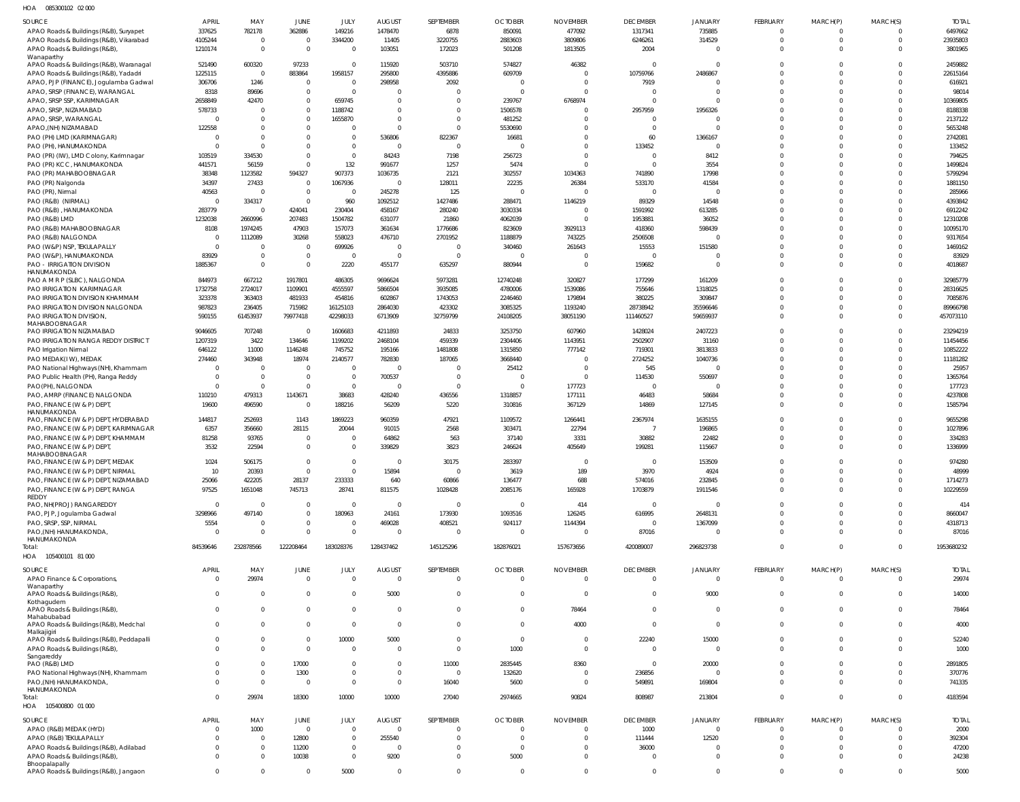| SOURCE                                                                   | <b>APRIL</b>             | MAY                | <b>JUNE</b>                    | JULY                     | <b>AUGUST</b>      | SEPTEMBER             | <b>OCTOBER</b>    | <b>NOVEMBER</b>                | <b>DECEMBER</b>    | <b>JANUARY</b>      | FEBRUARY             | MARCH(P)             | MARCH(S)             | <b>TOTAL</b>       |
|--------------------------------------------------------------------------|--------------------------|--------------------|--------------------------------|--------------------------|--------------------|-----------------------|-------------------|--------------------------------|--------------------|---------------------|----------------------|----------------------|----------------------|--------------------|
| APAO Roads & Buildings (R&B), Suryapet                                   | 337625                   | 782178             | 362886                         | 149216                   | 1478470            | 6878                  | 850091            | 477092                         | 1317341            | 735885              | $\Omega$             | $\Omega$             | $\Omega$             | 6497662            |
| APAO Roads & Buildings (R&B), Vikarabad                                  | 4105244                  | $\Omega$           | $\overline{0}$                 | 3344200                  | 11405              | 3220755               | 2883603           | 3809806                        | 6246261            | 314529              | $\Omega$             | $\mathbf{0}$         | $\overline{0}$       | 23935803           |
| APAO Roads & Buildings (R&B)<br>Wanaparthy                               | 1210174                  | $\overline{0}$     | $\overline{0}$                 | $\overline{0}$           | 103051             | 172023                | 501208            | 1813505                        | 2004               | $\Omega$            | $\Omega$             | $\Omega$             | $\Omega$             | 3801965            |
| APAO Roads & Buildings (R&B), Waranagal                                  | 521490                   | 600320             | 97233                          | $\mathbf 0$              | 115920             | 503710                | 574827            | 46382                          |                    | $\Omega$            |                      |                      | $\Omega$             | 2459882            |
| APAO Roads & Buildings (R&B), Yadadri                                    | 1225115                  | $\Omega$           | 883864                         | 1958157                  | 295800             | 4395886               | 609709            | $\mathbf 0$                    | 10759766           | 2486867             | $\Omega$             | $\Omega$             | $\Omega$             | 22615164           |
| APAO, PJP (FINANCE), Jogulamba Gadwal                                    | 306706                   | 1246               | $\overline{0}$                 | $\mathbf 0$              | 298958             | 2092                  | $\overline{0}$    | $\mathbf 0$                    | 7919               | $\Omega$            |                      | $\Omega$             | $\Omega$             | 616921             |
| APAO, SRSP (FINANCE), WARANGAL                                           | 8318                     | 89696              | $\overline{0}$                 | $\overline{0}$           | $\Omega$           | $\Omega$              | $\Omega$          | $\Omega$                       |                    | $\Omega$            | $\Omega$             | $\Omega$             | $\Omega$             | 98014              |
| APAO, SRSP SSP, KARIMNAGAR                                               | 2658849                  | 42470              | $\overline{0}$                 | 659745                   | $\Omega$           | $\overline{0}$        | 239767            | 6768974                        | $\Omega$           | $\Omega$            |                      | $\Omega$             | $\Omega$             | 10369805           |
| APAO, SRSP, NIZAMABAD                                                    | 578733                   | $\Omega$           | $\overline{0}$                 | 1188742                  | $\Omega$           | $\overline{0}$        | 1506578           | $\mathbf 0$                    | 2957959            | 1956326             | $\Omega$             |                      | $\Omega$             | 8188338            |
| APAO, SRSP, WARANGAL                                                     | $\overline{0}$           | $\Omega$           | $\overline{0}$                 | 1655870                  | $\Omega$           | $\overline{0}$        | 481252            | $\mathbf 0$                    |                    | $\Omega$            |                      | $\Omega$             | $\Omega$             | 2137122            |
| APAO,(NH) NIZAMABAD                                                      | 122558                   | $\Omega$           | $\overline{0}$                 | $\Omega$                 | $\cap$             | $\Omega$              | 5530690           | $\Omega$                       | $\Omega$           | $\Omega$            | U                    | $\Omega$             | $\Omega$             | 5653248            |
| PAO (PH) LMD (KARIMNAGAR)                                                | 0                        | $\Omega$           | $\overline{0}$                 | $\mathbf{0}$             | 536806             | 822367                | 16681             | $\mathbf 0$                    | 60                 | 1366167             |                      | $\Omega$             | $\Omega$             | 2742081            |
| PAO (PH), HANUMAKONDA                                                    | $\Omega$                 | $\Omega$           | $\Omega$                       | $\Omega$                 | $\Omega$           | $\overline{0}$        | $\Omega$          | $\Omega$                       | 133452             | $\Omega$            | $\Omega$<br>$\Omega$ |                      | $\Omega$<br>$\Omega$ | 133452             |
| PAO (PR) (IW), LMD Colony, Karimnagar<br>PAO (PR) KCC, HANUMAKONDA       | 103519<br>441571         | 334530<br>56159    | $\overline{0}$<br>$\Omega$     | $\mathbf 0$<br>132       | 84243<br>991677    | 7198<br>1257          | 256723<br>5474    | $\mathbf 0$<br>$\Omega$        |                    | 8412<br>3554        | $\Omega$             | $\Omega$<br>$\Omega$ | $\Omega$             | 794625<br>1499824  |
| PAO (PR) MAHABOOBNAGAR                                                   | 38348                    | 1123582            | 594327                         | 907373                   | 1036735            | 2121                  | 302557            | 1034363                        | 741890             | 17998               |                      | $\Omega$             | $\Omega$             | 5799294            |
| PAO (PR) Nalgonda                                                        | 34397                    | 27433              | $\overline{0}$                 | 1067936                  | $\Omega$           | 128011                | 22235             | 26384                          | 533170             | 41584               |                      | $\Omega$             | $\Omega$             | 1881150            |
| PAO (PR), Nirmal                                                         | 40563                    | $\Omega$           | $\overline{0}$                 | $\overline{0}$           | 245278             | 125                   | $\overline{0}$    | $\mathbf 0$                    | $\Omega$           | $\Omega$            | $\Omega$             | $\Omega$             | $\Omega$             | 285966             |
| PAO (R&B) (NIRMAL)                                                       | $\mathbf 0$              | 334317             | $\overline{0}$                 | 960                      | 1092512            | 1427486               | 288471            | 1146219                        | 89329              | 14548               | $\Omega$             | $\Omega$             | $\Omega$             | 4393842            |
| PAO (R&B), HANUMAKONDA                                                   | 283779                   | $\Omega$           | 424041                         | 230404                   | 458167             | 280240                | 3030334           | $\overline{0}$                 | 1591992            | 613285              | $\Omega$             | $\Omega$             | $\Omega$             | 6912242            |
| PAO (R&B) LMD                                                            | 1232038                  | 2660996            | 207483                         | 1504782                  | 631077             | 21860                 | 4062039           | $\mathbf 0$                    | 1953881            | 36052               | $\Omega$             | $\Omega$             | $\Omega$             | 12310208           |
| PAO (R&B) MAHABOOBNAGAR                                                  | 8108                     | 1974245            | 47903                          | 157073                   | 361634             | 1776686               | 823609            | 3929113                        | 418360             | 598439              | $\Omega$             | $\Omega$             | $\Omega$             | 10095170           |
| PAO (R&B) NALGONDA                                                       | $\overline{0}$           | 1112089            | 30268                          | 558023                   | 476710             | 2701952               | 1188879           | 743225                         | 2506508            |                     | $\Omega$             | $\Omega$             | $\Omega$             | 9317654            |
| PAO (W&P) NSP, TEKULAPALLY                                               | $\mathbf{0}$             | $\Omega$           | $\overline{0}$                 | 699926                   | $\Omega$           | $\mathbf 0$           | 340460            | 261643                         | 15553              | 151580              |                      | $\Omega$             | $\Omega$             | 1469162            |
| PAO (W&P), HANUMAKONDA                                                   | 83929                    | $\Omega$           | $\overline{0}$                 | $\overline{0}$           | $\Omega$           | $\overline{0}$        | $\Omega$          | $\mathbf 0$                    |                    | $\Omega$            | $\Omega$             | $\Omega$             | $\Omega$             | 83929              |
| PAO - IRRIGATION DIVISION                                                | 1885367                  | $\Omega$           | $\overline{0}$                 | 2220                     | 455177             | 635297                | 880944            | $\mathbf 0$                    | 159682             | $\Omega$            | $\Omega$             | $\Omega$             | $\Omega$             | 4018687            |
| <b>HANUMAKONDA</b><br>PAO A M R P (SLBC), NALGONDA                       | 844973                   | 667212             | 1917801                        | 486305                   | 9696624            | 5973281               | 12740248          | 320827                         | 177299             | 161209              |                      |                      | $\Omega$             | 32985779           |
| PAO IRRIGATION KARIMNAGAR                                                | 1732758                  | 2724017            | 1109901                        | 4555597                  | 5866504            | 3935085               | 4780006           | 1539086                        | 755646             | 1318025             |                      | $\Omega$             | $\Omega$             | 28316625           |
| PAO IRRIGATION DIVISION KHAMMAM                                          | 323378                   | 363403             | 481933                         | 454816                   | 602867             | 1743053               | 2246460           | 179894                         | 380225             | 309847              | $\Omega$             | $\Omega$             | $\Omega$             | 7085876            |
| PAO IRRIGATION DIVISION NALGONDA                                         | 987823                   | 236405             | 715982                         | 16125103                 | 2864030            | 423302                | 3085325           | 1193240                        | 28738942           | 35596646            |                      | $\Omega$             | $\Omega$             | 89966798           |
| PAO IRRIGATION DIVISION,                                                 | 590155                   | 61453937           | 79977418                       | 42298033                 | 6713909            | 32759799              | 24108205          | 38051190                       | 111460527          | 59659937            | $\Omega$             |                      | $\Omega$             | 457073110          |
| MAHABOOBNAGAR                                                            |                          |                    |                                |                          |                    |                       |                   |                                |                    |                     |                      |                      |                      |                    |
| PAO IRRIGATION NIZAMABAD                                                 | 9046605                  | 707248             | $\Omega$                       | 1606683                  | 4211893            | 24833                 | 3253750           | 607960                         | 1428024            | 2407223             |                      |                      | $\Omega$             | 23294219           |
| PAO IRRIGATION RANGA REDDY DISTRICT                                      | 1207319                  | 3422               | 134646                         | 1199202                  | 2468104            | 459339                | 2304406           | 1143951                        | 2502907            | 31160               | $\Omega$             | $\Omega$             | $\Omega$             | 11454456           |
| PAO Irrigation Nirmal                                                    | 646122                   | 11000              | 1146248                        | 745752                   | 195166             | 1481808               | 1315850           | 777142                         | 719301             | 3813833             | $\Omega$             | $\Omega$<br>$\Omega$ | $\Omega$<br>$\Omega$ | 10852222           |
| PAO MEDAK(IW), MEDAK<br>PAO National Highways (NH), Khammam              | 274460<br>$\overline{0}$ | 343948<br>$\Omega$ | 18974<br>$\overline{0}$        | 2140577<br>$\mathbf 0$   | 782830<br>$\Omega$ | 187065<br>$\mathbf 0$ | 3668440<br>25412  | $\mathbf 0$<br>$\mathbf 0$     | 2724252<br>545     | 1040736<br>$\Omega$ |                      | $\Omega$             | $\Omega$             | 11181282<br>25957  |
| PAO Public Health (PH), Ranga Reddy                                      | $\mathbf 0$              | $\overline{0}$     | $\overline{0}$                 | $\mathbf 0$              | 700537             | $\overline{0}$        | $\overline{0}$    | $\mathbf 0$                    | 114530             | 550697              | $\Omega$             | $\Omega$             | $\Omega$             | 1365764            |
| PAO(PH), NALGONDA                                                        | $\mathbf 0$              | $\Omega$           | $\overline{0}$                 | $\mathbf 0$              | $\Omega$           | $\overline{0}$        | $\overline{0}$    | 177723                         | $\Omega$           | $\Omega$            |                      | $\Omega$             | $\Omega$             | 177723             |
| PAO, AMRP (FINANCE) NALGONDA                                             | 110210                   | 479313             | 1143671                        | 38683                    | 428240             | 436556                | 1318857           | 177111                         | 46483              | 58684               | $\Omega$             | $\Omega$             | $\Omega$             | 4237808            |
| PAO, FINANCE (W & P) DEPT,                                               | 19600                    | 496590             | $\overline{0}$                 | 188216                   | 56209              | 5220                  | 310816            | 367129                         | 14869              | 127145              | $\Omega$             | $\Omega$             | $\Omega$             | 1585794            |
| <b>HANUMAKONDA</b>                                                       |                          |                    |                                |                          |                    |                       |                   |                                |                    |                     |                      |                      |                      |                    |
| PAO, FINANCE (W & P) DEPT, HYDERABAD                                     | 144817                   | 252693             | 1143                           | 1869223                  | 960359             | 47921                 | 1109572           | 1266441                        | 2367974            | 1635155             |                      | - 0                  | $\Omega$             | 9655298            |
| PAO, FINANCE (W & P) DEPT, KARIMNAGAR                                    | 6357                     | 356660             | 28115                          | 20044                    | 91015              | 2568                  | 303471            | 22794                          |                    | 196865              | $\Omega$             | $\Omega$             | $\Omega$             | 1027896            |
| PAO, FINANCE (W & P) DEPT, KHAMMAM                                       | 81258                    | 93765              | $\overline{0}$                 | $\overline{0}$           | 64862              | 563                   | 37140             | 3331                           | 30882              | 22482               | $\Omega$             | $\Omega$             | $\Omega$             | 334283             |
| PAO, FINANCE (W & P) DEPT,<br>MAHABOOBNAGAR                              | 3532                     | 22594              | $\overline{0}$                 | $\overline{0}$           | 339829             | 3823                  | 246624            | 405649                         | 199281             | 115667              | $\Omega$             | $\Omega$             | $\Omega$             | 1336999            |
| PAO, FINANCE (W & P) DEPT, MEDAK                                         | 1024                     | 506175             | $\Omega$                       | $\mathbf 0$              | $\Omega$           | 30175                 | 283397            | $\mathbf 0$                    | $\Omega$           | 153509              | $\Omega$             | $\Omega$             | $\Omega$             | 974280             |
| PAO, FINANCE (W & P) DEPT, NIRMAL                                        | 10                       | 20393              |                                |                          | 15894              | -0                    | 3619              | 189                            | 3970               | 4924                |                      |                      |                      | 48999              |
| PAO, FINANCE (W & P) DEPT, NIZAMABAD                                     | 25066                    | 422205             | 28137                          | 233333                   | 640                | 60866                 | 136477            | 688                            | 574016             | 232845              | $\Omega$             | $\Omega$             | $\Omega$             | 1714273            |
| PAO, FINANCE (W & P) DEPT, RANGA                                         | 97525                    | 1651048            | 745713                         | 28741                    | 811575             | 1028428               | 2085176           | 165928                         | 1703879            | 1911546             | $\Omega$             | $\Omega$             | $\overline{0}$       | 10229559           |
| REDDY                                                                    |                          |                    |                                |                          |                    |                       |                   |                                |                    |                     |                      |                      |                      |                    |
| PAO, NH(PROJ) RANGAREDDY                                                 | $\mathbf 0$              | $\Omega$           | $\overline{0}$                 | $\mathbf{0}$             | $\overline{0}$     | $\overline{0}$        | $\mathbf{0}$      | 414                            | $\Omega$           | $\Omega$            | $\Omega$<br>$\Omega$ | $\Omega$<br>$\Omega$ | $\Omega$             | 414                |
| PAO, PJP, Jogulamba Gadwal<br>PAO, SRSP, SSP, NIRMAL                     | 3298966<br>5554          | 497140<br>$\Omega$ | $\overline{0}$<br>$\mathbf{0}$ | 180963<br>$\overline{0}$ | 24161<br>469028    | 173930<br>408521      | 1093516<br>924117 | 126245<br>1144394              | 616995<br>$\Omega$ | 2648131<br>1367099  | $\Omega$             | $\Omega$             | $\Omega$<br>$\Omega$ | 8660047<br>4318713 |
| PAO, (NH) HANUMAKONDA,                                                   | $\mathbf{0}$             | $\Omega$           | $\Omega$                       | $\Omega$                 | $\Omega$           | $\overline{0}$        | $\overline{0}$    | $\mathbf 0$                    | 87016              | $\Omega$            | $\Omega$             | $\Omega$             | $\Omega$             | 87016              |
| HANUMAKONDA                                                              |                          |                    |                                |                          |                    |                       |                   |                                |                    |                     |                      |                      |                      |                    |
| Total:                                                                   | 84539646                 | 232878566          | 122208464                      | 183028376                | 128437462          | 145125296             | 182876021         | 157673656                      | 420089007          | 296823738           | $\Omega$             | $\Omega$             | $\Omega$             | 1953680232         |
| HOA<br>105400101 81 000                                                  |                          |                    |                                |                          |                    |                       |                   |                                |                    |                     |                      |                      |                      |                    |
| <b>SOURCE</b>                                                            | <b>APRIL</b>             | MAY                | JUNE                           | JULY                     | <b>AUGUST</b>      | SEPTEMBER             | <b>OCTOBER</b>    | <b>NOVEMBER</b>                | <b>DECEMBER</b>    | <b>JANUARY</b>      | <b>FEBRUARY</b>      | MARCH(P)             | MARCH(S)             | <b>TOTAL</b>       |
| APAO Finance & Corporations,                                             | $\mathbf{0}$             | 29974              | $\overline{0}$                 | $\mathbf{0}$             | $\overline{0}$     | $\overline{0}$        | $\mathbf 0$       | $\mathbf{0}$                   | $\mathbf{0}$       | $\overline{0}$      | $\overline{0}$       | $\mathbf{0}$         | $\overline{0}$       | 29974              |
| Wanaparthy                                                               |                          |                    |                                |                          |                    |                       |                   |                                |                    |                     |                      |                      |                      |                    |
| APAO Roads & Buildings (R&B)                                             | $\mathbf{0}$             | $\Omega$           | $\overline{0}$                 | $\mathbf 0$              | 5000               | $\mathbf 0$           | $\mathbf 0$       | $\mathbf{0}$                   | $\Omega$           | 9000                | $\Omega$             | $\Omega$             | $\overline{0}$       | 14000              |
| Kothagudem<br>APAO Roads & Buildings (R&B),                              | $\Omega$                 | $\Omega$           | $\mathbf{0}$                   | $\mathbf{0}$             | $\Omega$           | $\mathbf 0$           | $\mathbf 0$       | 78464                          | $\Omega$           | $\Omega$            | $\mathbf 0$          | $\Omega$             | $\overline{0}$       | 78464              |
| Mahabubabad                                                              |                          |                    |                                |                          |                    |                       |                   |                                |                    |                     |                      |                      |                      |                    |
| APAO Roads & Buildings (R&B), Medchal                                    | $\Omega$                 | $\Omega$           | $\overline{0}$                 | $\Omega$                 | $\Omega$           | $\mathbf 0$           | $\mathbf 0$       | 4000                           | $\Omega$           | $\Omega$            | $\mathbf 0$          | $\Omega$             | $\Omega$             | 4000               |
| Malkajigiri                                                              | $\Omega$                 | $\Omega$           | $\overline{0}$                 | 10000                    | 5000               | $\mathbf 0$           | $\mathbf 0$       |                                | 22240              | 15000               | $\mathbf 0$          | $\Omega$             | $\overline{0}$       |                    |
| APAO Roads & Buildings (R&B), Peddapalli<br>APAO Roads & Buildings (R&B) | $\Omega$                 | $\Omega$           | $\overline{0}$                 | $\overline{0}$           | $\Omega$           | $\mathbf 0$           | 1000              | $\overline{0}$<br>$\mathbf{0}$ | $\Omega$           | $\Omega$            | $\Omega$             | $\Omega$             | $\Omega$             | 52240<br>1000      |
| Sangareddy                                                               |                          |                    |                                |                          |                    |                       |                   |                                |                    |                     |                      |                      |                      |                    |
| PAO (R&B) LMD                                                            | $\Omega$                 | $\Omega$           | 17000                          | $\mathbf 0$              | $\Omega$           | 11000                 | 2835445           | 8360                           | $\Omega$           | 20000               | $\mathbf 0$          | $\Omega$             | $\Omega$             | 2891805            |
| PAO National Highways (NH), Khammam                                      | $\Omega$                 | $\Omega$           | 1300                           | $\mathbf 0$              | $\Omega$           | $\overline{0}$        | 132620            | $\mathbf 0$                    | 236856             | $\overline{0}$      | $\Omega$             | $\Omega$             | $\overline{0}$       | 370776             |
| PAO, (NH) HANUMAKONDA,                                                   | $\Omega$                 | $\Omega$           | $\overline{\mathbf{0}}$        | $\mathbf 0$              | $\Omega$           | 16040                 | 5600              | $\mathbf{0}$                   | 549891             | 169804              | $\mathbf 0$          | $\Omega$             | $\Omega$             | 741335             |
| HANUMAKONDA<br>Total:                                                    | $\Omega$                 | 29974              | 18300                          | 10000                    | 10000              | 27040                 | 2974665           | 90824                          | 808987             | 213804              | $\Omega$             | $\Omega$             | $\Omega$             | 4183594            |
| HOA  105400800  01 000                                                   |                          |                    |                                |                          |                    |                       |                   |                                |                    |                     |                      |                      |                      |                    |
|                                                                          |                          |                    |                                |                          |                    |                       |                   |                                |                    |                     |                      |                      |                      |                    |
| SOURCE                                                                   | APRIL                    | MAY                | <b>JUNE</b>                    | JULY                     | <b>AUGUST</b>      | SEPTEMBER             | <b>OCTOBER</b>    | <b>NOVEMBER</b>                | <b>DECEMBER</b>    | <b>JANUARY</b>      | FEBRUARY             | MARCH(P)             | MARCH(S)             | <b>TOTAL</b>       |
| APAO (R&B) MEDAK (HYD)                                                   | $\Omega$                 | 1000               | $\overline{0}$                 | $\mathbf 0$              | $\Omega$           | $\mathbf 0$           | $\Omega$          | $\Omega$                       | 1000               | $\Omega$            | $\Omega$             |                      | $\Omega$             | 2000               |
| APAO (R&B) TEKULAPALLY                                                   | $\Omega$                 | $\Omega$           | 12800                          | $\mathbf{0}$             | 255540             | $\overline{0}$        | $\mathbf 0$       | $\Omega$                       | 111444             | 12520               | $\Omega$             | $\Omega$             | $\Omega$             | 392304             |
| APAO Roads & Buildings (R&B), Adilabad                                   | $\Omega$                 | $\Omega$           | 11200                          | $\mathbf 0$              | $\Omega$           | $\Omega$              | $\Omega$          | $\Omega$                       | 36000              | $\Omega$            | $\Omega$             | $\Omega$             | $\Omega$             | 47200              |
| APAO Roads & Buildings (R&B)<br>Bhoopalapally                            | $\Omega$                 | $\Omega$           | 10038                          | $\overline{0}$           | 9200               | $\mathbf 0$           | 5000              | $\Omega$                       | $\Omega$           | $\Omega$            | $\Omega$             | $\Omega$             | $\overline{0}$       | 24238              |
| APAO Roads & Buildings (R&B), Jangaon                                    | $\mathbf{0}$             | $\mathbf 0$        | $\mathbf{0}$                   | 5000                     | $\overline{0}$     | $\mathbf 0$           | $\mathbf 0$       | $\mathbf 0$                    | $\mathbf{0}$       | $\mathbf 0$         | $\mathbf{0}$         | $\mathbf{0}$         | $\overline{0}$       | 5000               |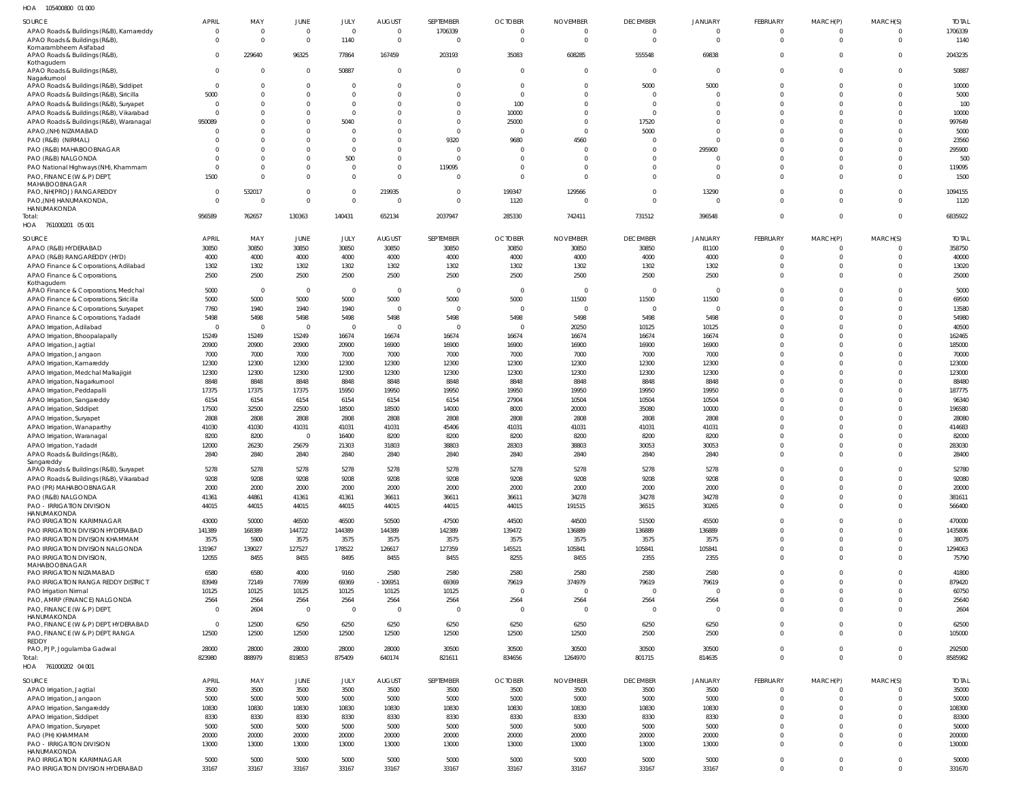105400800 01 000 HOA

| <b>SOURCE</b>                           | <b>APRIL</b>   | MAY            | JUNE           | JULY           | <b>AUGUST</b>  | SEPTEMBER      | <b>OCTOBER</b> | <b>NOVEMBER</b> | <b>DECEMBER</b> | <b>JANUARY</b> | FEBRUARY        | MARCH(P)       | MARCH(S)       | <b>TOTAL</b> |
|-----------------------------------------|----------------|----------------|----------------|----------------|----------------|----------------|----------------|-----------------|-----------------|----------------|-----------------|----------------|----------------|--------------|
| APAO Roads & Buildings (R&B), Kamareddy | 0              | $\Omega$       | $\mathbf{0}$   | $\overline{0}$ | $\mathbf{0}$   | 1706339        | $\mathbf 0$    | $\Omega$        | $\mathbf 0$     | $\mathbf 0$    | $\mathbf 0$     | $\overline{0}$ | $\Omega$       | 1706339      |
| APAO Roads & Buildings (R&B)            | $\Omega$       | $\Omega$       | $\overline{0}$ | 1140           | $\mathbf{0}$   |                | $\Omega$       |                 | $\mathbf 0$     | $\mathbf 0$    | $\mathbf{0}$    | $\overline{0}$ | $\overline{0}$ | 1140         |
| Komarambheem Asifabad                   |                |                |                |                |                |                |                |                 |                 |                |                 |                |                |              |
|                                         | $\Omega$       |                |                |                |                |                |                | 608285          |                 | 69838          | $\mathbf 0$     | $\overline{0}$ | $\Omega$       |              |
| APAO Roads & Buildings (R&B)            |                | 229640         | 96325          | 77864          | 167459         | 203193         | 35083          |                 | 555548          |                |                 |                |                | 2043235      |
| Kothagudem                              |                |                |                |                |                |                |                |                 |                 |                |                 |                |                |              |
| APAO Roads & Buildings (R&B)            | $\mathbf{0}$   | $\Omega$       | $\overline{0}$ | 50887          | $\mathbf 0$    | $\overline{0}$ | $\Omega$       | $\Omega$        | $\overline{0}$  | $\mathbf{0}$   | $\mathbf 0$     | $\overline{0}$ | $\mathbf 0$    | 50887        |
| Nagarkurnool                            |                |                |                |                |                |                |                |                 |                 |                |                 |                |                |              |
| APAO Roads & Buildings (R&B), Siddipet  | $\overline{0}$ | $\bigcap$      | $\mathbf{0}$   | $\Omega$       | $\mathbf 0$    | $\Omega$       | $\Omega$       | $\Omega$        | 5000            | 5000           | $\mathbf 0$     | $\overline{0}$ | $\mathbf 0$    | 10000        |
| APAO Roads & Buildings (R&B), Siricilla | 5000           |                | $\mathbf 0$    | $\Omega$       | $\Omega$       | $\Omega$       | $\Omega$       | $\Omega$        | $\mathbf 0$     | $\mathbf 0$    | $\Omega$        | $\Omega$       | $\Omega$       | 5000         |
|                                         | $\Omega$       |                | $\mathbf 0$    | $\Omega$       | $\mathbf 0$    | $\Omega$       | 100            | $\Omega$        | $\Omega$        | $\mathbf 0$    | $\Omega$        | $\Omega$       | $\Omega$       | 100          |
| APAO Roads & Buildings (R&B), Suryapet  |                |                |                |                |                |                |                |                 |                 |                |                 |                |                |              |
| APAO Roads & Buildings (R&B), Vikarabad | $\Omega$       |                | $\mathbf 0$    | $\Omega$       | $\Omega$       | $\Omega$       | 10000          | $\Omega$        | $\Omega$        | $\Omega$       | $\Omega$        | $\Omega$       | $\Omega$       | 10000        |
| APAO Roads & Buildings (R&B), Waranagal | 950089         |                | $\mathbf 0$    | 5040           | $\Omega$       | $\Omega$       | 25000          | $\Omega$        | 17520           | $\Omega$       | $\Omega$        | $\Omega$       | $\Omega$       | 997649       |
| APAO, (NH) NIZAMABAD                    | $\Omega$       |                | $\Omega$       | $\Omega$       | $\Omega$       | $\Omega$       | $\Omega$       | $\Omega$        | 5000            | $\Omega$       | $\Omega$        | $\Omega$       | $\Omega$       | 5000         |
|                                         |                |                |                |                |                |                |                |                 |                 |                |                 |                |                |              |
| PAO (R&B) (NIRMAL)                      |                |                | $\mathbf 0$    | $\Omega$       | $\Omega$       | 9320           | 9680           | 4560            | $\Omega$        | $\Omega$       | $\Omega$        | $\Omega$       | $\Omega$       | 23560        |
| PAO (R&B) MAHABOOBNAGAR                 |                |                | $\Omega$       | $\Omega$       | $\Omega$       | $\Omega$       | $\Omega$       |                 | $\Omega$        | 295900         | $\Omega$        | $\Omega$       | $\Omega$       | 295900       |
| PAO (R&B) NALGONDA                      |                |                | $\mathbf 0$    | 500            | $\mathbf 0$    |                |                |                 | $\Omega$        | $\Omega$       | $\Omega$        | $\Omega$       | $\Omega$       | 500          |
|                                         |                |                |                |                |                |                |                |                 |                 |                |                 |                |                |              |
| PAO National Highways (NH), Khammam     | 0              |                | 0              | $\Omega$       | $\mathbf 0$    | 119095         |                | $\Omega$        | $\Omega$        | $\mathbf 0$    | $\mathbf 0$     | $\Omega$       | $^{\circ}$     | 119095       |
| PAO, FINANCE (W & P) DEPT,              | 1500           |                | $\mathbf 0$    | $\Omega$       | $\Omega$       | $\Omega$       | $\Omega$       | $\Omega$        | $\Omega$        | $\mathbf 0$    | $\Omega$        | $\Omega$       | $\Omega$       | 1500         |
| MAHABOOBNAGAR                           |                |                |                |                |                |                |                |                 |                 |                |                 |                |                |              |
| PAO, NH(PROJ) RANGAREDDY                | $\Omega$       | 532017         | $\mathbf 0$    | $\Omega$       | 219935         | $\Omega$       | 199347         | 129566          | $\Omega$        | 13290          | $\Omega$        | $\Omega$       | $\mathbf 0$    | 1094155      |
| PAO, (NH) HANUMAKONDA,                  | $\Omega$       | - 0            | $\mathbf 0$    | $\Omega$       | $\overline{0}$ | $\Omega$       | 1120           |                 | $\mathbf 0$     | $\overline{0}$ | $\Omega$        | $\Omega$       | $\Omega$       | 1120         |
| HANUMAKONDA                             |                |                |                |                |                |                |                |                 |                 |                |                 |                |                |              |
| Total:                                  | 956589         | 762657         | 130363         | 140431         | 652134         | 2037947        | 285330         | 742411          | 731512          | 396548         | $\mathbf 0$     | $\overline{0}$ | $\overline{0}$ | 6835922      |
|                                         |                |                |                |                |                |                |                |                 |                 |                |                 |                |                |              |
| HOA 761000201 05 001                    |                |                |                |                |                |                |                |                 |                 |                |                 |                |                |              |
|                                         |                |                |                |                |                |                |                |                 |                 |                |                 |                |                |              |
| <b>SOURCE</b>                           | APRIL          | MAY            | <b>JUNE</b>    | JULY           | <b>AUGUST</b>  | SEPTEMBER      | <b>OCTOBER</b> | <b>NOVEMBER</b> | <b>DECEMBER</b> | <b>JANUARY</b> | <b>FEBRUARY</b> | MARCH(P)       | MARCH(S)       | <b>TOTAL</b> |
| APAO (R&B) HYDERABAD                    | 30850          | 30850          | 30850          | 30850          | 30850          | 30850          | 30850          | 30850           | 30850           | 81100          | $\mathbf 0$     | $\overline{0}$ | $\Omega$       | 358750       |
| APAO (R&B) RANGAREDDY (HYD)             | 4000           | 4000           | 4000           | 4000           | 4000           | 4000           | 4000           | 4000            | 4000            | 4000           | $\mathbf 0$     | $\overline{0}$ | $\overline{0}$ | 40000        |
|                                         |                |                |                |                |                |                |                |                 |                 |                |                 |                |                |              |
| APAO Finance & Corporations, Adilabad   | 1302           | 1302           | 1302           | 1302           | 1302           | 1302           | 1302           | 1302            | 1302            | 1302           | $\mathbf 0$     | $\overline{0}$ | $\mathbf 0$    | 13020        |
| APAO Finance & Corporations,            | 2500           | 2500           | 2500           | 2500           | 2500           | 2500           | 2500           | 2500            | 2500            | 2500           | $\mathbf 0$     | $\overline{0}$ | $\overline{0}$ | 25000        |
| Kothagudem                              |                |                |                |                |                |                |                |                 |                 |                |                 |                |                |              |
| APAO Finance & Corporations, Medchal    | 5000           | $\overline{0}$ | $\overline{0}$ | $\overline{0}$ | $\overline{0}$ | $\Omega$       | $\overline{0}$ | $\Omega$        | $\mathbf{0}$    | $\mathbf 0$    | 0               | $\Omega$       | $^{\circ}$     | 5000         |
| APAO Finance & Corporations, Siricilla  | 5000           | 5000           | 5000           | 5000           | 5000           | 5000           | 5000           | 11500           | 11500           | 11500          | $\Omega$        | $\Omega$       | $\Omega$       | 69500        |
|                                         |                |                |                |                |                |                |                |                 |                 |                |                 |                |                |              |
| APAO Finance & Corporations, Suryapet   | 7760           | 1940           | 1940           | 1940           | $\overline{0}$ | $\overline{0}$ | $\overline{0}$ | $\Omega$        | $\overline{0}$  | $\mathbf{0}$   | $\mathbf 0$     | $\Omega$       | $\mathbf 0$    | 13580        |
| APAO Finance & Corporations, Yadadri    | 5498           | 5498           | 5498           | 5498           | 5498           | 5498           | 5498           | 5498            | 5498            | 5498           | $\Omega$        | $\Omega$       | $\Omega$       | 54980        |
| APAO Irrigation, Adilabad               | $\overline{0}$ | $\Omega$       | $\Omega$       | $\overline{0}$ | $\overline{0}$ | $\Omega$       | $\Omega$       | 20250           | 10125           | 10125          | $\mathbf 0$     | $\Omega$       | $^{\circ}$     | 40500        |
|                                         |                |                |                |                |                |                |                |                 |                 |                |                 |                |                |              |
| APAO Irrigation, Bhoopalapally          | 15249          | 15249          | 15249          | 16674          | 16674          | 16674          | 16674          | 16674           | 16674           | 16674          | $\Omega$        | $\Omega$       | $\Omega$       | 162465       |
| APAO Irrigation, Jagtial                | 20900          | 20900          | 20900          | 20900          | 16900          | 16900          | 16900          | 16900           | 16900           | 16900          | $\mathbf 0$     | $\Omega$       | $\Omega$       | 185000       |
| APAO Irrigation, Jangaon                | 7000           | 7000           | 7000           | 7000           | 7000           | 7000           | 7000           | 7000            | 7000            | 7000           | $\Omega$        | $\Omega$       | $^{\circ}$     | 70000        |
|                                         | 12300          | 12300          | 12300          | 12300          |                |                |                | 12300           | 12300           | 12300          | $\Omega$        | $\Omega$       | $\Omega$       | 123000       |
| APAO Irrigation, Kamareddy              |                |                |                |                | 12300          | 12300          | 12300          |                 |                 |                |                 |                |                |              |
| APAO Irrigation, Medchal Malkajigiri    | 12300          | 12300          | 12300          | 12300          | 12300          | 12300          | 12300          | 12300           | 12300           | 12300          | $\Omega$        | $\Omega$       | $\Omega$       | 123000       |
| APAO Irrigation, Nagarkurnool           | 8848           | 8848           | 8848           | 8848           | 8848           | 8848           | 8848           | 8848            | 8848            | 8848           | $\mathbf 0$     | $\Omega$       | $\Omega$       | 88480        |
| APAO Irrigation, Peddapalli             | 17375          | 17375          | 17375          | 15950          | 19950          | 19950          | 19950          | 19950           | 19950           | 19950          | $\Omega$        | $\Omega$       | $\Omega$       | 187775       |
|                                         |                |                |                |                |                |                |                |                 |                 |                |                 |                |                |              |
| APAO Irrigation, Sangareddy             | 6154           | 6154           | 6154           | 6154           | 6154           | 6154           | 27904          | 10504           | 10504           | 10504          | $\mathbf 0$     | $\Omega$       | $^{\circ}$     | 96340        |
| APAO Irrigation, Siddipet               | 17500          | 32500          | 22500          | 18500          | 18500          | 14000          | 8000           | 20000           | 35080           | 10000          | $\Omega$        | $\Omega$       | $\Omega$       | 196580       |
| APAO Irrigation, Suryapet               | 2808           | 2808           | 2808           | 2808           | 2808           | 2808           | 2808           | 2808            | 2808            | 2808           | $\mathbf 0$     | $\Omega$       | $\Omega$       | 28080        |
|                                         |                |                |                |                |                |                |                |                 |                 |                |                 |                |                |              |
| APAO Irrigation, Wanaparthy             | 41030          | 41030          | 41031          | 41031          | 41031          | 45406          | 41031          | 41031           | 41031           | 41031          | $\Omega$        | $\Omega$       | $\Omega$       | 414683       |
| APAO Irrigation, Waranagal              | 8200           | 8200           | $\overline{0}$ | 16400          | 8200           | 8200           | 8200           | 8200            | 8200            | 8200           | $\Omega$        | $\Omega$       | -0             | 82000        |
| APAO Irrigation, Yadadri                | 12000          | 26230          | 25679          | 21303          | 31803          | 38803          | 28303          | 38803           | 30053           | 30053          | $\Omega$        | $\Omega$       | $^{\circ}$     | 283030       |
|                                         |                |                |                |                |                |                |                |                 |                 |                | $\Omega$        | $\Omega$       | $\Omega$       |              |
| APAO Roads & Buildings (R&B),           | 2840           | 2840           | 2840           | 2840           | 2840           | 2840           | 2840           | 2840            | 2840            | 2840           |                 |                |                | 28400        |
| Sangareddy                              |                |                |                |                |                |                |                |                 |                 |                |                 |                |                |              |
| APAO Roads & Buildings (R&B), Suryapet  | 5278           | 5278           | 5278           | 5278           | 5278           | 5278           | 5278           | 5278            | 5278            | 5278           | $\mathbf{0}$    | $\overline{0}$ | $\Omega$       | 52780        |
| APAO Roads & Buildings (R&B), Vikarabad | 9208           | 9208           | 9208           | 9208           | 9208           | 9208           | 9208           | 9208            | 9208            | 9208           | $\mathbf 0$     | $\overline{0}$ | $\mathbf 0$    | 92080        |
| PAO (PR) MAHABOOBNAGAR                  | 2000           | 2000           | 2000           | 2000           | 2000           | 2000           | 2000           | 2000            | 2000            | 2000           | $\mathbf 0$     | $\overline{0}$ | $\Omega$       | 20000        |
|                                         |                |                |                |                |                |                |                |                 |                 |                |                 |                |                |              |
| PAO (R&B) NALGONDA                      | 41361          | 44861          | 41361          | 41361          | 36611          | 36611          | 36611          | 34278           | 34278           | 34278          | $\mathbf 0$     | $\overline{0}$ | $\mathbf 0$    | 381611       |
| <b>PAO - IRRIGATION DIVISION</b>        | 44015          | 44015          | 44015          | 44015          | 44015          | 44015          | 44015          | 191515          | 36515           | 30265          | $\mathbf{0}$    | $\overline{0}$ | $\mathbf 0$    | 566400       |
| HANUMAKONDA                             |                |                |                |                |                |                |                |                 |                 |                |                 |                |                |              |
| <b>PAO IRRIGATION KARIMNAGAR</b>        | 43000          | 50000          | 46500          | 46500          | 50500          | 47500          | 44500          | 44500           | 51500           | 45500          | $\mathbf 0$     | $\overline{0}$ | $\mathbf 0$    | 470000       |
| PAO IRRIGATION DIVISION HYDERABAD       | 141389         | 168389         | 144722         | 144389         | 144389         | 142389         | 139472         | 136889          | 136889          | 136889         | $\mathbf 0$     | $\overline{0}$ | $\overline{0}$ | 1435806      |
|                                         |                |                |                |                |                |                |                |                 |                 |                |                 |                |                |              |
| PAO IRRIGATION DIVISION KHAMMAM         | 3575           | 5900           | 3575           | 3575           | 3575           | 3575           | 3575           | 3575            | 3575            | 3575           | $\mathbf 0$     | $\overline{0}$ | $\mathbf 0$    | 38075        |
| PAO IRRIGATION DIVISION NALGONDA        | 131967         | 139027         | 127527         | 178522         | 126617         | 127359         | 145521         | 105841          | 105841          | 105841         | $\mathbf 0$     | $\overline{0}$ | $\mathbf 0$    | 1294063      |
| PAO IRRIGATION DIVISION,                | 12055          | 8455           | 8455           | 8495           | 8455           | 8455           | 8255           | 8455            | 2355            | 2355           | $\mathbf 0$     | $\overline{0}$ | $\overline{0}$ | 75790        |
| MAHABOOBNAGAR                           |                |                |                |                |                |                |                |                 |                 |                |                 |                |                |              |
| PAO IRRIGATION NIZAMABAD                | 6580           | 6580           | 4000           | 9160           | 2580           | 2580           | 2580           | 2580            | 2580            | 2580           | $\Omega$        | $\overline{0}$ | $\overline{0}$ | 41800        |
|                                         |                |                |                |                |                |                |                |                 |                 |                |                 | $\overline{0}$ |                |              |
| PAO IRRIGATION RANGA REDDY DISTRICT     | 83949          | 72149          | 77699          | 69369          | $-106951$      | 69369          | 79619          | 374979          | 79619           | 79619          | $\mathbf 0$     |                | $\overline{0}$ | 879420       |
| PAO Irrigation Nirmal                   | 10125          | 10125          | 10125          | 10125          | 10125          | 10125          | $\overline{0}$ | $\Omega$        | $\mathbf{0}$    | $\mathbf{0}$   | $\mathbf 0$     | $\overline{0}$ | $\overline{0}$ | 60750        |
| PAO, AMRP (FINANCE) NALGONDA            | 2564           | 2564           | 2564           | 2564           | 2564           | 2564           | 2564           | 2564            | 2564            | 2564           | $\mathbf 0$     | $\overline{0}$ | $\overline{0}$ | 25640        |
| PAO, FINANCE (W & P) DEPT,              | $\overline{0}$ | 2604           | $\overline{0}$ | $\overline{0}$ | $\mathbf{0}$   |                | $\Omega$       |                 | $\mathbf{0}$    | $\mathbf 0$    | $\mathbf 0$     | $\overline{0}$ | $\Omega$       | 2604         |
| HANUMAKONDA                             |                |                |                |                |                |                |                |                 |                 |                |                 |                |                |              |
|                                         |                |                |                |                |                |                |                |                 |                 |                |                 |                |                |              |
| PAO, FINANCE (W & P) DEPT, HYDERABAD    | $\mathbf{0}$   | 12500          | 6250           | 6250           | 6250           | 6250           | 6250           | 6250            | 6250            | 6250           | $\mathbf 0$     | $\mathbf{0}$   | $\overline{0}$ | 62500        |
| PAO, FINANCE (W & P) DEPT, RANGA        | 12500          | 12500          | 12500          | 12500          | 12500          | 12500          | 12500          | 12500           | 2500            | 2500           | $\mathbf 0$     | $\overline{0}$ | $\mathbf 0$    | 105000       |
| REDDY                                   |                |                |                |                |                |                |                |                 |                 |                |                 |                |                |              |
| PAO, PJP, Jogulamba Gadwal              | 28000          | 28000          | 28000          | 28000          | 28000          | 30500          | 30500          | 30500           | 30500           | 30500          | $\mathbf 0$     | $\overline{0}$ | $\overline{0}$ | 292500       |
| Total:                                  | 823980         | 888979         | 819853         | 875409         | 640174         | 821611         | 834656         | 1264970         | 801715          | 814635         | $\mathbf 0$     | $\overline{0}$ | $\mathbf{0}$   | 8585982      |
|                                         |                |                |                |                |                |                |                |                 |                 |                |                 |                |                |              |
| HOA 761000202 04 001                    |                |                |                |                |                |                |                |                 |                 |                |                 |                |                |              |
|                                         |                |                |                |                |                |                |                |                 |                 |                |                 |                |                |              |
| SOURCE                                  | <b>APRIL</b>   | MAY            | JUNE           | JULY           | <b>AUGUST</b>  | SEPTEMBER      | <b>OCTOBER</b> | <b>NOVEMBER</b> | <b>DECEMBER</b> | JANUARY        | <b>FEBRUARY</b> | MARCH(P)       | MARCH(S)       | <b>TOTAL</b> |
| APAO Irrigation, Jagtial                | 3500           | 3500           | 3500           | 3500           | 3500           | 3500           | 3500           | 3500            | 3500            | 3500           | $\mathbf{0}$    | $\overline{0}$ | $\overline{0}$ | 35000        |
| APAO Irrigation, Jangaon                | 5000           | 5000           | 5000           | 5000           | 5000           | 5000           | 5000           | 5000            | 5000            | 5000           | $\mathbf{0}$    | $\Omega$       | $\mathbf 0$    | 50000        |
|                                         |                |                |                |                |                |                |                |                 |                 |                |                 | $\overline{0}$ |                |              |
| APAO Irrigation, Sangareddy             | 10830          | 10830          | 10830          | 10830          | 10830          | 10830          | 10830          | 10830           | 10830           | 10830          | $\mathbf 0$     |                | $\overline{0}$ | 108300       |
| APAO Irrigation, Siddipet               | 8330           | 8330           | 8330           | 8330           | 8330           | 8330           | 8330           | 8330            | 8330            | 8330           | $\mathbf 0$     | $\overline{0}$ | $\mathbf 0$    | 83300        |
| APAO Irrigation, Suryapet               | 5000           | 5000           | 5000           | 5000           | 5000           | 5000           | 5000           | 5000            | 5000            | 5000           | $\mathbf 0$     | $\overline{0}$ | $\overline{0}$ | 50000        |
| PAO (PH) KHAMMAM                        | 20000          | 20000          | 20000          | 20000          | 20000          | 20000          | 20000          | 20000           | 20000           | 20000          | $\mathbf 0$     | $\overline{0}$ | $\mathbf 0$    | 200000       |
|                                         |                |                |                |                |                |                |                |                 |                 |                |                 |                |                |              |
| <b>PAO - IRRIGATION DIVISION</b>        | 13000          | 13000          | 13000          | 13000          | 13000          | 13000          | 13000          | 13000           | 13000           | 13000          | $\mathbf 0$     | $\overline{0}$ | $\mathbf 0$    | 130000       |
| HANUMAKONDA                             |                |                |                |                |                |                |                |                 |                 |                |                 |                |                |              |
| PAO IRRIGATION KARIMNAGAR               | 5000           | 5000           | 5000           | 5000           | 5000           | 5000           | 5000           | 5000            | 5000            | 5000           | $\mathbf 0$     | $\overline{0}$ | $\overline{0}$ | 50000        |
| PAO IRRIGATION DIVISION HYDERABAD       | 33167          | 33167          | 33167          | 33167          | 33167          | 33167          | 33167          | 33167           | 33167           | 33167          | $\mathbf 0$     | $\overline{0}$ | $\mathbf 0$    | 331670       |
|                                         |                |                |                |                |                |                |                |                 |                 |                |                 |                |                |              |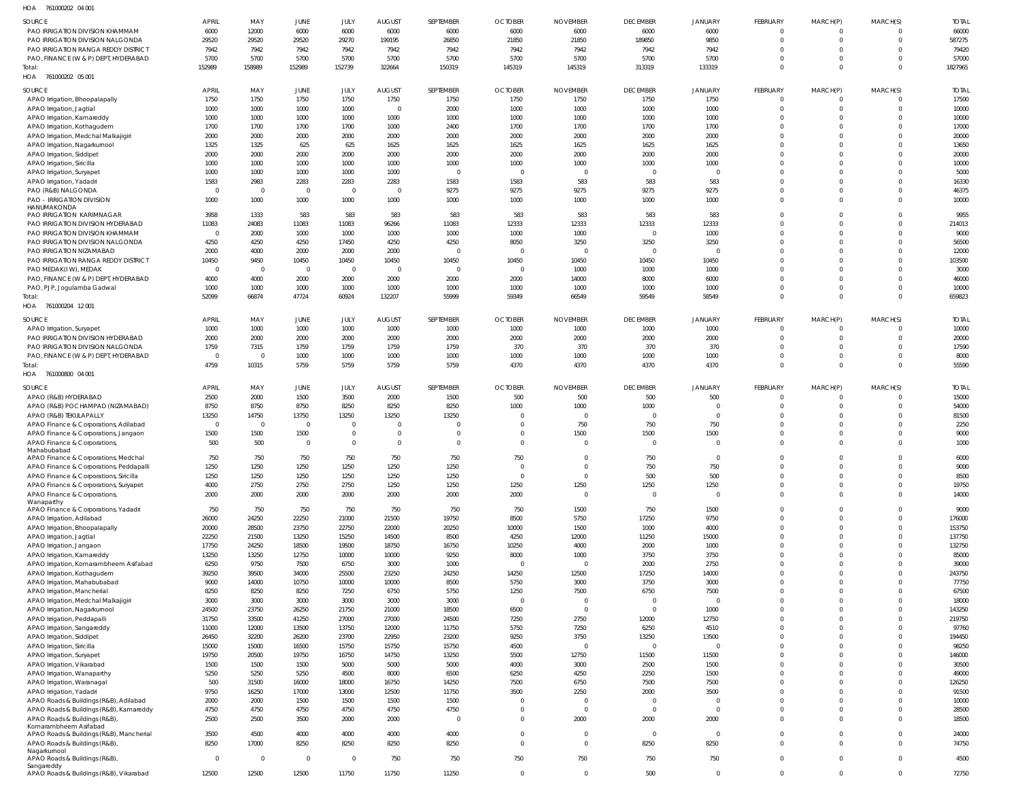761000202 04 001 HOA

| SOURCE                                                                      | <b>APRIL</b>      | MAY                     | <b>JUNE</b>             | JULY              | <b>AUGUST</b>                     | SEPTEMBER         | <b>OCTOBER</b>   | <b>NOVEMBER</b>  | <b>DECEMBER</b>       | <b>JANUARY</b>                   | FEBRUARY                         | MARCH(P)             | MARCH(S)             | <b>TOTAL</b>     |
|-----------------------------------------------------------------------------|-------------------|-------------------------|-------------------------|-------------------|-----------------------------------|-------------------|------------------|------------------|-----------------------|----------------------------------|----------------------------------|----------------------|----------------------|------------------|
| PAO IRRIGATION DIVISION KHAMMAM                                             | 6000              | 12000                   | 6000                    | 6000              | 6000                              | 6000              | 6000             | 6000             | 6000                  | 6000                             | $\overline{0}$                   | $\Omega$             | $\Omega$             | 66000            |
| PAO IRRIGATION DIVISION NALGONDA                                            | 29520             | 29520                   | 29520                   | 29270             | 199195                            | 26850             | 21850            | 21850            | 189850                | 9850                             | $\overline{0}$<br>$\Omega$       |                      | $\Omega$<br>$\Omega$ | 587275           |
| PAO IRRIGATION RANGA REDDY DISTRICT<br>PAO, FINANCE (W & P) DEPT, HYDERABAD | 7942<br>5700      | 7942<br>5700            | 7942<br>5700            | 7942<br>5700      | 7942<br>5700                      | 7942<br>5700      | 7942<br>5700     | 7942<br>5700     | 7942<br>5700          | 7942<br>5700                     | $\Omega$                         | $\Omega$             | $\Omega$             | 79420<br>57000   |
| Total:                                                                      | 152989            | 158989                  | 152989                  | 152739            | 322664                            | 150319            | 145319           | 145319           | 313319                | 133319                           | $\Omega$                         | $\Omega$             | $\mathbf 0$          | 1827965          |
| HOA 761000202 05 001                                                        |                   |                         |                         |                   |                                   |                   |                  |                  |                       |                                  |                                  |                      |                      |                  |
| <b>SOURCE</b>                                                               | <b>APRIL</b>      | MAY                     | <b>JUNE</b>             | JULY              | <b>AUGUST</b>                     | SEPTEMBER         | <b>OCTOBER</b>   | <b>NOVEMBER</b>  | <b>DECEMBER</b>       | <b>JANUARY</b>                   | FEBRUARY                         | MARCH(P)             | MARCH(S)             | <b>TOTAL</b>     |
| APAO Irrigation, Bhoopalapally                                              | 1750              | 1750                    | 1750                    | 1750              | 1750                              | 1750              | 1750             | 1750             | 1750                  | 1750                             | $\overline{0}$                   | $\Omega$             | 0                    | 17500            |
| APAO Irrigation, Jagtial                                                    | 1000              | 1000                    | 1000                    | 1000              | $\overline{0}$                    | 2000              | 1000             | 1000             | 1000                  | 1000                             | $\overline{0}$                   | $\overline{0}$       | $\Omega$             | 10000            |
| APAO Irrigation, Kamareddy                                                  | 1000              | 1000                    | 1000                    | 1000              | 1000                              | 1000              | 1000             | 1000             | 1000<br>1700          | 1000                             | $\Omega$<br>$\Omega$             | $\Omega$<br>$\Omega$ |                      | 10000            |
| APAO Irrigation, Kothagudem<br>APAO Irrigation, Medchal Malkajigiri         | 1700<br>2000      | 1700<br>2000            | 1700<br>2000            | 1700<br>2000      | 1000<br>2000                      | 2400<br>2000      | 1700<br>2000     | 1700<br>2000     | 2000                  | 1700<br>2000                     | $\Omega$                         | $\Omega$             |                      | 17000<br>20000   |
| APAO Irrigation, Nagarkurnool                                               | 1325              | 1325                    | 625                     | 625               | 1625                              | 1625              | 1625             | 1625             | 1625                  | 1625                             | $\Omega$                         | $\Omega$             |                      | 13650            |
| <b>APAO</b> Irrigation, Siddipet                                            | 2000              | 2000                    | 2000                    | 2000              | 2000                              | 2000              | 2000             | 2000             | 2000                  | 2000                             | $\Omega$                         | $\Omega$             |                      | 20000            |
| APAO Irrigation, Siricilla                                                  | 1000              | 1000                    | 1000                    | 1000              | 1000                              | 1000              | 1000             | 1000             | 1000                  | 1000                             | $\Omega$                         | $\Omega$             |                      | 10000            |
| APAO Irrigation, Suryapet<br>APAO Irrigation, Yadadri                       | 1000<br>1583      | 1000<br>2983            | 1000<br>2283            | 1000<br>2283      | 1000<br>2283                      | $\Omega$<br>1583  | $\Omega$<br>1583 | $\Omega$<br>583  | $\overline{0}$<br>583 | $\overline{0}$<br>583            | $\Omega$<br>$\Omega$             | $\Omega$<br>$\Omega$ |                      | 5000<br>16330    |
| PAO (R&B) NALGONDA                                                          | $\overline{0}$    | $\overline{0}$          | $\overline{0}$          | $\Omega$          | $\overline{0}$                    | 9275              | 9275             | 9275             | 9275                  | 9275                             | $\overline{0}$                   | $\Omega$             |                      | 46375            |
| PAO - IRRIGATION DIVISION                                                   | 1000              | 1000                    | 1000                    | 1000              | 1000                              | 1000              | 1000             | 1000             | 1000                  | 1000                             | $\Omega$                         | $\Omega$             |                      | 10000            |
| HANUMAKONDA<br>PAO IRRIGATION KARIMNAGAR                                    | 3958              | 1333                    | 583                     | 583               | 583                               | 583               | 583              | 583              | 583                   | 583                              | $\overline{0}$                   | $\Omega$             |                      | 9955             |
| PAO IRRIGATION DIVISION HYDERABAD                                           | 11083             | 24083                   | 11083                   | 11083             | 96266                             | 11083             | 12333            | 12333            | 12333                 | 12333                            | $\Omega$                         | $\Omega$             | $\Omega$             | 214013           |
| PAO IRRIGATION DIVISION KHAMMAM                                             | $\Omega$          | 2000                    | 1000                    | 1000              | 1000                              | 1000              | 1000             | 1000             | $\Omega$              | 1000                             | $\Omega$                         | $\Omega$             |                      | 9000             |
| PAO IRRIGATION DIVISION NALGONDA                                            | 4250              | 4250                    | 4250                    | 17450             | 4250                              | 4250              | 8050             | 3250             | 3250                  | 3250                             | $\Omega$                         | $\Omega$             |                      | 56500            |
| PAO IRRIGATION NIZAMABAD                                                    | 2000              | 4000                    | 2000                    | 2000              | 2000                              | $\Omega$          | $\Omega$         | - 0              | $\overline{0}$        | $\overline{0}$                   | $\Omega$                         | $\Omega$             |                      | 12000            |
| PAO IRRIGATION RANGA REDDY DISTRICT<br>PAO MEDAK(IW), MEDAK                 | 10450<br>$\Omega$ | 9450<br>$\overline{0}$  | 10450<br>$\overline{0}$ | 10450<br>$\Omega$ | 10450<br>$\overline{\phantom{0}}$ | 10450<br>$\Omega$ | 10450<br>- 0     | 10450<br>1000    | 10450<br>1000         | 10450<br>1000                    | $\Omega$<br>$\Omega$             | $\Omega$<br>$\Omega$ |                      | 103500<br>3000   |
| PAO, FINANCE (W & P) DEPT, HYDERABAD                                        | 4000              | 4000                    | 2000                    | 2000              | 2000                              | 2000              | 2000             | 14000            | 8000                  | 6000                             | $\Omega$                         | $\Omega$             |                      | 46000            |
| PAO, PJP, Jogulamba Gadwal                                                  | 1000              | 1000                    | 1000                    | 1000              | 1000                              | 1000              | 1000             | 1000             | 1000                  | 1000                             | $\overline{0}$                   | $\mathbf{0}$         |                      | 10000            |
| Total:                                                                      | 52099             | 66874                   | 47724                   | 60924             | 132207                            | 55999             | 59349            | 66549            | 59549                 | 58549                            | $\Omega$                         | $\Omega$             | $\Omega$             | 659823           |
| 761000204 12 001<br>HOA                                                     |                   |                         |                         |                   |                                   |                   |                  |                  |                       |                                  |                                  |                      |                      |                  |
| SOURCE                                                                      | <b>APRIL</b>      | MAY                     | JUNE                    | JULY              | <b>AUGUST</b>                     | SEPTEMBER         | <b>OCTOBER</b>   | <b>NOVEMBER</b>  | <b>DECEMBER</b>       | <b>JANUARY</b>                   | FEBRUARY                         | MARCH(P)             | MARCH(S)             | <b>TOTAL</b>     |
| APAO Irrigation, Suryapet                                                   | 1000              | 1000                    | 1000                    | 1000              | 1000                              | 1000              | 1000             | 1000             | 1000                  | 1000                             | $\overline{0}$                   | $\Omega$             | 0                    | 10000            |
| PAO IRRIGATION DIVISION HYDERABAD<br>PAO IRRIGATION DIVISION NALGONDA       | 2000<br>1759      | 2000<br>7315            | 2000<br>1759            | 2000<br>1759      | 2000<br>1759                      | 2000<br>1759      | 2000<br>370      | 2000<br>370      | 2000<br>370           | 2000<br>370                      | $\Omega$<br>$\Omega$             | -0<br>$\Omega$       | $\Omega$<br>$\Omega$ | 20000<br>17590   |
| PAO, FINANCE (W & P) DEPT, HYDERABAD                                        | $\Omega$          | $\overline{0}$          | 1000                    | 1000              | 1000                              | 1000              | 1000             | 1000             | 1000                  | 1000                             | $\overline{0}$                   | $\Omega$             | 0                    | 8000             |
| Total:                                                                      | 4759              | 10315                   | 5759                    | 5759              | 5759                              | 5759              | 4370             | 4370             | 4370                  | 4370                             | $\Omega$                         | $\Omega$             | $\mathbf 0$          | 55590            |
| HOA 761000800 04 001                                                        |                   |                         |                         |                   |                                   |                   |                  |                  |                       |                                  |                                  |                      |                      |                  |
| <b>SOURCE</b>                                                               | <b>APRIL</b>      | MAY                     | JUNE                    | JULY              | <b>AUGUST</b>                     | SEPTEMBER         | <b>OCTOBER</b>   | <b>NOVEMBER</b>  | <b>DECEMBER</b>       | JANUARY                          | FEBRUARY                         | MARCH(P)             | MARCH(S)             | <b>TOTAL</b>     |
| APAO (R&B) HYDERABAD                                                        | 2500              | 2000                    | 1500                    | 3500              | 2000                              | 1500              | 500              | 500              | 500                   | 500                              | $\overline{0}$                   | $\Omega$             |                      | 15000            |
| APAO (R&B) POCHAMPAD (NIZAMABAD)                                            | 8750              | 8750                    | 8750                    | 8250              | 8250                              | 8250              | 1000             | 1000<br>$\Omega$ | 1000<br>$\Omega$      | $\overline{0}$<br>$\overline{0}$ | $\overline{0}$<br>$\Omega$       | $\Omega$<br>$\Omega$ | $\Omega$             | 54000            |
| APAO (R&B) TEKULAPALLY<br>APAO Finance & Corporations, Adilabad             | 13250<br>$\Omega$ | 14750<br>$\overline{0}$ | 13750<br>$\overline{0}$ | 13250<br>$\Omega$ | 13250<br>$\overline{0}$           | 13250             | $\Omega$         | 750              | 750                   | 750                              | $\Omega$                         | $\Omega$             |                      | 81500<br>2250    |
| APAO Finance & Corporations, Jangaon                                        | 1500              | 1500                    | 1500                    | $\overline{0}$    | $\overline{0}$                    | $\Omega$          | $\Omega$         | 1500             | 1500                  | 1500                             | $\overline{0}$                   | $\Omega$             |                      | 9000             |
| APAO Finance & Corporations,                                                | 500               | 500                     | $\overline{0}$          | $\Omega$          | $\overline{0}$                    | $\Omega$          | $\Omega$         | $\Omega$         | $\Omega$              | $\overline{0}$                   | $\Omega$                         | $\Omega$             |                      | 1000             |
| Mahabubabad<br>APAO Finance & Corporations, Medchal                         | 750               | 750                     | 750                     | 750               | 750                               | 750               | 750              | $\Omega$         | 750                   | $\overline{0}$                   | $\overline{0}$                   | $\Omega$             | $\Omega$             | 6000             |
| APAO Finance & Corporations, Peddapalli                                     | 1250              | 1250                    | 1250                    | 1250              | 1250                              | 1250              | $\Omega$         | $\Omega$         | 750                   | 750                              | $\overline{0}$                   | $\mathbf 0$          | $\mathbf 0$          | 9000             |
| APAO Finance & Corporations, Siricilla                                      | 1250              | 1250                    | 1250                    | 1250              | 1250                              | 1250              | $\Omega$         | $\Omega$         | 500                   | 500                              | $\overline{0}$                   |                      |                      | 8500             |
| APAO Finance & Corporations, Suryapet                                       | 4000              | 2750                    | 2750                    | 2750              | 1250                              | 1250              | 1250             | 1250             | 1250                  | 1250                             | $\overline{0}$                   | $\mathbf 0$          | $\Omega$             | 19750            |
| APAO Finance & Corporations,<br>Wanaparthy                                  | 2000              | 2000                    | 2000                    | 2000              | 2000                              | 2000              | 2000             | $\Omega$         | $\overline{0}$        | $\overline{0}$                   | $\overline{0}$                   | $\Omega$             | $\Omega$             | 14000            |
| APAO Finance & Corporations, Yadadri                                        | 750               | 750                     | 750                     | 750               | 750                               | 750               | 750              | 1500             | 750                   | 1500                             | $\overline{0}$                   | $\Omega$             | $\Omega$             | 9000             |
| APAO Irrigation, Adilabad                                                   | 26000             | 24250                   | 22250                   | 21000             | 21500                             | 19750             | 8500             | 5750             | 17250                 | 9750                             | $\overline{0}$                   | $\Omega$             | $\Omega$             | 176000           |
| APAO Irrigation, Bhoopalapally<br>APAO Irrigation, Jagtial                  | 20000<br>22250    | 28500<br>21500          | 23750<br>13250          | 22750<br>15250    | 22000<br>14500                    | 20250<br>8500     | 10000<br>4250    | 1500<br>12000    | 1000<br>11250         | 4000<br>15000                    | $\overline{0}$<br>$\overline{0}$ | $\Omega$<br>$\Omega$ | $\Omega$<br>$\Omega$ | 153750<br>137750 |
| APAO Irrigation, Jangaon                                                    | 17750             | 24250                   | 18500                   | 19500             | 18750                             | 16750             | 10250            | 4000             | 2000                  | 1000                             | $\overline{0}$                   | $\Omega$             |                      | 132750           |
| APAO Irrigation, Kamareddy                                                  | 13250             | 13250                   | 12750                   | 10000             | 10000                             | 9250              | 8000             | 1000             | 3750                  | 3750                             | $\overline{0}$                   | $\Omega$             | $\Omega$             | 85000            |
| APAO Irrigation, Komarambheem Asifabad                                      | 6250              | 9750                    | 7500                    | 6750              | 3000                              | 1000              | $\Omega$         | $\Omega$         | 2000                  | 2750                             | $\overline{0}$                   | $\Omega$             |                      | 39000            |
| APAO Irrigation, Kothagudem<br>APAO Irrigation, Mahabubabad                 | 39250<br>9000     | 39500<br>14000          | 34000<br>10750          | 25500<br>10000    | 23250<br>10000                    | 24250<br>8500     | 14250<br>5750    | 12500<br>3000    | 17250<br>3750         | 14000<br>3000                    | $\overline{0}$<br>$\overline{0}$ | $\Omega$<br>$\Omega$ | $\Omega$<br>$\Omega$ | 243750<br>77750  |
| APAO Irrigation, Mancherial                                                 | 8250              | 8250                    | 8250                    | 7250              | 6750                              | 5750              | 1250             | 7500             | 6750                  | 7500                             | $\overline{0}$                   | $\Omega$             |                      | 67500            |
| APAO Irrigation, Medchal Malkajigiri                                        | 3000              | 3000                    | 3000                    | 3000              | 3000                              | 3000              | $\Omega$         | $\Omega$         | $\overline{0}$        | $\overline{0}$                   | $\overline{0}$                   | $\Omega$             | $\Omega$             | 18000            |
| APAO Irrigation, Nagarkurnool                                               | 24500             | 23750                   | 26250                   | 21750             | 21000                             | 18500             | 6500             | $\overline{0}$   | $\overline{0}$        | 1000                             | $\overline{0}$                   | $\Omega$             | $\Omega$             | 143250           |
| APAO Irrigation, Peddapalli                                                 | 31750             | 33500                   | 41250                   | 27000             | 27000                             | 24500             | 7250             | 2750             | 12000                 | 12750                            | $\overline{0}$                   | $\Omega$             | $\Omega$             | 219750           |
| APAO Irrigation, Sangareddy<br>APAO Irrigation, Siddipet                    | 11000<br>26450    | 12000<br>32200          | 13500<br>26200          | 13750<br>23700    | 12000<br>22950                    | 11750<br>23200    | 5750<br>9250     | 7250<br>3750     | 6250<br>13250         | 4510<br>13500                    | $\overline{0}$<br>$\overline{0}$ | $\Omega$<br>$\Omega$ | $\Omega$             | 97760<br>194450  |
| APAO Irrigation, Siricilla                                                  | 15000             | 15000                   | 16500                   | 15750             | 15750                             | 15750             | 4500             | $\Omega$         | $\overline{0}$        | $\overline{0}$                   | $\overline{0}$                   | $\Omega$             | $\Omega$             | 98250            |
| APAO Irrigation, Suryapet                                                   | 19750             | 20500                   | 19750                   | 16750             | 14750                             | 13250             | 5500             | 12750            | 11500                 | 11500                            | $\overline{0}$                   | $\Omega$             |                      | 146000           |
| APAO Irrigation, Vikarabad                                                  | 1500              | 1500                    | 1500                    | 5000              | 5000                              | 5000              | 4000             | 3000             | 2500                  | 1500                             | $\overline{0}$                   | $\Omega$             | $\Omega$             | 30500            |
| APAO Irrigation, Wanaparthy                                                 | 5250              | 5250                    | 5250                    | 4500              | 8000                              | 6500              | 6250             | 4250             | 2250                  | 1500                             | $\overline{0}$                   | $\Omega$             |                      | 49000            |
| APAO Irrigation, Waranagal<br>APAO Irrigation, Yadadri                      | 500<br>9750       | 31500<br>16250          | 16000<br>17000          | 18000<br>13000    | 16750<br>12500                    | 14250<br>11750    | 7500<br>3500     | 6750<br>2250     | 7500<br>2000          | 7500<br>3500                     | $\overline{0}$<br>$\overline{0}$ | $\Omega$<br>$\Omega$ | $\Omega$             | 126250<br>91500  |
| APAO Roads & Buildings (R&B), Adilabad                                      | 2000              | 2000                    | 1500                    | 1500              | 1500                              | 1500              | $\Omega$         | $\Omega$         | $\overline{0}$        | $\overline{0}$                   | $\overline{0}$                   | $\Omega$             | $\Omega$             | 10000            |
| APAO Roads & Buildings (R&B), Kamareddy                                     | 4750              | 4750                    | 4750                    | 4750              | 4750                              | 4750              | $\Omega$         | $\mathbf{0}$     | $\overline{0}$        | $\overline{0}$                   | $\overline{0}$                   | $\Omega$             | $\Omega$             | 28500            |
| APAO Roads & Buildings (R&B),<br>Komarambheem Asifabad                      | 2500              | 2500                    | 3500                    | 2000              | 2000                              | $\Omega$          | $\Omega$         | 2000             | 2000                  | 2000                             | $\overline{0}$                   | $\Omega$             | $\Omega$             | 18500            |
| APAO Roads & Buildings (R&B), Mancherial                                    | 3500              | 4500                    | 4000                    | 4000              | 4000                              | 4000              | $\Omega$         | $\overline{0}$   | $\overline{0}$        | $\overline{0}$                   | $\overline{0}$                   | $\Omega$             | $\Omega$             | 24000            |
| APAO Roads & Buildings (R&B),                                               | 8250              | 17000                   | 8250                    | 8250              | 8250                              | 8250              | $\Omega$         | $\overline{0}$   | 8250                  | 8250                             | $\overline{0}$                   | $\Omega$             | $\Omega$             | 74750            |
| Nagarkurnool<br>APAO Roads & Buildings (R&B),                               | $\overline{0}$    | $\overline{0}$          | $\overline{0}$          | $\overline{0}$    | 750                               | 750               | 750              | 750              | 750                   | 750                              | $\overline{0}$                   | $\mathbf 0$          | $\Omega$             | 4500             |
| Sangareddy                                                                  |                   |                         |                         |                   |                                   |                   | $\overline{0}$   | $\overline{0}$   |                       |                                  | $\overline{0}$                   | $\mathbf 0$          | $\mathbf 0$          |                  |
| APAO Roads & Buildings (R&B), Vikarabad                                     | 12500             | 12500                   | 12500                   | 11750             | 11750                             | 11250             |                  |                  | 500                   | $\overline{0}$                   |                                  |                      |                      | 72750            |